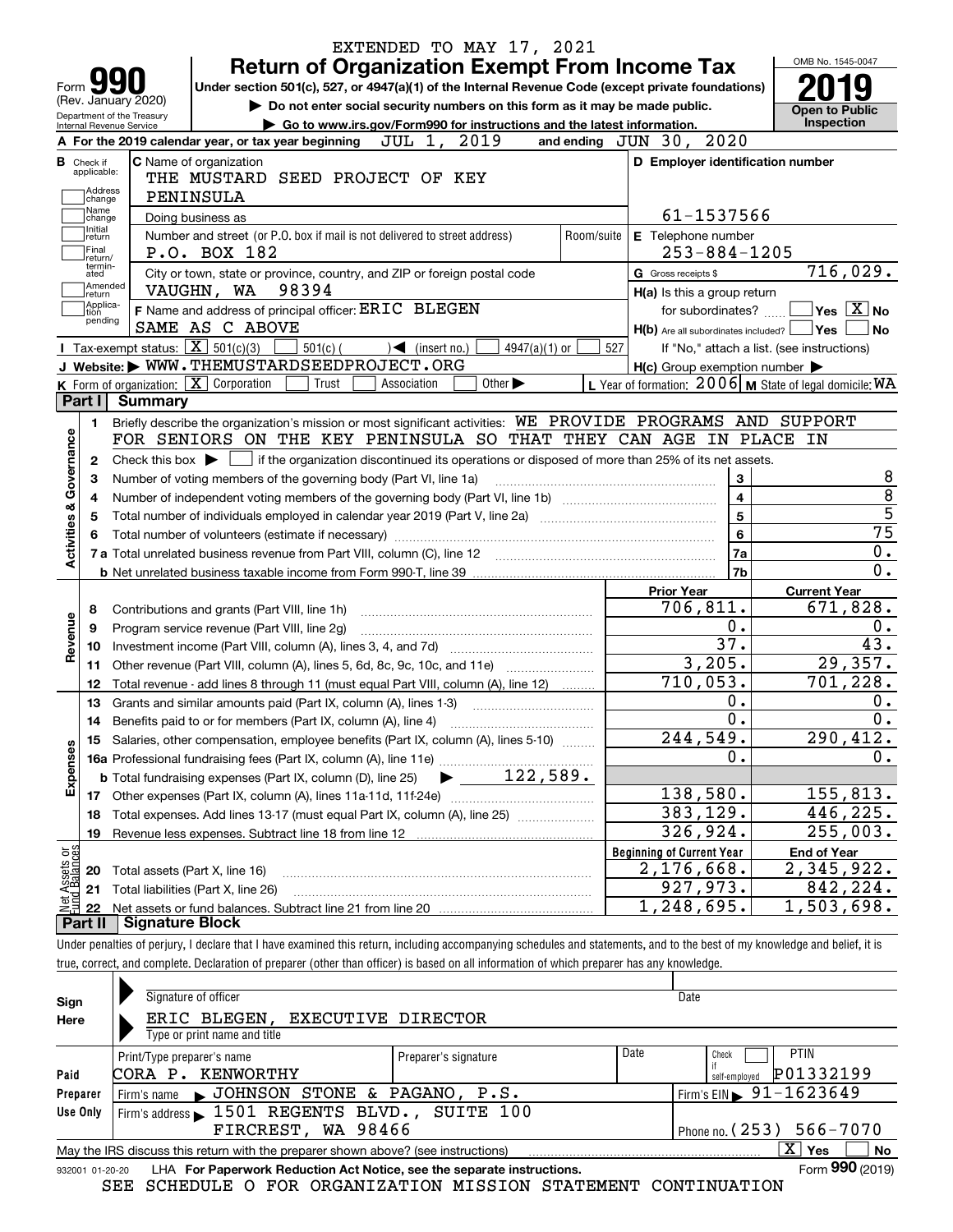|                                                   |                        | EXTENDED TO MAY 17, 2021                                                                                                                                                   |                                                                                                                  |                                        |
|---------------------------------------------------|------------------------|----------------------------------------------------------------------------------------------------------------------------------------------------------------------------|------------------------------------------------------------------------------------------------------------------|----------------------------------------|
|                                                   |                        | <b>Return of Organization Exempt From Income Tax</b>                                                                                                                       |                                                                                                                  | OMB No. 1545-0047                      |
| Form <b>Y</b>                                     |                        | Under section 501(c), 527, or 4947(a)(1) of the Internal Revenue Code (except private foundations)                                                                         |                                                                                                                  |                                        |
| (Rev. January 2020)<br>Department of the Treasury |                        | Do not enter social security numbers on this form as it may be made public.                                                                                                |                                                                                                                  | <b>Open to Public</b>                  |
| Internal Revenue Service                          |                        | Go to www.irs.gov/Form990 for instructions and the latest information.                                                                                                     |                                                                                                                  | Inspection                             |
|                                                   |                        | JUL 1, 2019<br>A For the 2019 calendar year, or tax year beginning                                                                                                         | and ending JUN 30, 2020                                                                                          |                                        |
| <b>B</b> Check if<br>applicable:                  |                        | C Name of organization                                                                                                                                                     | D Employer identification number                                                                                 |                                        |
| Address                                           |                        | THE MUSTARD SEED PROJECT OF KEY                                                                                                                                            |                                                                                                                  |                                        |
| change<br>Name                                    |                        | PENINSULA                                                                                                                                                                  |                                                                                                                  |                                        |
| change<br>Initial                                 |                        | Doing business as                                                                                                                                                          | 61-1537566                                                                                                       |                                        |
| return<br>Final                                   |                        | Number and street (or P.O. box if mail is not delivered to street address)<br>Room/suite                                                                                   | E Telephone number                                                                                               |                                        |
| return/<br>termin-                                |                        | P.O. BOX 182                                                                                                                                                               | $253 - 884 - 1205$                                                                                               |                                        |
| ated<br> Amended                                  |                        | City or town, state or province, country, and ZIP or foreign postal code                                                                                                   | G Gross receipts \$                                                                                              | 716,029.                               |
| return<br> Applica-                               |                        | 98394<br>VAUGHN, WA                                                                                                                                                        | H(a) Is this a group return                                                                                      |                                        |
| tion<br>pending                                   |                        | F Name and address of principal officer: ERIC BLEGEN<br>SAME AS C ABOVE                                                                                                    | for subordinates?                                                                                                | $\sqrt{}$ Yes $\sqrt{}$ X $\sqrt{}$ No |
|                                                   |                        | Tax-exempt status: $\boxed{\mathbf{X}}$ 501(c)(3)                                                                                                                          | $H(b)$ Are all subordinates included? $\Box$ Yes $\Box$                                                          | ∣No                                    |
|                                                   |                        | $501(c)$ (<br>4947(a)(1) or<br>$\sqrt{\frac{1}{1}}$ (insert no.)<br>J Website: WWW.THEMUSTARDSEEDPROJECT.ORG                                                               | 527<br>If "No," attach a list. (see instructions)                                                                |                                        |
|                                                   |                        | K Form of organization: $\boxed{\mathbf{X}}$ Corporation<br>Other $\blacktriangleright$<br>Trust<br>Association                                                            | $H(c)$ Group exemption number $\blacktriangleright$<br>L Year of formation: $2006$ M State of legal domicile: WA |                                        |
| Part I                                            | <b>Summary</b>         |                                                                                                                                                                            |                                                                                                                  |                                        |
|                                                   |                        | Briefly describe the organization's mission or most significant activities: WE PROVIDE PROGRAMS AND SUPPORT                                                                |                                                                                                                  |                                        |
| 1.                                                |                        | FOR SENIORS ON THE KEY PENINSULA SO THAT THEY CAN AGE IN PLACE                                                                                                             |                                                                                                                  | IN                                     |
| Governance                                        |                        |                                                                                                                                                                            |                                                                                                                  |                                        |
| 2                                                 |                        | Check this box $\blacktriangleright$ $\Box$ if the organization discontinued its operations or disposed of more than 25% of its net assets.                                |                                                                                                                  |                                        |
| з                                                 |                        | Number of voting members of the governing body (Part VI, line 1a)                                                                                                          | 3<br>$\overline{4}$                                                                                              |                                        |
| 4                                                 |                        |                                                                                                                                                                            | $\overline{5}$                                                                                                   |                                        |
| 5                                                 |                        |                                                                                                                                                                            |                                                                                                                  | $\overline{75}$                        |
| <b>Activities &amp;</b>                           |                        |                                                                                                                                                                            | 6                                                                                                                | 0.                                     |
|                                                   |                        |                                                                                                                                                                            | 7a                                                                                                               | 0.                                     |
|                                                   |                        |                                                                                                                                                                            | 7b                                                                                                               |                                        |
|                                                   |                        |                                                                                                                                                                            | <b>Prior Year</b>                                                                                                | <b>Current Year</b><br>671,828.        |
| 8                                                 |                        | Contributions and grants (Part VIII, line 1h)                                                                                                                              | 706,811.<br>0.                                                                                                   |                                        |
| 9                                                 |                        | Program service revenue (Part VIII, line 2g)                                                                                                                               | 37.                                                                                                              | 0.<br>43.                              |
| Revenue<br>10                                     |                        |                                                                                                                                                                            | 3,205.                                                                                                           | 29,357.                                |
| 11                                                |                        | Other revenue (Part VIII, column (A), lines 5, 6d, 8c, 9c, 10c, and 11e)                                                                                                   |                                                                                                                  |                                        |
| 12                                                |                        | Total revenue - add lines 8 through 11 (must equal Part VIII, column (A), line 12)                                                                                         | $\overline{71}0,053.$<br>0.                                                                                      | 701, 228.<br>0.                        |
| 13                                                |                        | Grants and similar amounts paid (Part IX, column (A), lines 1-3)                                                                                                           | $\overline{0}$ .                                                                                                 |                                        |
| 14                                                |                        | Benefits paid to or for members (Part IX, column (A), line 4)                                                                                                              |                                                                                                                  | $0$ .                                  |
|                                                   |                        | 15 Salaries, other compensation, employee benefits (Part IX, column (A), lines 5-10)                                                                                       | 244,549.                                                                                                         | 290,412.                               |
|                                                   |                        |                                                                                                                                                                            | Ο.                                                                                                               | 0.                                     |
| Expenses                                          |                        |                                                                                                                                                                            |                                                                                                                  |                                        |
|                                                   |                        |                                                                                                                                                                            | 138,580.                                                                                                         | 155,813.                               |
| 18                                                |                        | Total expenses. Add lines 13-17 (must equal Part IX, column (A), line 25)                                                                                                  | 383,129.                                                                                                         | 446,225.                               |
| 19                                                |                        | Revenue less expenses. Subtract line 18 from line 12                                                                                                                       | 326,924.                                                                                                         | 255,003.                               |
| t Assets or<br>d Balances                         |                        |                                                                                                                                                                            | <b>Beginning of Current Year</b>                                                                                 | <b>End of Year</b>                     |
| 20                                                |                        | Total assets (Part X, line 16)                                                                                                                                             | 2,176,668.                                                                                                       | 2,345,922.                             |
| 21                                                |                        | Total liabilities (Part X, line 26)                                                                                                                                        | 927,973.                                                                                                         | 842,224.                               |
| 형<br>22                                           |                        |                                                                                                                                                                            | 1,248,695.                                                                                                       | 1,503,698.                             |
| Part II                                           | <b>Signature Block</b> |                                                                                                                                                                            |                                                                                                                  |                                        |
|                                                   |                        | Under penalties of perjury, I declare that I have examined this return, including accompanying schedules and statements, and to the best of my knowledge and belief, it is |                                                                                                                  |                                        |
|                                                   |                        | true, correct, and complete. Declaration of preparer (other than officer) is based on all information of which preparer has any knowledge.                                 |                                                                                                                  |                                        |
|                                                   |                        |                                                                                                                                                                            |                                                                                                                  |                                        |

| Sign     | Signature of officer                                                                                         |                            |      | Date                                         |  |  |  |  |  |  |
|----------|--------------------------------------------------------------------------------------------------------------|----------------------------|------|----------------------------------------------|--|--|--|--|--|--|
| Here     | ERIC BLEGEN,<br><b>EXECUTIVE DIRECTOR</b>                                                                    |                            |      |                                              |  |  |  |  |  |  |
|          | Type or print name and title                                                                                 |                            |      |                                              |  |  |  |  |  |  |
|          | Print/Type preparer's name                                                                                   | Preparer's signature       | Date | <b>PTIN</b><br>Check                         |  |  |  |  |  |  |
| Paid     | CORA P. KENWORTHY                                                                                            | P01332199<br>self-emploved |      |                                              |  |  |  |  |  |  |
| Preparer | Firm's name SUCHNSON STONE & PAGANO, P.S.                                                                    |                            |      | $\frac{1}{2}$ Firm's EIN $\geq 91 - 1623649$ |  |  |  |  |  |  |
| Use Only | Firm's address 1501 REGENTS BLVD., SUITE 100                                                                 |                            |      |                                              |  |  |  |  |  |  |
|          | FIRCREST, WA 98466                                                                                           | Phone no. (253) 566-7070   |      |                                              |  |  |  |  |  |  |
|          | May the IRS discuss this return with the preparer shown above? (see instructions)                            |                            |      | x<br>No<br>Yes                               |  |  |  |  |  |  |
|          | Form 990 (2019)<br>LHA For Paperwork Reduction Act Notice, see the separate instructions.<br>932001 01-20-20 |                            |      |                                              |  |  |  |  |  |  |

SEE SCHEDULE O FOR ORGANIZATION MISSION STATEMENT CONTINUATION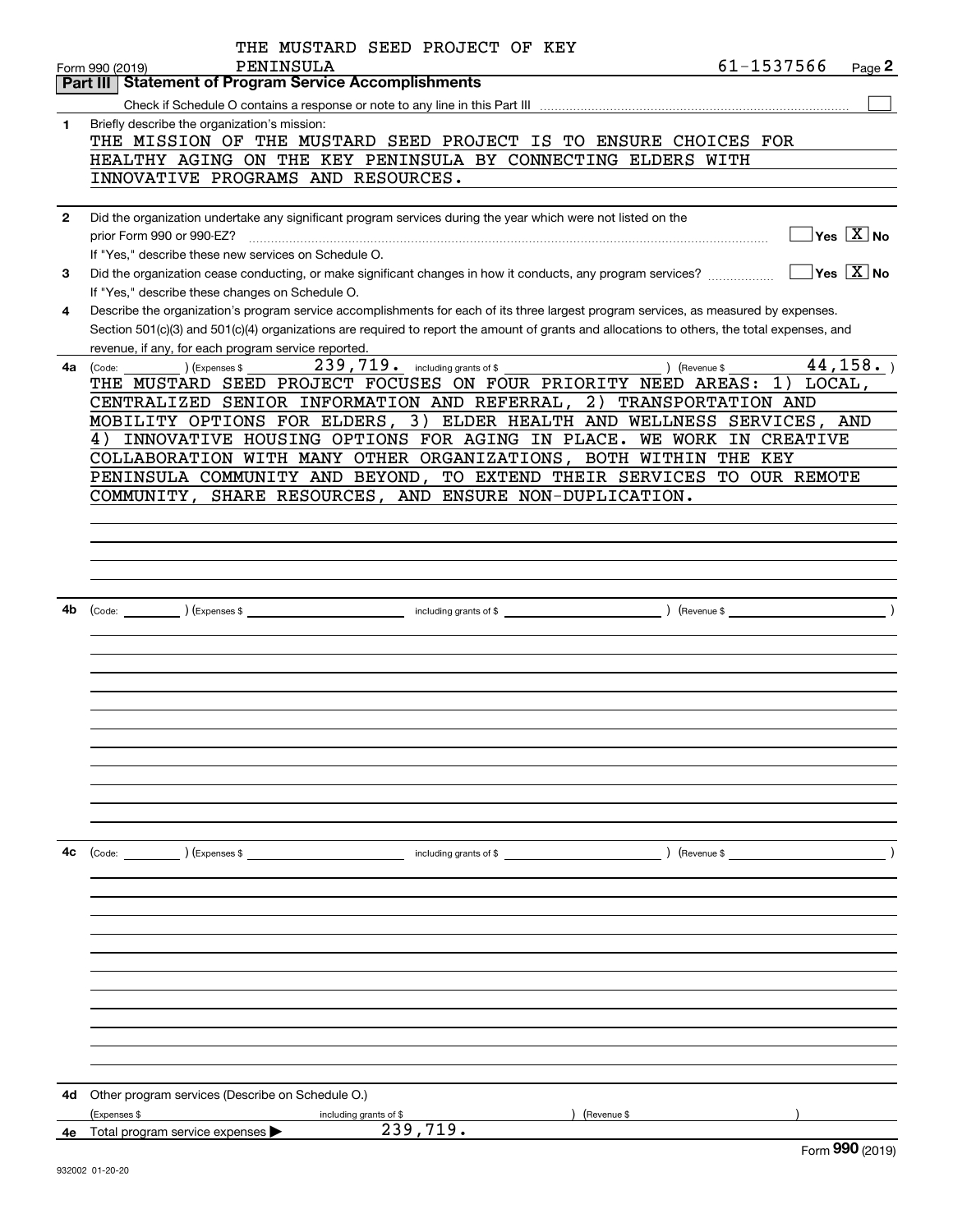|              | THE MUSTARD SEED PROJECT OF KEY                                                                                                                                                                                                                                                      |
|--------------|--------------------------------------------------------------------------------------------------------------------------------------------------------------------------------------------------------------------------------------------------------------------------------------|
|              | 61-1537566<br>PENINSULA<br>Page 2<br>Form 990 (2019)<br><b>Statement of Program Service Accomplishments</b><br>Part III                                                                                                                                                              |
|              |                                                                                                                                                                                                                                                                                      |
| 1            | Briefly describe the organization's mission:                                                                                                                                                                                                                                         |
|              | THE MISSION OF THE MUSTARD SEED PROJECT IS TO ENSURE CHOICES FOR                                                                                                                                                                                                                     |
|              | HEALTHY AGING ON THE KEY PENINSULA BY CONNECTING ELDERS WITH                                                                                                                                                                                                                         |
|              | INNOVATIVE PROGRAMS AND RESOURCES.                                                                                                                                                                                                                                                   |
|              |                                                                                                                                                                                                                                                                                      |
| $\mathbf{2}$ | Did the organization undertake any significant program services during the year which were not listed on the                                                                                                                                                                         |
|              | $\sqrt{}$ Yes $\sqrt{X}$ No<br>prior Form 990 or 990-EZ?                                                                                                                                                                                                                             |
|              | If "Yes," describe these new services on Schedule O.                                                                                                                                                                                                                                 |
| 3            | $\sqrt{}$ Yes $\sqrt{}$ X $\sqrt{}$ No<br>Did the organization cease conducting, or make significant changes in how it conducts, any program services?                                                                                                                               |
|              | If "Yes," describe these changes on Schedule O.                                                                                                                                                                                                                                      |
| 4            | Describe the organization's program service accomplishments for each of its three largest program services, as measured by expenses.<br>Section 501(c)(3) and 501(c)(4) organizations are required to report the amount of grants and allocations to others, the total expenses, and |
|              | revenue, if any, for each program service reported.                                                                                                                                                                                                                                  |
| 4a           | 239,719. including grants of \$<br>44, 158.<br>) (Revenue \$<br>(Expenses \$<br>(Code:                                                                                                                                                                                               |
|              | THE MUSTARD SEED PROJECT FOCUSES ON FOUR PRIORITY NEED AREAS:<br>$1)$ LOCAL,                                                                                                                                                                                                         |
|              | CENTRALIZED SENIOR INFORMATION AND REFERRAL, 2) TRANSPORTATION AND                                                                                                                                                                                                                   |
|              | MOBILITY OPTIONS FOR ELDERS, 3) ELDER HEALTH AND WELLNESS SERVICES, AND                                                                                                                                                                                                              |
|              | INNOVATIVE HOUSING OPTIONS FOR AGING IN PLACE. WE WORK IN CREATIVE<br>4)                                                                                                                                                                                                             |
|              | COLLABORATION WITH MANY OTHER ORGANIZATIONS, BOTH WITHIN THE KEY                                                                                                                                                                                                                     |
|              | PENINSULA COMMUNITY AND BEYOND, TO EXTEND THEIR SERVICES TO OUR REMOTE                                                                                                                                                                                                               |
|              | COMMUNITY, SHARE RESOURCES, AND ENSURE NON-DUPLICATION.                                                                                                                                                                                                                              |
|              |                                                                                                                                                                                                                                                                                      |
|              |                                                                                                                                                                                                                                                                                      |
|              |                                                                                                                                                                                                                                                                                      |
|              |                                                                                                                                                                                                                                                                                      |
|              |                                                                                                                                                                                                                                                                                      |
| 4b           |                                                                                                                                                                                                                                                                                      |
|              |                                                                                                                                                                                                                                                                                      |
|              |                                                                                                                                                                                                                                                                                      |
|              |                                                                                                                                                                                                                                                                                      |
|              |                                                                                                                                                                                                                                                                                      |
|              |                                                                                                                                                                                                                                                                                      |
|              |                                                                                                                                                                                                                                                                                      |
|              |                                                                                                                                                                                                                                                                                      |
|              |                                                                                                                                                                                                                                                                                      |
|              |                                                                                                                                                                                                                                                                                      |
|              |                                                                                                                                                                                                                                                                                      |
|              |                                                                                                                                                                                                                                                                                      |
| 4c           | (Code: ) (Expenses \$<br>including grants of \$<br>(Revenue \$                                                                                                                                                                                                                       |
|              |                                                                                                                                                                                                                                                                                      |
|              |                                                                                                                                                                                                                                                                                      |
|              |                                                                                                                                                                                                                                                                                      |
|              |                                                                                                                                                                                                                                                                                      |
|              |                                                                                                                                                                                                                                                                                      |
|              |                                                                                                                                                                                                                                                                                      |
|              |                                                                                                                                                                                                                                                                                      |
|              |                                                                                                                                                                                                                                                                                      |
|              |                                                                                                                                                                                                                                                                                      |
|              |                                                                                                                                                                                                                                                                                      |
|              |                                                                                                                                                                                                                                                                                      |
| 4d           | Other program services (Describe on Schedule O.)                                                                                                                                                                                                                                     |
|              | (Expenses \$<br>including grants of \$<br>Revenue \$                                                                                                                                                                                                                                 |
|              | 239,719.<br><b>4e</b> Total program service expenses $\blacktriangleright$<br>nnn                                                                                                                                                                                                    |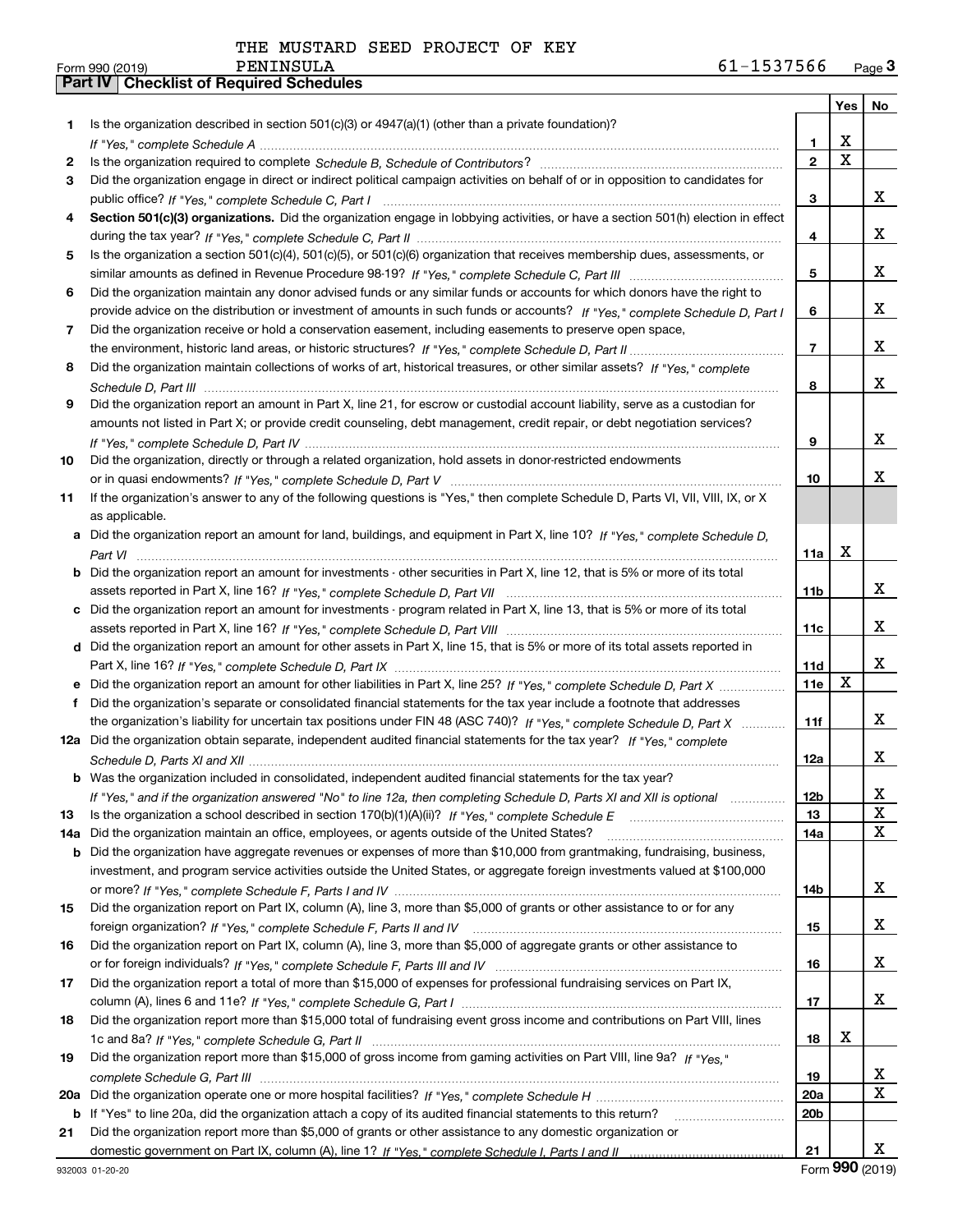|     |                                                                                                                                                    |                 | Yes                     | No                      |
|-----|----------------------------------------------------------------------------------------------------------------------------------------------------|-----------------|-------------------------|-------------------------|
| 1.  | Is the organization described in section $501(c)(3)$ or $4947(a)(1)$ (other than a private foundation)?                                            |                 |                         |                         |
|     |                                                                                                                                                    | 1               | х                       |                         |
| 2   |                                                                                                                                                    | $\mathbf{2}$    | $\overline{\mathbf{x}}$ |                         |
| 3   | Did the organization engage in direct or indirect political campaign activities on behalf of or in opposition to candidates for                    |                 |                         |                         |
|     |                                                                                                                                                    | 3               |                         | X.                      |
| 4   | Section 501(c)(3) organizations. Did the organization engage in lobbying activities, or have a section 501(h) election in effect                   |                 |                         |                         |
|     |                                                                                                                                                    | 4               |                         | x                       |
| 5   | Is the organization a section 501(c)(4), 501(c)(5), or 501(c)(6) organization that receives membership dues, assessments, or                       |                 |                         |                         |
|     |                                                                                                                                                    | 5               |                         | x                       |
| 6   | Did the organization maintain any donor advised funds or any similar funds or accounts for which donors have the right to                          |                 |                         |                         |
|     | provide advice on the distribution or investment of amounts in such funds or accounts? If "Yes," complete Schedule D, Part I                       | 6               |                         | x                       |
| 7   | Did the organization receive or hold a conservation easement, including easements to preserve open space,                                          |                 |                         |                         |
|     |                                                                                                                                                    | $\overline{7}$  |                         | x                       |
| 8   | Did the organization maintain collections of works of art, historical treasures, or other similar assets? If "Yes," complete                       |                 |                         |                         |
|     |                                                                                                                                                    | 8               |                         | x                       |
| 9   | Did the organization report an amount in Part X, line 21, for escrow or custodial account liability, serve as a custodian for                      |                 |                         |                         |
|     | amounts not listed in Part X; or provide credit counseling, debt management, credit repair, or debt negotiation services?                          |                 |                         |                         |
|     |                                                                                                                                                    | 9               |                         | x                       |
| 10  | Did the organization, directly or through a related organization, hold assets in donor-restricted endowments                                       |                 |                         |                         |
|     |                                                                                                                                                    | 10              |                         | x                       |
| 11  | If the organization's answer to any of the following questions is "Yes," then complete Schedule D, Parts VI, VII, VIII, IX, or X<br>as applicable. |                 |                         |                         |
|     |                                                                                                                                                    |                 |                         |                         |
|     | Did the organization report an amount for land, buildings, and equipment in Part X, line 10? If "Yes," complete Schedule D.                        | 11a             | X                       |                         |
| b   | Did the organization report an amount for investments - other securities in Part X, line 12, that is 5% or more of its total                       |                 |                         |                         |
|     |                                                                                                                                                    | 11b             |                         | x                       |
| c   | Did the organization report an amount for investments - program related in Part X, line 13, that is 5% or more of its total                        |                 |                         |                         |
|     |                                                                                                                                                    | 11c             |                         | x                       |
|     | d Did the organization report an amount for other assets in Part X, line 15, that is 5% or more of its total assets reported in                    |                 |                         |                         |
|     |                                                                                                                                                    | 11d             |                         | x                       |
|     |                                                                                                                                                    | 11e             | X                       |                         |
| f   | Did the organization's separate or consolidated financial statements for the tax year include a footnote that addresses                            |                 |                         |                         |
|     | the organization's liability for uncertain tax positions under FIN 48 (ASC 740)? If "Yes," complete Schedule D, Part X                             | 11f             |                         | x                       |
|     | 12a Did the organization obtain separate, independent audited financial statements for the tax year? If "Yes," complete                            |                 |                         |                         |
|     |                                                                                                                                                    | 12a             |                         | X.                      |
|     | <b>b</b> Was the organization included in consolidated, independent audited financial statements for the tax year?                                 |                 |                         |                         |
|     | If "Yes," and if the organization answered "No" to line 12a, then completing Schedule D, Parts XI and XII is optional                              | 12 <sub>b</sub> |                         | Х                       |
| 13  | Is the organization a school described in section $170(b)(1)(A)(ii)?$ If "Yes," complete Schedule E                                                | 13              |                         | X                       |
| 14a | Did the organization maintain an office, employees, or agents outside of the United States?                                                        | 14a             |                         | $\mathbf{x}$            |
| b   | Did the organization have aggregate revenues or expenses of more than \$10,000 from grantmaking, fundraising, business,                            |                 |                         |                         |
|     | investment, and program service activities outside the United States, or aggregate foreign investments valued at \$100,000                         |                 |                         |                         |
|     |                                                                                                                                                    | 14b             |                         | X                       |
| 15  | Did the organization report on Part IX, column (A), line 3, more than \$5,000 of grants or other assistance to or for any                          |                 |                         |                         |
|     |                                                                                                                                                    | 15              |                         | X                       |
| 16  | Did the organization report on Part IX, column (A), line 3, more than \$5,000 of aggregate grants or other assistance to                           |                 |                         | X                       |
| 17  | Did the organization report a total of more than \$15,000 of expenses for professional fundraising services on Part IX,                            | 16              |                         |                         |
|     |                                                                                                                                                    | 17              |                         | X                       |
| 18  | Did the organization report more than \$15,000 total of fundraising event gross income and contributions on Part VIII, lines                       |                 |                         |                         |
|     |                                                                                                                                                    | 18              | x                       |                         |
| 19  | Did the organization report more than \$15,000 of gross income from gaming activities on Part VIII, line 9a? If "Yes."                             |                 |                         |                         |
|     |                                                                                                                                                    | 19              |                         | x                       |
| 20a |                                                                                                                                                    | 20a             |                         | $\overline{\mathbf{X}}$ |
|     | <b>b</b> If "Yes" to line 20a, did the organization attach a copy of its audited financial statements to this return?                              | 20 <sub>b</sub> |                         |                         |
| 21  | Did the organization report more than \$5,000 of grants or other assistance to any domestic organization or                                        |                 |                         |                         |
|     |                                                                                                                                                    | 21              |                         | X.                      |

Form (2019) **990**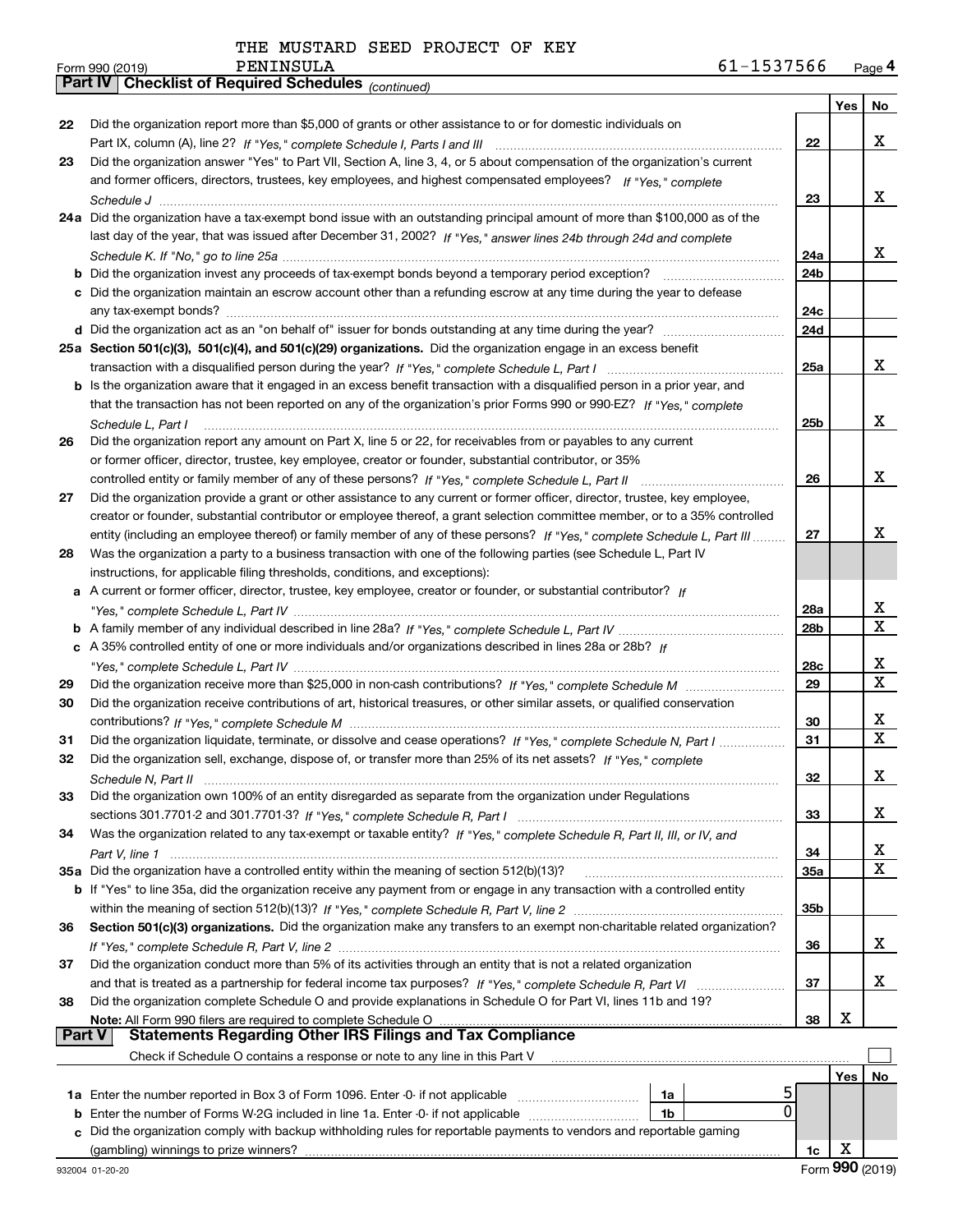|  | THE MUSTARD SEED PROJECT OF KEY |  |
|--|---------------------------------|--|
|  |                                 |  |

*(continued)*

|               |                                                                                                                                                         |                 | Yes | No |
|---------------|---------------------------------------------------------------------------------------------------------------------------------------------------------|-----------------|-----|----|
| 22            | Did the organization report more than \$5,000 of grants or other assistance to or for domestic individuals on                                           |                 |     |    |
|               |                                                                                                                                                         | 22              |     | X  |
| 23            | Did the organization answer "Yes" to Part VII, Section A, line 3, 4, or 5 about compensation of the organization's current                              |                 |     |    |
|               | and former officers, directors, trustees, key employees, and highest compensated employees? If "Yes," complete                                          |                 |     |    |
|               |                                                                                                                                                         | 23              |     | x  |
|               | 24a Did the organization have a tax-exempt bond issue with an outstanding principal amount of more than \$100,000 as of the                             |                 |     |    |
|               | last day of the year, that was issued after December 31, 2002? If "Yes," answer lines 24b through 24d and complete                                      |                 |     |    |
|               |                                                                                                                                                         | 24a             |     | x  |
|               |                                                                                                                                                         | 24 <sub>b</sub> |     |    |
|               | c Did the organization maintain an escrow account other than a refunding escrow at any time during the year to defease                                  |                 |     |    |
|               |                                                                                                                                                         | 24c             |     |    |
|               | d Did the organization act as an "on behalf of" issuer for bonds outstanding at any time during the year?                                               | 24d             |     |    |
|               | 25a Section 501(c)(3), 501(c)(4), and 501(c)(29) organizations. Did the organization engage in an excess benefit                                        |                 |     |    |
|               |                                                                                                                                                         | 25a             |     | x  |
|               | b Is the organization aware that it engaged in an excess benefit transaction with a disqualified person in a prior year, and                            |                 |     |    |
|               | that the transaction has not been reported on any of the organization's prior Forms 990 or 990-EZ? If "Yes," complete                                   |                 |     |    |
|               | Schedule L, Part I                                                                                                                                      | 25 <sub>b</sub> |     | X  |
| 26            | Did the organization report any amount on Part X, line 5 or 22, for receivables from or payables to any current                                         |                 |     |    |
|               | or former officer, director, trustee, key employee, creator or founder, substantial contributor, or 35%                                                 |                 |     |    |
|               | controlled entity or family member of any of these persons? If "Yes," complete Schedule L, Part II                                                      | 26              |     | x  |
| 27            | Did the organization provide a grant or other assistance to any current or former officer, director, trustee, key employee,                             |                 |     |    |
|               | creator or founder, substantial contributor or employee thereof, a grant selection committee member, or to a 35% controlled                             |                 |     |    |
|               | entity (including an employee thereof) or family member of any of these persons? If "Yes." complete Schedule L. Part III                                | 27              |     | x  |
| 28            | Was the organization a party to a business transaction with one of the following parties (see Schedule L, Part IV                                       |                 |     |    |
|               | instructions, for applicable filing thresholds, conditions, and exceptions):                                                                            |                 |     |    |
| a             | A current or former officer, director, trustee, key employee, creator or founder, or substantial contributor? If                                        |                 |     |    |
|               |                                                                                                                                                         | 28a             |     | х  |
|               |                                                                                                                                                         | 28 <sub>b</sub> |     | X  |
|               | c A 35% controlled entity of one or more individuals and/or organizations described in lines 28a or 28b? If                                             |                 |     |    |
|               |                                                                                                                                                         | 28c             |     | х  |
| 29            |                                                                                                                                                         | 29              |     | X  |
| 30            | Did the organization receive contributions of art, historical treasures, or other similar assets, or qualified conservation                             |                 |     |    |
|               |                                                                                                                                                         | 30              |     | х  |
| 31            | Did the organization liquidate, terminate, or dissolve and cease operations? If "Yes," complete Schedule N, Part I                                      | 31              |     | X  |
| 32            | Did the organization sell, exchange, dispose of, or transfer more than 25% of its net assets? If "Yes," complete                                        |                 |     |    |
|               |                                                                                                                                                         | 32              |     | x  |
| 33            | Did the organization own 100% of an entity disregarded as separate from the organization under Regulations                                              |                 |     |    |
|               |                                                                                                                                                         | 33              |     | х  |
| 34            | Was the organization related to any tax-exempt or taxable entity? If "Yes," complete Schedule R, Part II, III, or IV, and                               |                 |     |    |
|               |                                                                                                                                                         | 34              |     | х  |
|               | 35a Did the organization have a controlled entity within the meaning of section 512(b)(13)?                                                             | 35a             |     | x  |
|               | b If "Yes" to line 35a, did the organization receive any payment from or engage in any transaction with a controlled entity                             |                 |     |    |
|               |                                                                                                                                                         | 35b             |     |    |
| 36            | Section 501(c)(3) organizations. Did the organization make any transfers to an exempt non-charitable related organization?                              |                 |     | x  |
|               | Did the organization conduct more than 5% of its activities through an entity that is not a related organization                                        | 36              |     |    |
| 37            |                                                                                                                                                         |                 |     | х  |
| 38            | Did the organization complete Schedule O and provide explanations in Schedule O for Part VI, lines 11b and 19?                                          | 37              |     |    |
|               | Note: All Form 990 filers are required to complete Schedule O                                                                                           | 38              | х   |    |
| <b>Part V</b> | All Form 990 filers are required to complete Schedule O …………………………………………………………………………………………<br>Statements Regarding Other IRS Filings and Tax Compliance |                 |     |    |
|               | Check if Schedule O contains a response or note to any line in this Part V                                                                              |                 |     |    |
|               |                                                                                                                                                         |                 | Yes | No |
|               | 5<br>1a Enter the number reported in Box 3 of Form 1096. Enter -0- if not applicable<br>1a                                                              |                 |     |    |
| b             | 0<br>Enter the number of Forms W-2G included in line 1a. Enter -0- if not applicable<br>1b                                                              |                 |     |    |
|               | Did the organization comply with backup withholding rules for reportable payments to vendors and reportable gaming                                      |                 |     |    |
|               |                                                                                                                                                         | 1c              | х   |    |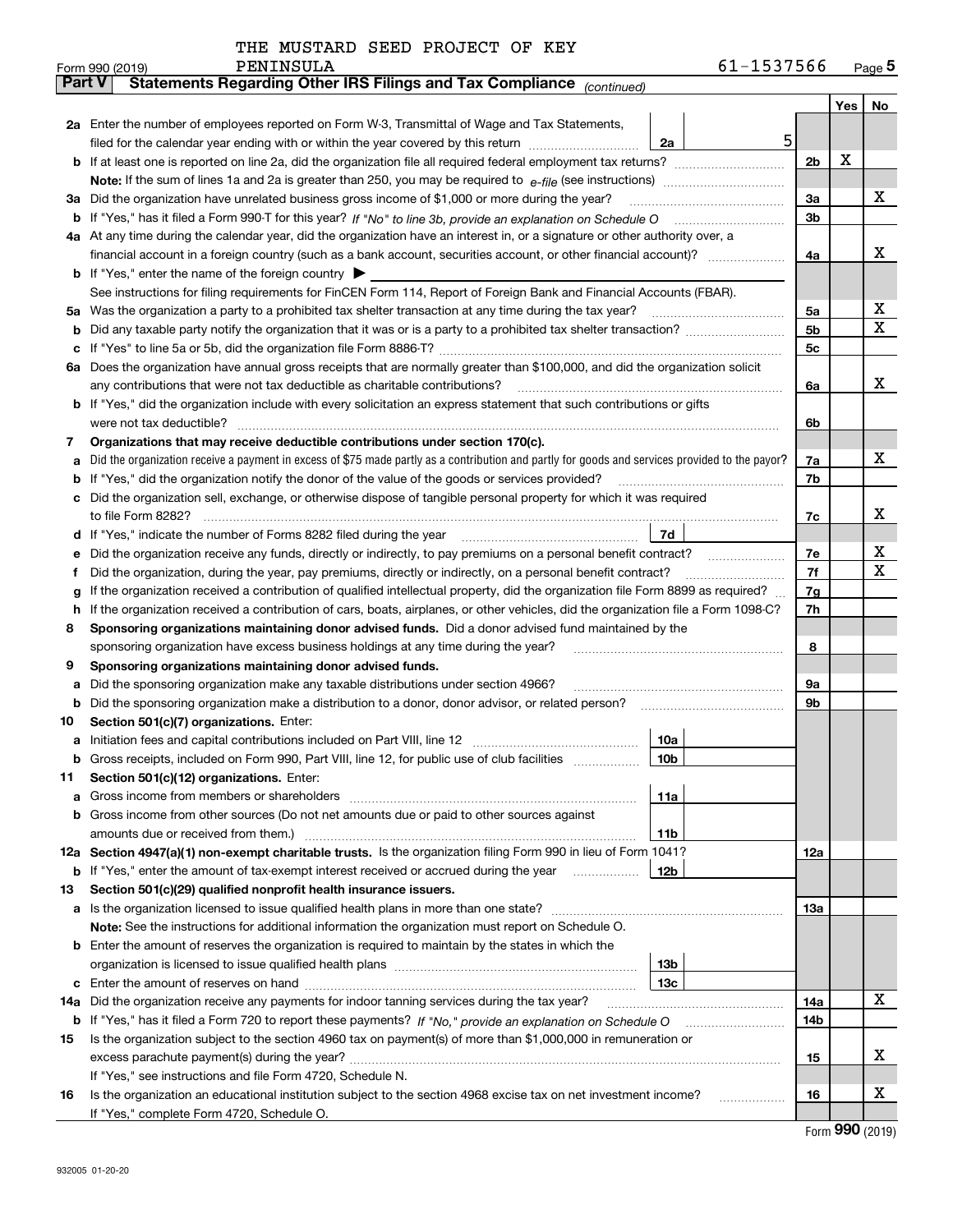|  | THE MUSTARD SEED PROJECT OF KEY |  |
|--|---------------------------------|--|
|  |                                 |  |

|         |  | PENINSULA<br>Form 990 (2019)                                                                                                                                                                                                                     |                 | 61-1537566     |                |         | Page $5$ |  |  |  |
|---------|--|--------------------------------------------------------------------------------------------------------------------------------------------------------------------------------------------------------------------------------------------------|-----------------|----------------|----------------|---------|----------|--|--|--|
| Part V  |  | Statements Regarding Other IRS Filings and Tax Compliance (continued)                                                                                                                                                                            |                 |                |                |         |          |  |  |  |
|         |  |                                                                                                                                                                                                                                                  |                 |                |                | Yes $ $ | No       |  |  |  |
|         |  | 2a Enter the number of employees reported on Form W-3, Transmittal of Wage and Tax Statements,                                                                                                                                                   |                 |                |                |         |          |  |  |  |
|         |  | filed for the calendar year ending with or within the year covered by this return <i>manumumumum</i>                                                                                                                                             | 2a              | 5 <sup>1</sup> |                |         |          |  |  |  |
|         |  |                                                                                                                                                                                                                                                  |                 |                | 2 <sub>b</sub> | х       |          |  |  |  |
|         |  |                                                                                                                                                                                                                                                  |                 |                |                |         |          |  |  |  |
| За      |  | Did the organization have unrelated business gross income of \$1,000 or more during the year?                                                                                                                                                    |                 |                | 3a             |         | х        |  |  |  |
|         |  |                                                                                                                                                                                                                                                  |                 |                | 3b             |         |          |  |  |  |
|         |  | 4a At any time during the calendar year, did the organization have an interest in, or a signature or other authority over, a                                                                                                                     |                 |                |                |         |          |  |  |  |
|         |  |                                                                                                                                                                                                                                                  |                 |                | 4a             |         | х        |  |  |  |
|         |  | <b>b</b> If "Yes," enter the name of the foreign country $\blacktriangleright$                                                                                                                                                                   |                 |                |                |         |          |  |  |  |
|         |  | See instructions for filing requirements for FinCEN Form 114, Report of Foreign Bank and Financial Accounts (FBAR).                                                                                                                              |                 |                |                |         |          |  |  |  |
| 5a      |  | Was the organization a party to a prohibited tax shelter transaction at any time during the tax year?                                                                                                                                            |                 |                | 5а             |         | х        |  |  |  |
| b       |  |                                                                                                                                                                                                                                                  |                 |                | 5b             |         | Χ        |  |  |  |
| с       |  |                                                                                                                                                                                                                                                  |                 |                | 5c             |         |          |  |  |  |
|         |  | 6a Does the organization have annual gross receipts that are normally greater than \$100,000, and did the organization solicit                                                                                                                   |                 |                |                |         |          |  |  |  |
|         |  | any contributions that were not tax deductible as charitable contributions?                                                                                                                                                                      |                 |                | 6a             |         | x        |  |  |  |
|         |  | b If "Yes," did the organization include with every solicitation an express statement that such contributions or gifts                                                                                                                           |                 |                |                |         |          |  |  |  |
|         |  | were not tax deductible?                                                                                                                                                                                                                         |                 |                | 6b             |         |          |  |  |  |
| 7       |  | Organizations that may receive deductible contributions under section 170(c).                                                                                                                                                                    |                 |                |                |         |          |  |  |  |
| a       |  | Did the organization receive a payment in excess of \$75 made partly as a contribution and partly for goods and services provided to the payor?                                                                                                  |                 |                | 7a             |         | х        |  |  |  |
| b       |  | If "Yes," did the organization notify the donor of the value of the goods or services provided?                                                                                                                                                  |                 |                | 7b             |         |          |  |  |  |
|         |  | Did the organization sell, exchange, or otherwise dispose of tangible personal property for which it was required                                                                                                                                |                 |                |                |         | x        |  |  |  |
|         |  |                                                                                                                                                                                                                                                  | 7d              |                | 7c             |         |          |  |  |  |
| d       |  |                                                                                                                                                                                                                                                  |                 |                | 7e             |         | х        |  |  |  |
| е       |  | Did the organization receive any funds, directly or indirectly, to pay premiums on a personal benefit contract?                                                                                                                                  |                 |                | 7f             |         | х        |  |  |  |
| f       |  | Did the organization, during the year, pay premiums, directly or indirectly, on a personal benefit contract?<br>If the organization received a contribution of qualified intellectual property, did the organization file Form 8899 as required? |                 |                | 7g             |         |          |  |  |  |
| g<br>h. |  | If the organization received a contribution of cars, boats, airplanes, or other vehicles, did the organization file a Form 1098-C?                                                                                                               |                 |                | 7h             |         |          |  |  |  |
| 8       |  | Sponsoring organizations maintaining donor advised funds. Did a donor advised fund maintained by the                                                                                                                                             |                 |                |                |         |          |  |  |  |
|         |  | sponsoring organization have excess business holdings at any time during the year?                                                                                                                                                               |                 |                | 8              |         |          |  |  |  |
| 9       |  | Sponsoring organizations maintaining donor advised funds.                                                                                                                                                                                        |                 |                |                |         |          |  |  |  |
| a       |  | Did the sponsoring organization make any taxable distributions under section 4966?                                                                                                                                                               |                 |                | 9а             |         |          |  |  |  |
| b       |  | Did the sponsoring organization make a distribution to a donor, donor advisor, or related person?                                                                                                                                                |                 |                | 9b             |         |          |  |  |  |
| 10      |  | Section 501(c)(7) organizations. Enter:                                                                                                                                                                                                          |                 |                |                |         |          |  |  |  |
|         |  |                                                                                                                                                                                                                                                  | 10a             |                |                |         |          |  |  |  |
|         |  | Gross receipts, included on Form 990, Part VIII, line 12, for public use of club facilities                                                                                                                                                      | 10 <sub>b</sub> |                |                |         |          |  |  |  |
| 11      |  | Section 501(c)(12) organizations. Enter:                                                                                                                                                                                                         |                 |                |                |         |          |  |  |  |
| а       |  | Gross income from members or shareholders                                                                                                                                                                                                        | 11a             |                |                |         |          |  |  |  |
| b       |  | Gross income from other sources (Do not net amounts due or paid to other sources against                                                                                                                                                         |                 |                |                |         |          |  |  |  |
|         |  | amounts due or received from them.)                                                                                                                                                                                                              | 11b             |                |                |         |          |  |  |  |
|         |  | 12a Section 4947(a)(1) non-exempt charitable trusts. Is the organization filing Form 990 in lieu of Form 1041?                                                                                                                                   |                 |                | 12a            |         |          |  |  |  |
|         |  | <b>b</b> If "Yes," enter the amount of tax-exempt interest received or accrued during the year                                                                                                                                                   | 12b             |                |                |         |          |  |  |  |
| 13      |  | Section 501(c)(29) qualified nonprofit health insurance issuers.                                                                                                                                                                                 |                 |                |                |         |          |  |  |  |
|         |  | a Is the organization licensed to issue qualified health plans in more than one state?                                                                                                                                                           |                 |                | 13a            |         |          |  |  |  |
|         |  | Note: See the instructions for additional information the organization must report on Schedule O.                                                                                                                                                |                 |                |                |         |          |  |  |  |
|         |  | <b>b</b> Enter the amount of reserves the organization is required to maintain by the states in which the                                                                                                                                        |                 |                |                |         |          |  |  |  |
|         |  |                                                                                                                                                                                                                                                  | 13 <sub>b</sub> |                |                |         |          |  |  |  |
| c       |  |                                                                                                                                                                                                                                                  | 13с             |                |                |         |          |  |  |  |
| 14a     |  | Did the organization receive any payments for indoor tanning services during the tax year?                                                                                                                                                       |                 |                | 14a            |         | х        |  |  |  |
|         |  | <b>b</b> If "Yes," has it filed a Form 720 to report these payments? If "No," provide an explanation on Schedule O                                                                                                                               |                 |                | 14b            |         |          |  |  |  |
| 15      |  | Is the organization subject to the section 4960 tax on payment(s) of more than \$1,000,000 in remuneration or                                                                                                                                    |                 |                |                |         |          |  |  |  |
|         |  |                                                                                                                                                                                                                                                  |                 |                | 15             |         | X        |  |  |  |
|         |  | If "Yes," see instructions and file Form 4720, Schedule N.                                                                                                                                                                                       |                 |                |                |         |          |  |  |  |
| 16      |  | Is the organization an educational institution subject to the section 4968 excise tax on net investment income?                                                                                                                                  |                 |                | 16             |         | X        |  |  |  |
|         |  | If "Yes," complete Form 4720, Schedule O.                                                                                                                                                                                                        |                 |                |                |         |          |  |  |  |

Form (2019) **990**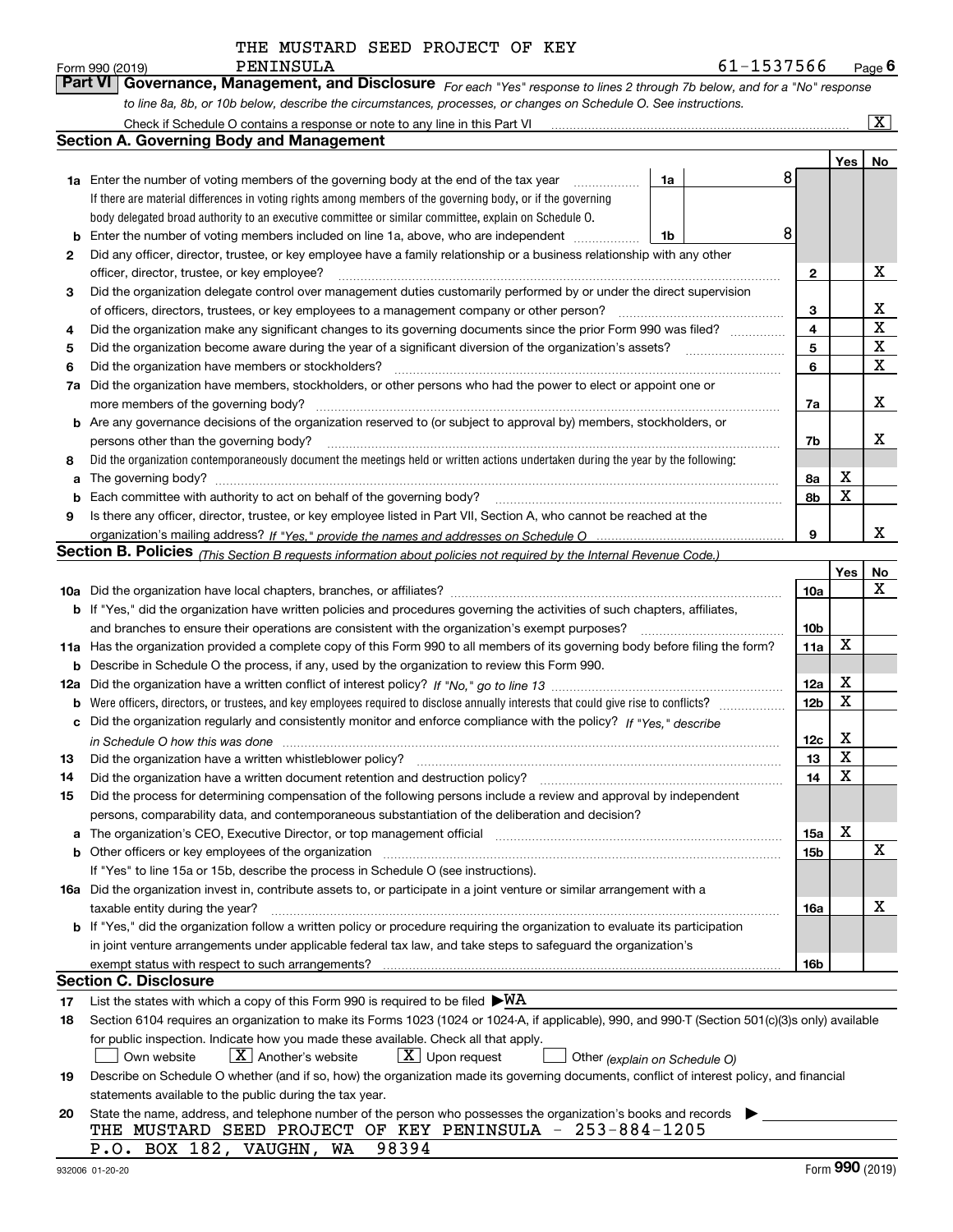|         | rail VI.<br><b>GOVETTRITICE, Mariagerfletit, and Disclosure</b> For each "Yes" response to lines 2 through 7b below, and for a "No" response                                                                                   |    |   |                 |         |                    |
|---------|--------------------------------------------------------------------------------------------------------------------------------------------------------------------------------------------------------------------------------|----|---|-----------------|---------|--------------------|
|         | to line 8a, 8b, or 10b below, describe the circumstances, processes, or changes on Schedule O. See instructions.                                                                                                               |    |   |                 |         |                    |
|         | Check if Schedule O contains a response or note to any line in this Part VI<br><b>Section A. Governing Body and Management</b>                                                                                                 |    |   |                 |         | $\boxed{\text{X}}$ |
|         |                                                                                                                                                                                                                                |    |   |                 |         |                    |
|         |                                                                                                                                                                                                                                |    | 8 |                 | Yes $ $ | No                 |
|         | 1a Enter the number of voting members of the governing body at the end of the tax year                                                                                                                                         | 1a |   |                 |         |                    |
|         | If there are material differences in voting rights among members of the governing body, or if the governing                                                                                                                    |    |   |                 |         |                    |
|         | body delegated broad authority to an executive committee or similar committee, explain on Schedule O.                                                                                                                          |    | 8 |                 |         |                    |
|         | Enter the number of voting members included on line 1a, above, who are independent                                                                                                                                             | 1b |   |                 |         |                    |
| 2       | Did any officer, director, trustee, or key employee have a family relationship or a business relationship with any other                                                                                                       |    |   |                 |         | х                  |
|         | officer, director, trustee, or key employee?                                                                                                                                                                                   |    |   | 2               |         |                    |
| 3       | Did the organization delegate control over management duties customarily performed by or under the direct supervision                                                                                                          |    |   |                 |         | х                  |
|         | of officers, directors, trustees, or key employees to a management company or other person?                                                                                                                                    |    |   | 3<br>4          |         | X                  |
| 4       | Did the organization make any significant changes to its governing documents since the prior Form 990 was filed?<br>Did the organization become aware during the year of a significant diversion of the organization's assets? |    |   | 5               |         | X                  |
| 5       | Did the organization have members or stockholders?                                                                                                                                                                             |    |   | 6               |         | х                  |
| 6<br>7a | Did the organization have members, stockholders, or other persons who had the power to elect or appoint one or                                                                                                                 |    |   |                 |         |                    |
|         | more members of the governing body?                                                                                                                                                                                            |    |   | 7a              |         | х                  |
|         | <b>b</b> Are any governance decisions of the organization reserved to (or subject to approval by) members, stockholders, or                                                                                                    |    |   |                 |         |                    |
|         | persons other than the governing body?                                                                                                                                                                                         |    |   | 7b              |         | х                  |
| 8       | Did the organization contemporaneously document the meetings held or written actions undertaken during the year by the following:                                                                                              |    |   |                 |         |                    |
| a       | The governing body?                                                                                                                                                                                                            |    |   | 8а              | x       |                    |
| b       | Each committee with authority to act on behalf of the governing body?                                                                                                                                                          |    |   | 8b              | X       |                    |
| 9       | Is there any officer, director, trustee, or key employee listed in Part VII, Section A, who cannot be reached at the                                                                                                           |    |   |                 |         |                    |
|         |                                                                                                                                                                                                                                |    |   | 9               |         | х                  |
|         | Section B. Policies <sub>(This Section B requests information about policies not required by the Internal Revenue Code.)</sub>                                                                                                 |    |   |                 |         |                    |
|         |                                                                                                                                                                                                                                |    |   |                 | Yes     | No                 |
|         | 10a Did the organization have local chapters, branches, or affiliates?                                                                                                                                                         |    |   | 10a             |         | x                  |
|         | b If "Yes," did the organization have written policies and procedures governing the activities of such chapters, affiliates,                                                                                                   |    |   |                 |         |                    |
|         | and branches to ensure their operations are consistent with the organization's exempt purposes?                                                                                                                                |    |   | 10 <sub>b</sub> |         |                    |
|         | 11a Has the organization provided a complete copy of this Form 990 to all members of its governing body before filing the form?                                                                                                |    |   | 11a             | х       |                    |
|         | <b>b</b> Describe in Schedule O the process, if any, used by the organization to review this Form 990.                                                                                                                         |    |   |                 |         |                    |
|         |                                                                                                                                                                                                                                |    |   | 12a             | х       |                    |
|         |                                                                                                                                                                                                                                |    |   | 12 <sub>b</sub> | х       |                    |
|         | c Did the organization regularly and consistently monitor and enforce compliance with the policy? If "Yes," describe                                                                                                           |    |   |                 |         |                    |
|         | in Schedule O how this was done with the control of the state of the control of the state of the state of the c                                                                                                                |    |   | 12c             | х       |                    |
| 13      | Did the organization have a written whistleblower policy?                                                                                                                                                                      |    |   | 13              | х       |                    |
| 14      | Did the organization have a written document retention and destruction policy?                                                                                                                                                 |    |   | 14              | X       |                    |
| 15      | Did the process for determining compensation of the following persons include a review and approval by independent                                                                                                             |    |   |                 |         |                    |
|         | persons, comparability data, and contemporaneous substantiation of the deliberation and decision?                                                                                                                              |    |   |                 |         |                    |
|         | a The organization's CEO, Executive Director, or top management official manufactured content content of the organization's CEO, Executive Director, or top management official manufactured content of the state of the state |    |   | 15a             | х       |                    |
|         |                                                                                                                                                                                                                                |    |   | 15b             |         | Х                  |
|         | If "Yes" to line 15a or 15b, describe the process in Schedule O (see instructions).                                                                                                                                            |    |   |                 |         |                    |
|         | 16a Did the organization invest in, contribute assets to, or participate in a joint venture or similar arrangement with a                                                                                                      |    |   |                 |         |                    |
|         | taxable entity during the year?<br><b>b</b> If "Yes," did the organization follow a written policy or procedure requiring the organization to evaluate its participation                                                       |    |   | 16a             |         | x                  |
|         |                                                                                                                                                                                                                                |    |   |                 |         |                    |
|         | in joint venture arrangements under applicable federal tax law, and take steps to safeguard the organization's                                                                                                                 |    |   | 16b             |         |                    |
|         | Section C. Disclosure                                                                                                                                                                                                          |    |   |                 |         |                    |
| 17      | List the states with which a copy of this Form 990 is required to be filed $\blacktriangleright\text{WA}$                                                                                                                      |    |   |                 |         |                    |
| 18      | Section 6104 requires an organization to make its Forms 1023 (1024 or 1024-A, if applicable), 990, and 990-T (Section 501(c)(3)s only) available                                                                               |    |   |                 |         |                    |
|         | for public inspection. Indicate how you made these available. Check all that apply.                                                                                                                                            |    |   |                 |         |                    |
|         | $X$ Upon request<br>$X$ Another's website<br>Own website<br>Other (explain on Schedule O)                                                                                                                                      |    |   |                 |         |                    |
| 19      | Describe on Schedule O whether (and if so, how) the organization made its governing documents, conflict of interest policy, and financial                                                                                      |    |   |                 |         |                    |
|         | statements available to the public during the tax year.                                                                                                                                                                        |    |   |                 |         |                    |
| 20      | State the name, address, and telephone number of the person who possesses the organization's books and records                                                                                                                 |    |   |                 |         |                    |
|         | THE MUSTARD SEED PROJECT OF KEY PENINSULA - 253-884-1205                                                                                                                                                                       |    |   |                 |         |                    |
|         | 98394<br>P.O. BOX 182, VAUGHN, WA                                                                                                                                                                                              |    |   |                 |         |                    |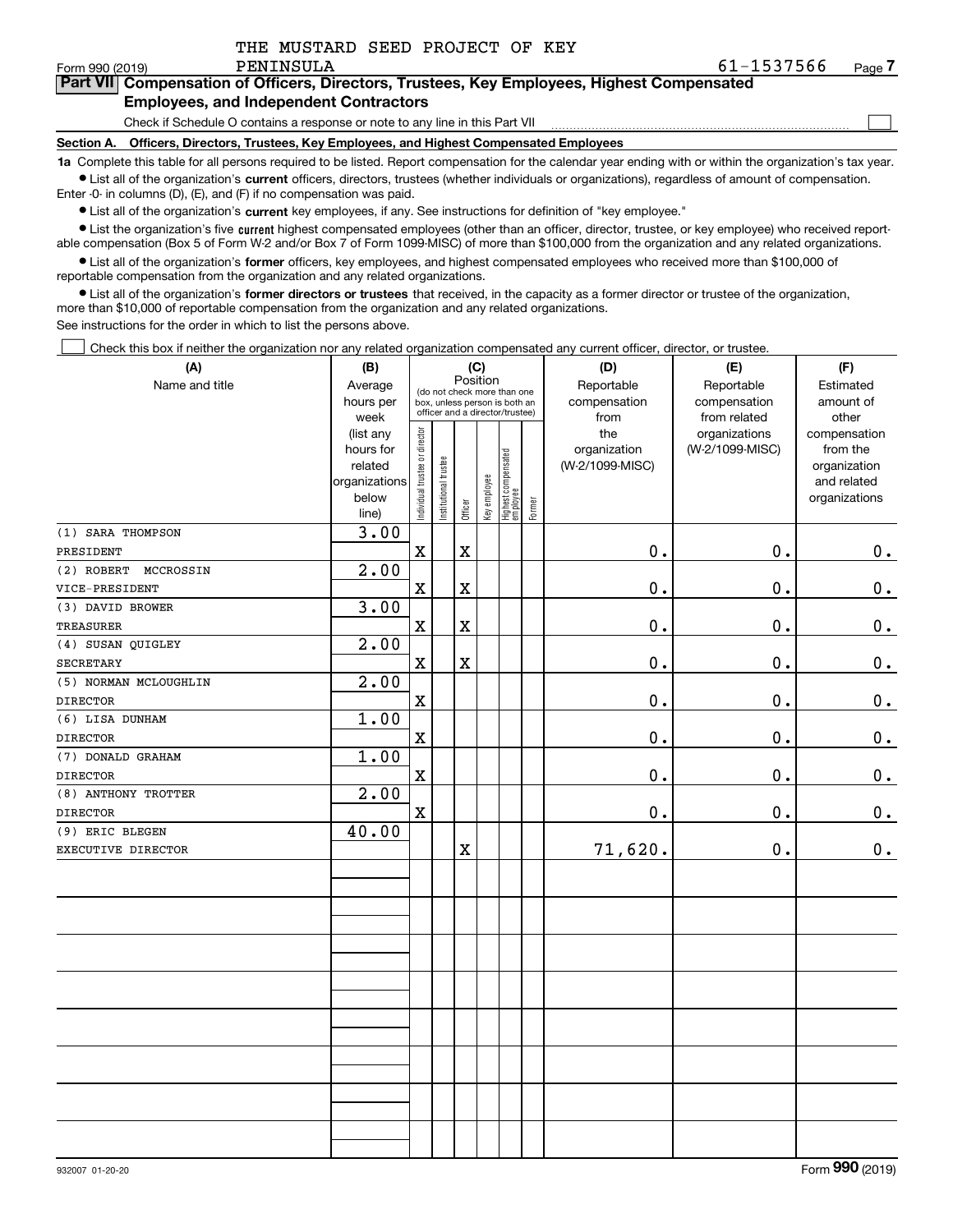|  | THE MUSTARD SEED PROJECT OF KEY |  |
|--|---------------------------------|--|
|  |                                 |  |

 $\mathcal{L}^{\text{max}}$ 

## **7Part VII Compensation of Officers, Directors, Trustees, Key Employees, Highest Compensated Employees, and Independent Contractors**

Check if Schedule O contains a response or note to any line in this Part VII

**Section A. Officers, Directors, Trustees, Key Employees, and Highest Compensated Employees**

**1a**  Complete this table for all persons required to be listed. Report compensation for the calendar year ending with or within the organization's tax year. **•** List all of the organization's current officers, directors, trustees (whether individuals or organizations), regardless of amount of compensation.

Enter -0- in columns (D), (E), and (F) if no compensation was paid.

 $\bullet$  List all of the organization's  $\,$ current key employees, if any. See instructions for definition of "key employee."

**•** List the organization's five current highest compensated employees (other than an officer, director, trustee, or key employee) who received reportable compensation (Box 5 of Form W-2 and/or Box 7 of Form 1099-MISC) of more than \$100,000 from the organization and any related organizations.

**•** List all of the organization's former officers, key employees, and highest compensated employees who received more than \$100,000 of reportable compensation from the organization and any related organizations.

**former directors or trustees**  ¥ List all of the organization's that received, in the capacity as a former director or trustee of the organization, more than \$10,000 of reportable compensation from the organization and any related organizations.

See instructions for the order in which to list the persons above.

Check this box if neither the organization nor any related organization compensated any current officer, director, or trustee.  $\mathcal{L}^{\text{max}}$ 

| (A)                   | (B)                    | (C)<br>Position                |                                                                  |                         |              |                                 |        | (D)                 | (E)             | (F)                      |
|-----------------------|------------------------|--------------------------------|------------------------------------------------------------------|-------------------------|--------------|---------------------------------|--------|---------------------|-----------------|--------------------------|
| Name and title        | Average                |                                | (do not check more than one                                      |                         |              |                                 |        | Reportable          | Reportable      | Estimated                |
|                       | hours per              |                                | box, unless person is both an<br>officer and a director/trustee) |                         |              |                                 |        | compensation        | compensation    | amount of                |
|                       | week                   |                                |                                                                  |                         |              |                                 |        | from                | from related    | other                    |
|                       | (list any<br>hours for |                                |                                                                  |                         |              |                                 |        | the<br>organization | organizations   | compensation<br>from the |
|                       | related                |                                |                                                                  |                         |              |                                 |        | (W-2/1099-MISC)     | (W-2/1099-MISC) | organization             |
|                       | organizations          |                                |                                                                  |                         |              |                                 |        |                     |                 | and related              |
|                       | below                  |                                |                                                                  |                         |              |                                 |        |                     |                 | organizations            |
|                       | line)                  | Individual trustee or director | Institutional trustee                                            | Officer                 | Key employee | Highest compensated<br>employee | Former |                     |                 |                          |
| (1) SARA THOMPSON     | 3.00                   |                                |                                                                  |                         |              |                                 |        |                     |                 |                          |
| PRESIDENT             |                        | $\mathbf X$                    |                                                                  | $\mathbf X$             |              |                                 |        | $0$ .               | 0.              | 0.                       |
| (2) ROBERT MCCROSSIN  | 2.00                   |                                |                                                                  |                         |              |                                 |        |                     |                 |                          |
| VICE-PRESIDENT        |                        | $\mathbf X$                    |                                                                  | $\rm X$                 |              |                                 |        | $\mathbf 0$ .       | 0.              | $\mathbf 0$ .            |
| (3) DAVID BROWER      | 3.00                   |                                |                                                                  |                         |              |                                 |        |                     |                 |                          |
| <b>TREASURER</b>      |                        | $\mathbf X$                    |                                                                  | $\mathbf X$             |              |                                 |        | $\mathbf 0$ .       | $\mathbf 0$ .   | $\mathbf 0$ .            |
| (4) SUSAN QUIGLEY     | 2.00                   |                                |                                                                  |                         |              |                                 |        |                     |                 |                          |
| <b>SECRETARY</b>      |                        | $\mathbf x$                    |                                                                  | $\overline{\mathbf{X}}$ |              |                                 |        | 0.                  | 0.              | $\mathbf 0$ .            |
| (5) NORMAN MCLOUGHLIN | $\overline{2.00}$      |                                |                                                                  |                         |              |                                 |        |                     |                 |                          |
| <b>DIRECTOR</b>       |                        | $\mathbf X$                    |                                                                  |                         |              |                                 |        | $0$ .               | 0.              | 0.                       |
| (6) LISA DUNHAM       | 1.00                   |                                |                                                                  |                         |              |                                 |        |                     |                 |                          |
| <b>DIRECTOR</b>       |                        | $\mathbf X$                    |                                                                  |                         |              |                                 |        | $\mathbf 0$ .       | 0.              | $\mathbf 0$ .            |
| (7) DONALD GRAHAM     | 1.00                   |                                |                                                                  |                         |              |                                 |        |                     |                 |                          |
| <b>DIRECTOR</b>       |                        | $\mathbf X$                    |                                                                  |                         |              |                                 |        | $0$ .               | $\mathbf 0$ .   | $\mathbf 0$ .            |
| (8) ANTHONY TROTTER   | 2.00                   |                                |                                                                  |                         |              |                                 |        |                     |                 |                          |
| <b>DIRECTOR</b>       |                        | $\mathbf X$                    |                                                                  |                         |              |                                 |        | $0$ .               | 0.              | $\mathbf 0$ .            |
| (9) ERIC BLEGEN       | 40.00                  |                                |                                                                  |                         |              |                                 |        |                     |                 |                          |
| EXECUTIVE DIRECTOR    |                        |                                |                                                                  | $\mathbf X$             |              |                                 |        | 71,620.             | $\mathbf 0$ .   | 0.                       |
|                       |                        |                                |                                                                  |                         |              |                                 |        |                     |                 |                          |
|                       |                        |                                |                                                                  |                         |              |                                 |        |                     |                 |                          |
|                       |                        |                                |                                                                  |                         |              |                                 |        |                     |                 |                          |
|                       |                        |                                |                                                                  |                         |              |                                 |        |                     |                 |                          |
|                       |                        |                                |                                                                  |                         |              |                                 |        |                     |                 |                          |
|                       |                        |                                |                                                                  |                         |              |                                 |        |                     |                 |                          |
|                       |                        |                                |                                                                  |                         |              |                                 |        |                     |                 |                          |
|                       |                        |                                |                                                                  |                         |              |                                 |        |                     |                 |                          |
|                       |                        |                                |                                                                  |                         |              |                                 |        |                     |                 |                          |
|                       |                        |                                |                                                                  |                         |              |                                 |        |                     |                 |                          |
|                       |                        |                                |                                                                  |                         |              |                                 |        |                     |                 |                          |
|                       |                        |                                |                                                                  |                         |              |                                 |        |                     |                 |                          |
|                       |                        |                                |                                                                  |                         |              |                                 |        |                     |                 |                          |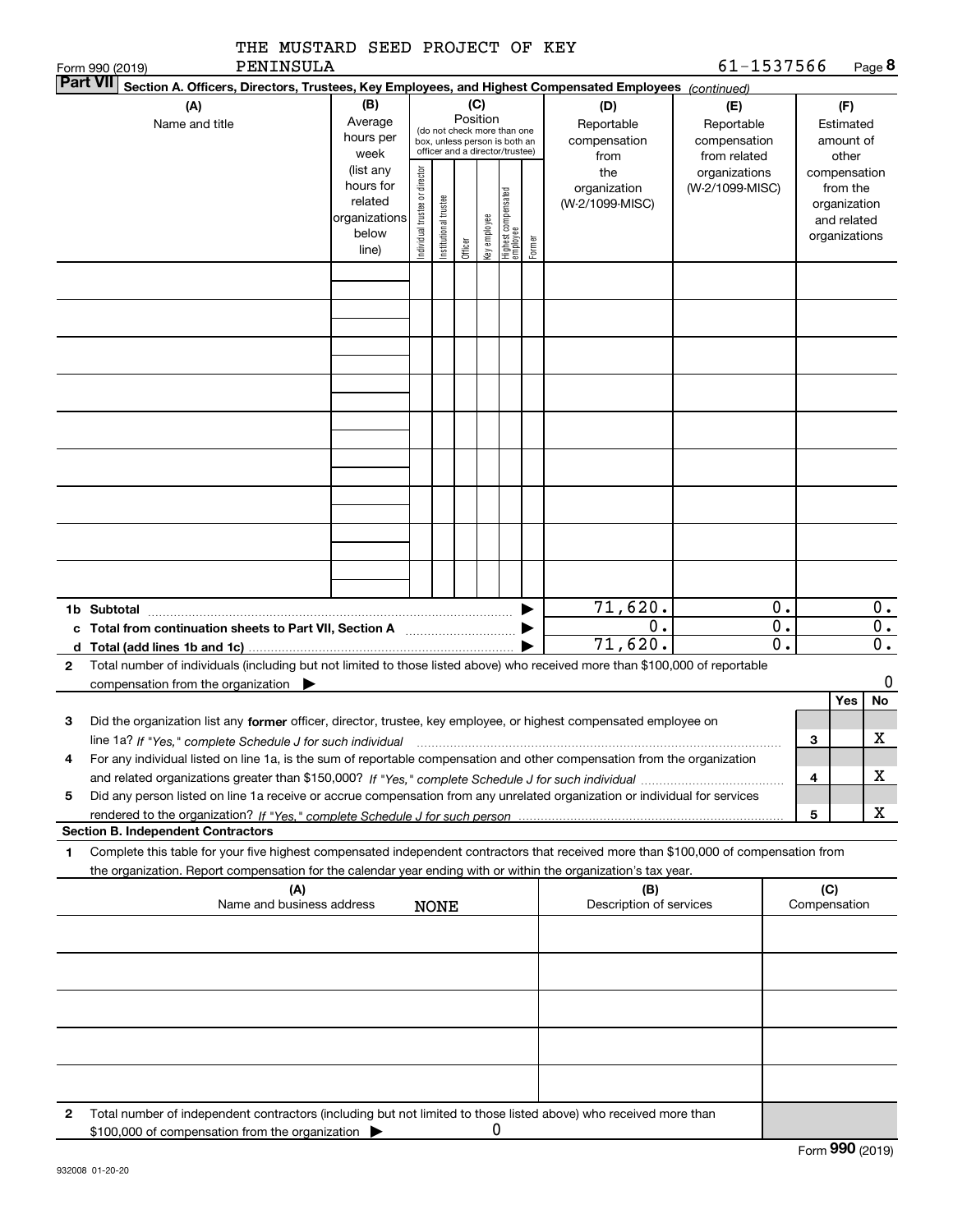|                                           | THE MUSTARD SEED PROJECT OF KEY<br>PENINSULA                                                                                                                                                                                                                              |                                                                      |  |             |         |                 |                                                                                                 |        |                                           | 61-1537566                                        |                        |                     |                                                                          | Page 8                 |
|-------------------------------------------|---------------------------------------------------------------------------------------------------------------------------------------------------------------------------------------------------------------------------------------------------------------------------|----------------------------------------------------------------------|--|-------------|---------|-----------------|-------------------------------------------------------------------------------------------------|--------|-------------------------------------------|---------------------------------------------------|------------------------|---------------------|--------------------------------------------------------------------------|------------------------|
| Form 990 (2019)<br><b>Part VII</b>        | Section A. Officers, Directors, Trustees, Key Employees, and Highest Compensated Employees (continued)                                                                                                                                                                    |                                                                      |  |             |         |                 |                                                                                                 |        |                                           |                                                   |                        |                     |                                                                          |                        |
|                                           | (B)<br>(A)<br>Average<br>Name and title<br>hours per<br>week                                                                                                                                                                                                              |                                                                      |  |             |         | (C)<br>Position | (do not check more than one<br>box, unless person is both an<br>officer and a director/trustee) |        | (D)<br>Reportable<br>compensation<br>from | (E)<br>Reportable<br>compensation<br>from related |                        |                     | (F)<br>Estimated<br>amount of<br>other                                   |                        |
|                                           |                                                                                                                                                                                                                                                                           | (list any<br>hours for<br>related<br>organizations<br>below<br>line) |  |             | Officer | Key employee    | Highest compensated<br>employee                                                                 | Former | the<br>organization<br>(W-2/1099-MISC)    | organizations<br>(W-2/1099-MISC)                  |                        |                     | compensation<br>from the<br>organization<br>and related<br>organizations |                        |
|                                           |                                                                                                                                                                                                                                                                           |                                                                      |  |             |         |                 |                                                                                                 |        |                                           |                                                   |                        |                     |                                                                          |                        |
|                                           |                                                                                                                                                                                                                                                                           |                                                                      |  |             |         |                 |                                                                                                 |        |                                           |                                                   |                        |                     |                                                                          |                        |
|                                           |                                                                                                                                                                                                                                                                           |                                                                      |  |             |         |                 |                                                                                                 |        |                                           |                                                   |                        |                     |                                                                          |                        |
|                                           |                                                                                                                                                                                                                                                                           |                                                                      |  |             |         |                 |                                                                                                 |        |                                           |                                                   |                        |                     |                                                                          |                        |
|                                           |                                                                                                                                                                                                                                                                           |                                                                      |  |             |         |                 |                                                                                                 |        |                                           |                                                   |                        |                     |                                                                          |                        |
|                                           |                                                                                                                                                                                                                                                                           |                                                                      |  |             |         |                 |                                                                                                 |        |                                           |                                                   |                        |                     |                                                                          |                        |
|                                           |                                                                                                                                                                                                                                                                           |                                                                      |  |             |         |                 |                                                                                                 |        |                                           |                                                   |                        |                     |                                                                          |                        |
| 1b Subtotal                               | c Total from continuation sheets to Part VII, Section A [11, 11] [11] Total from continuation sheets to Part VII, Section A                                                                                                                                               |                                                                      |  |             |         |                 |                                                                                                 |        | 71,620.<br>$\overline{0}$ .               |                                                   | 0.<br>$\overline{0}$ . |                     |                                                                          | 0.<br>$\overline{0}$ . |
| d $Total (add lines 1b and 1c)$ .<br>2    | Total number of individuals (including but not limited to those listed above) who received more than \$100,000 of reportable                                                                                                                                              |                                                                      |  |             |         |                 |                                                                                                 |        | 71,620.                                   |                                                   | $\overline{0}$ .       |                     |                                                                          | $\overline{0}$ .       |
|                                           | compensation from the organization $\blacktriangleright$                                                                                                                                                                                                                  |                                                                      |  |             |         |                 |                                                                                                 |        |                                           |                                                   |                        |                     | Yes                                                                      | 0<br>No                |
| з                                         | Did the organization list any former officer, director, trustee, key employee, or highest compensated employee on<br>line 1a? If "Yes," complete Schedule J for such individual manufactured contained and the line 1a? If "Yes," complete Schedule J for such individual |                                                                      |  |             |         |                 |                                                                                                 |        |                                           |                                                   |                        | 3                   |                                                                          | X                      |
| 4                                         | For any individual listed on line 1a, is the sum of reportable compensation and other compensation from the organization                                                                                                                                                  |                                                                      |  |             |         |                 |                                                                                                 |        |                                           |                                                   |                        | 4                   |                                                                          | x.                     |
| 5                                         | Did any person listed on line 1a receive or accrue compensation from any unrelated organization or individual for services                                                                                                                                                |                                                                      |  |             |         |                 |                                                                                                 |        |                                           |                                                   |                        | 5                   |                                                                          | x                      |
| <b>Section B. Independent Contractors</b> |                                                                                                                                                                                                                                                                           |                                                                      |  |             |         |                 |                                                                                                 |        |                                           |                                                   |                        |                     |                                                                          |                        |
| 1                                         | Complete this table for your five highest compensated independent contractors that received more than \$100,000 of compensation from<br>the organization. Report compensation for the calendar year ending with or within the organization's tax year.                    |                                                                      |  |             |         |                 |                                                                                                 |        |                                           |                                                   |                        |                     |                                                                          |                        |
|                                           | (A)<br>Name and business address                                                                                                                                                                                                                                          |                                                                      |  | <b>NONE</b> |         |                 |                                                                                                 |        | (B)<br>Description of services            |                                                   |                        | (C)<br>Compensation |                                                                          |                        |
|                                           |                                                                                                                                                                                                                                                                           |                                                                      |  |             |         |                 |                                                                                                 |        |                                           |                                                   |                        |                     |                                                                          |                        |
|                                           |                                                                                                                                                                                                                                                                           |                                                                      |  |             |         |                 |                                                                                                 |        |                                           |                                                   |                        |                     |                                                                          |                        |
|                                           |                                                                                                                                                                                                                                                                           |                                                                      |  |             |         |                 |                                                                                                 |        |                                           |                                                   |                        |                     |                                                                          |                        |
|                                           |                                                                                                                                                                                                                                                                           |                                                                      |  |             |         |                 |                                                                                                 |        |                                           |                                                   |                        |                     |                                                                          |                        |
| 2                                         | Total number of independent contractors (including but not limited to those listed above) who received more than<br>\$100,000 of compensation from the organization                                                                                                       |                                                                      |  |             |         | 0               |                                                                                                 |        |                                           |                                                   |                        |                     |                                                                          |                        |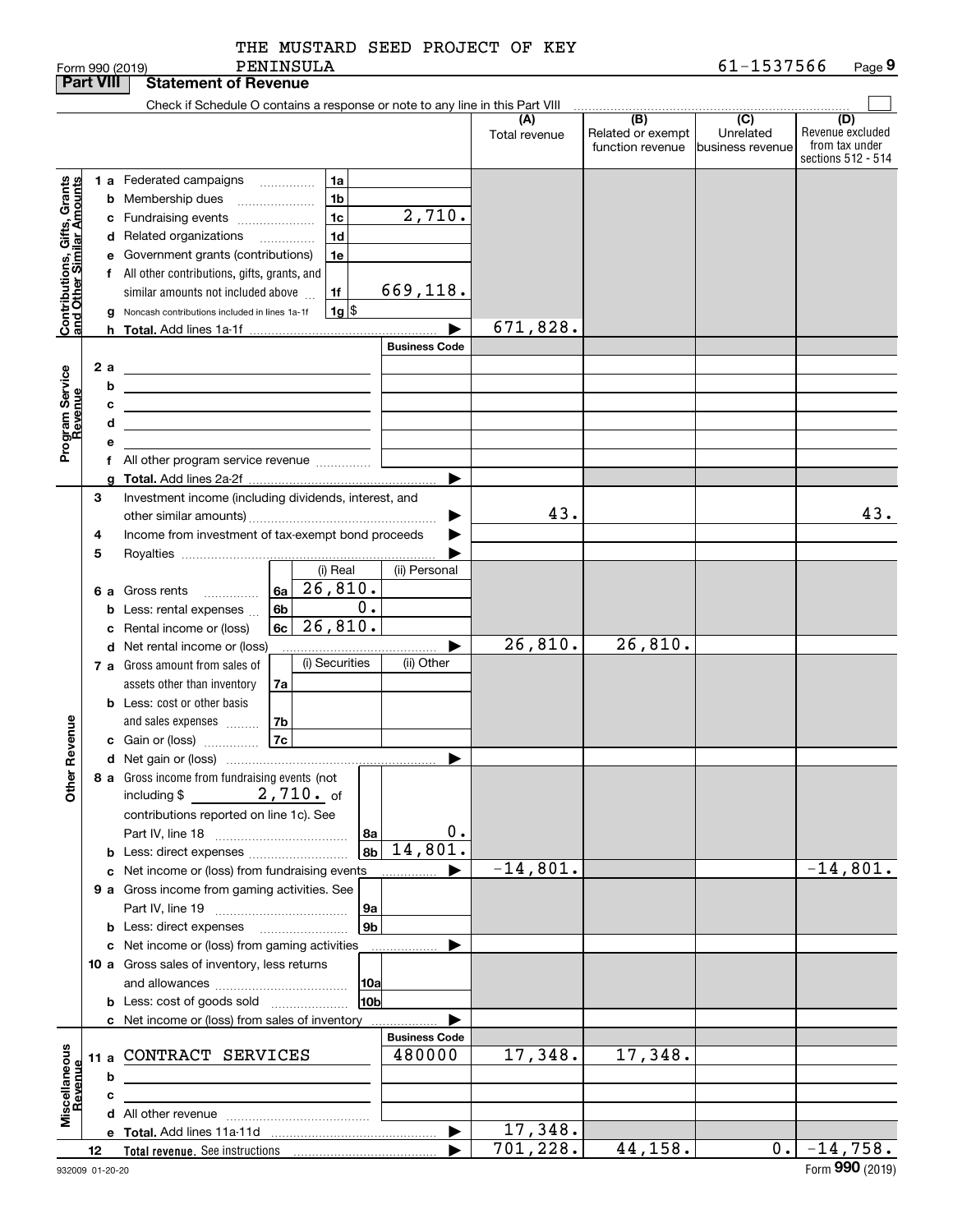|  | THE MUSTARD SEED PROJECT OF KEY |  |
|--|---------------------------------|--|
|  |                                 |  |

|                                                                                         | <b>Part VIII</b>    | <b>Statement of Revenue</b>                                                                                                                                                                                                                                                                                                                                                                                                                                                                                                                                                                                                                                                                                                                                                               |                      |                                              |                                                 |                                                                 |
|-----------------------------------------------------------------------------------------|---------------------|-------------------------------------------------------------------------------------------------------------------------------------------------------------------------------------------------------------------------------------------------------------------------------------------------------------------------------------------------------------------------------------------------------------------------------------------------------------------------------------------------------------------------------------------------------------------------------------------------------------------------------------------------------------------------------------------------------------------------------------------------------------------------------------------|----------------------|----------------------------------------------|-------------------------------------------------|-----------------------------------------------------------------|
|                                                                                         |                     | Check if Schedule O contains a response or note to any line in this Part VIII                                                                                                                                                                                                                                                                                                                                                                                                                                                                                                                                                                                                                                                                                                             |                      |                                              |                                                 |                                                                 |
|                                                                                         |                     |                                                                                                                                                                                                                                                                                                                                                                                                                                                                                                                                                                                                                                                                                                                                                                                           | (A)<br>Total revenue | (B)<br>Related or exempt<br>function revenue | $\overline{C}$<br>Unrelated<br>business revenue | (D)<br>Revenue excluded<br>from tax under<br>sections 512 - 514 |
| Contributions, Gifts, Grants<br>and Other Similar Amounts<br>Program Service<br>Revenue | h.<br>2 a<br>b<br>с | <b>1 a</b> Federated campaigns<br>1a<br>.<br>1 <sub>b</sub><br><b>b</b> Membership dues<br>$\ldots \ldots \ldots \ldots \ldots$<br>2,710.<br>1 <sub>c</sub><br>c Fundraising events<br>1 <sub>d</sub><br>d Related organizations<br>$\overline{\phantom{a}}$<br>e Government grants (contributions)<br>1e<br>f All other contributions, gifts, grants, and<br>669,118.<br>1f<br>similar amounts not included above<br>$1g$ \$<br>Noncash contributions included in lines 1a-1f<br><b>Business Code</b><br><u> 1989 - Johann Barn, mars ann an t-Amhain Aonaich an t-Aonaich an t-Aonaich ann an t-Aonaich ann an t-Aonaich</u><br><u> 1980 - Johann Barbara, martxa alemaniar amerikan a</u><br>the control of the control of the control of the control of the control of the control of | 671,828.<br>▶        |                                              |                                                 |                                                                 |
|                                                                                         | d<br>е              | <u> 1989 - Johann Barbara, martin amerikan basar dan berasal dalam basar dalam basar dalam basar dalam basar dala</u><br>f All other program service revenue                                                                                                                                                                                                                                                                                                                                                                                                                                                                                                                                                                                                                              | ▶                    |                                              |                                                 |                                                                 |
|                                                                                         | a<br>З<br>4         | Investment income (including dividends, interest, and<br>Income from investment of tax-exempt bond proceeds                                                                                                                                                                                                                                                                                                                                                                                                                                                                                                                                                                                                                                                                               | 43.                  |                                              |                                                 | 43.                                                             |
|                                                                                         | 5<br>b<br>с         | (i) Real<br>(ii) Personal<br>26,810.<br>6a<br>6 a Gross rents<br>0.<br>6 <sub>b</sub><br>Less: rental expenses<br>26,810.<br>6c<br>Rental income or (loss)                                                                                                                                                                                                                                                                                                                                                                                                                                                                                                                                                                                                                                |                      |                                              |                                                 |                                                                 |
|                                                                                         |                     | d Net rental income or (loss)<br>(i) Securities<br>(ii) Other<br>7 a Gross amount from sales of<br>assets other than inventory<br>7a<br><b>b</b> Less: cost or other basis                                                                                                                                                                                                                                                                                                                                                                                                                                                                                                                                                                                                                | 26,810.              | 26,810.                                      |                                                 |                                                                 |
| Revenue<br>Other                                                                        |                     | 7b<br>and sales expenses<br> 7c <br>c Gain or (loss)<br>8 a Gross income from fundraising events (not                                                                                                                                                                                                                                                                                                                                                                                                                                                                                                                                                                                                                                                                                     | ▶                    |                                              |                                                 |                                                                 |
|                                                                                         |                     | $2,710.$ of<br>including \$<br>contributions reported on line 1c). See<br>8a<br>14,801.<br>8 <sub>b</sub>                                                                                                                                                                                                                                                                                                                                                                                                                                                                                                                                                                                                                                                                                 | 0.                   |                                              |                                                 |                                                                 |
|                                                                                         |                     | c Net income or (loss) from fundraising events<br>9 a Gross income from gaming activities. See<br> 9a<br>9 <sub>b</sub>                                                                                                                                                                                                                                                                                                                                                                                                                                                                                                                                                                                                                                                                   | $-14,801.$<br>▶      |                                              |                                                 | $-14,801.$                                                      |
|                                                                                         |                     | c Net income or (loss) from gaming activities<br>10 a Gross sales of inventory, less returns<br> 10a<br>10b<br><b>b</b> Less: cost of goods sold<br>c Net income or (loss) from sales of inventory                                                                                                                                                                                                                                                                                                                                                                                                                                                                                                                                                                                        |                      |                                              |                                                 |                                                                 |
| Miscellaneous<br>Revenue                                                                | b<br>c              | <b>Business Code</b><br>11 a CONTRACT SERVICES<br>480000<br><u> 1989 - Johann Barn, mars ann an t-</u>                                                                                                                                                                                                                                                                                                                                                                                                                                                                                                                                                                                                                                                                                    | 17,348.              | 17,348.                                      |                                                 |                                                                 |
|                                                                                         |                     |                                                                                                                                                                                                                                                                                                                                                                                                                                                                                                                                                                                                                                                                                                                                                                                           | 17,348.<br>▶         |                                              |                                                 |                                                                 |
|                                                                                         | 12                  |                                                                                                                                                                                                                                                                                                                                                                                                                                                                                                                                                                                                                                                                                                                                                                                           | 701, 228.            | 44,158.                                      |                                                 | $0. -14,758.$                                                   |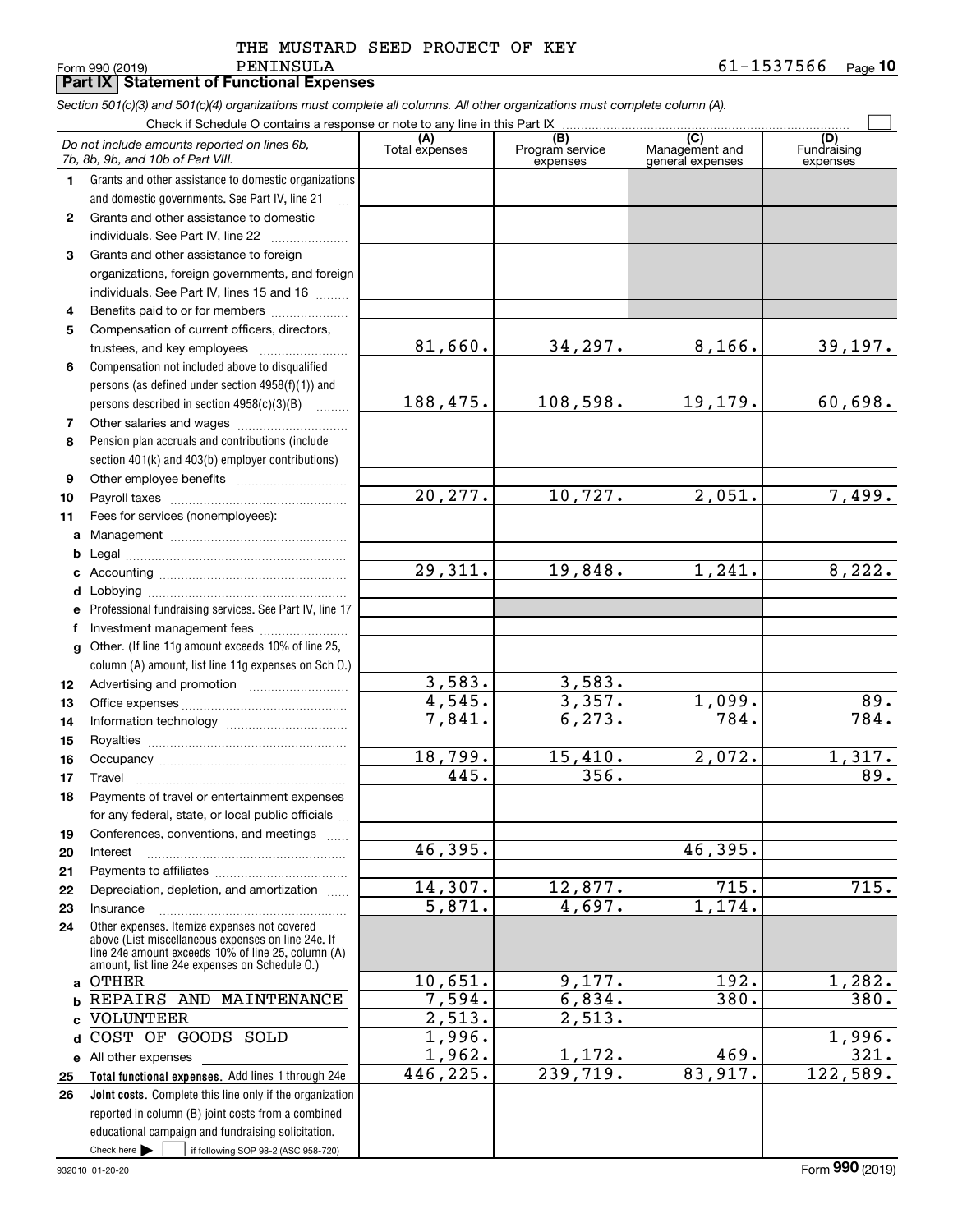34,297. 8,166. 39,197.

 $108,598.$  19,179. 60,698.

10,727. 2,051. 7,499.

19,848. 1,241. 8,222.

 $3,357.$  1,099. 89. 6,273. 784. 784.

15,410. 2,072. 1,317. 356. 89.

46,395.

12,877. 715. 715.

 $9,177.$  192. 1,282. 6,834. 380. 380.

1,172. 469. 321. 239,719. 83,917. 122,589.

4,697. 1,174.

 $\mathcal{L}^{\text{max}}$ 

| PENINSULA<br>Form 990 (2019)                                                                                               |                       |                                    |                                           | 61-1537566                     | Page |  |
|----------------------------------------------------------------------------------------------------------------------------|-----------------------|------------------------------------|-------------------------------------------|--------------------------------|------|--|
| <b>Part IX Statement of Functional Expenses</b>                                                                            |                       |                                    |                                           |                                |      |  |
| Section 501(c)(3) and 501(c)(4) organizations must complete all columns. All other organizations must complete column (A). |                       |                                    |                                           |                                |      |  |
| Check if Schedule O contains a response or note to any line in this Part IX                                                |                       |                                    |                                           |                                |      |  |
| Do not include amounts reported on lines 6b,<br>7b, 8b, 9b, and 10b of Part VIII.                                          | (A)<br>Total expenses | (B)<br>Program service<br>expenses | (C)<br>Management and<br>general expenses | (D)<br>Fundraising<br>expenses |      |  |
| Grants and other assistance to domestic organizations<br>and domestic governments. See Part IV, line 21                    |                       |                                    |                                           |                                |      |  |
|                                                                                                                            |                       |                                    |                                           |                                |      |  |

81,660.

188,475.

20,277.

29,311.

3,583. 4,545. 7,841. 3,583.

2,513.

18,799. 445.

46,395.

14,307. 5,871.

10,651. 7,594. 2,513. 1,996. 1,962. 446,225.

### **23** Grants and other assistance to foreign Grants and other assistance to domestic individuals. See Part IV, line 22 ~~~~~~~~~~~~~~~~~ organizations, foreign governments, and foreign

- **4**individuals. See Part IV, lines 15 and 16  $\ldots$ Benefits paid to or for members ....................
- **56**Compensation not included above to disqualified Compensation of current officers, directors, trustees, and key employees  $\ldots$   $\ldots$   $\ldots$   $\ldots$   $\ldots$
- persons (as defined under section 4958(f)(1)) and persons described in section 4958(c)(3)(B)  $\quad \ldots \ldots \ldots$
- **78**Pension plan accruals and contributions (include section 401(k) and 403(b) employer contributions) Other salaries and wages ~~~~~~~~~~
- **910**Other employee benefits ~~~~~~~~~~ Payroll taxes ~~~~~~~~~~~~~~~~
- **11**Fees for services (nonemployees):
- **ab**Management ~~~~~~~~~~~~~~~~
- **cd**Legal ~~~~~~~~~~~~~~~~~~~~ Accounting ~~~~~~~~~~~~~~~~~ Lobbying ~~~~~~~~~~~~~~~~~~
- **ef**Professional fundraising services. See Part IV, line 17 lnvestment management fees .......................
- **g12**Other. (If line 11g amount exceeds 10% of line 25, column (A) amount, list line 11g expenses on Sch O.) Advertising and promotion www.communication
- **131415161718**Office expenses ~~~~~~~~~~~~~~~Information technology ~~~~~~~~~~~ Royalties ~~~~~~~~~~~~~~~~~~ Occupancy ~~~~~~~~~~~~~~~~~ Travel ………………………………………………
- **1920**Payments of travel or entertainment expenses for any federal, state, or local public officials ... Conferences, conventions, and meetings Interest
- **2122**Payments to affiliates ~~~~~~~~~~~~ Depreciation, depletion, and amortization  $\,\,\ldots\,\,$
- **2324a**OTHER Other expenses. Itemize expenses not covered above (List miscellaneous expenses on line 24e. If line 24e amount exceeds 10% of line 25, column (A) amount, list line 24e expenses on Schedule O.) Insurance
- **bcd**COST OF GOODS SOLD REPAIRS AND MAINTENANCE VOLUNTEER
- **Total functional expenses.**  Add lines 1 through 24e **Joint costs.** Complete this line only if the organization **e** All other expenses **2526**reported in column (B) joint costs from a combined educational campaign and fundraising solicitation.

Check here  $\begin{array}{|c|c|c|c|c|}\hline \text{ } & \text{ if following SOP 98-2 (ASC 958-720)} \hline \end{array}$ 

932010 01-20-20

1,996.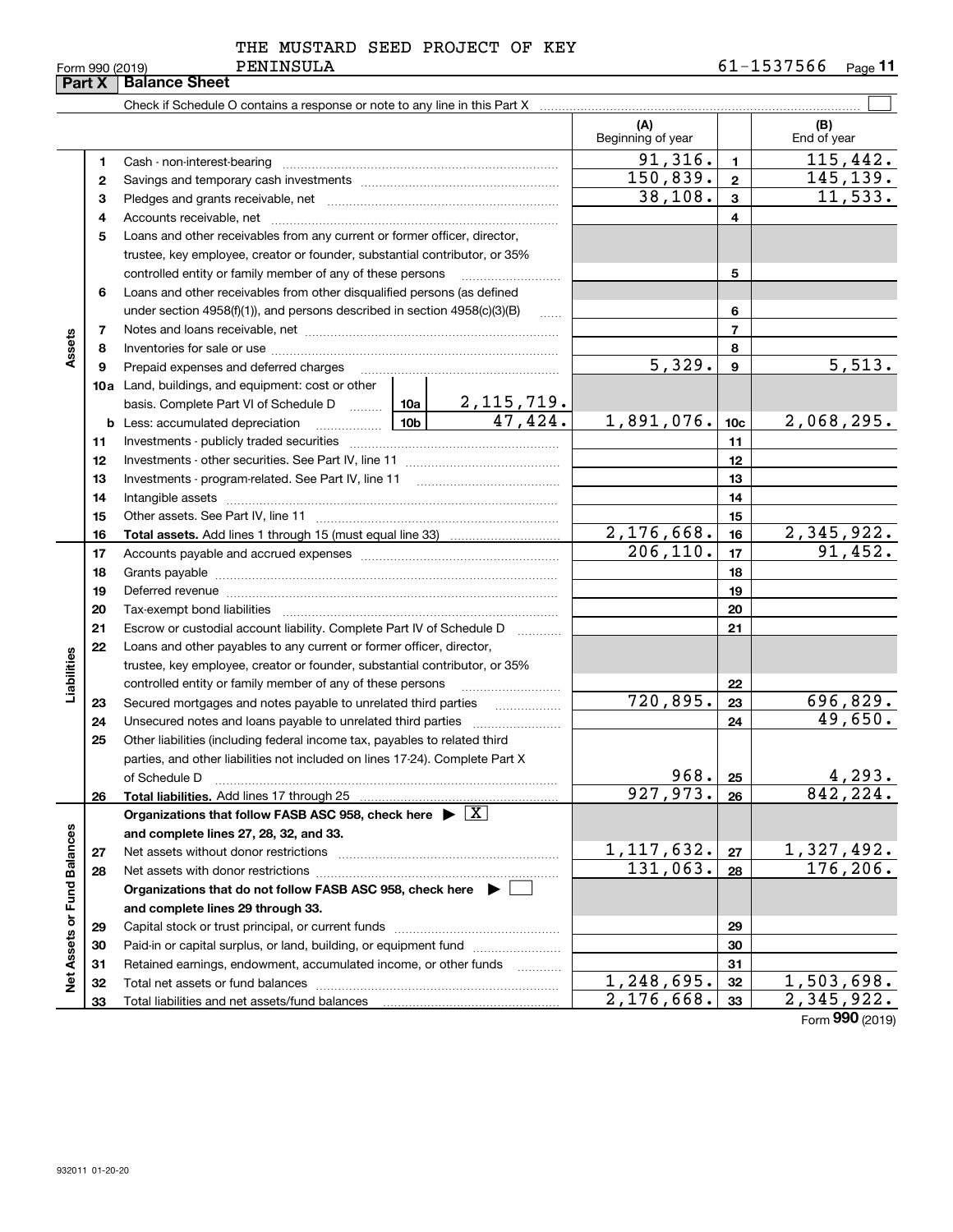| THE MUSTARD SEED PROJECT OF KEY |  |
|---------------------------------|--|
|---------------------------------|--|

Form 990 (2019) Page **11** PENINSULA 61-1537566

|                             | Part X | <b>Balance Sheet</b>                                                                         |                          |                  |                         |
|-----------------------------|--------|----------------------------------------------------------------------------------------------|--------------------------|------------------|-------------------------|
|                             |        |                                                                                              |                          |                  |                         |
|                             |        |                                                                                              | (A)<br>Beginning of year |                  | (B)<br>End of year      |
|                             | 1      |                                                                                              | 91,316.                  | $\mathbf{1}$     | 115,442.                |
|                             | 2      |                                                                                              | 150,839.                 | $\mathbf{2}$     | 145,139.                |
|                             | з      |                                                                                              | 38,108.                  | 3                | 11,533.                 |
|                             | 4      |                                                                                              |                          | 4                |                         |
|                             | 5      | Loans and other receivables from any current or former officer, director,                    |                          |                  |                         |
|                             |        | trustee, key employee, creator or founder, substantial contributor, or 35%                   |                          |                  |                         |
|                             |        | controlled entity or family member of any of these persons                                   |                          | 5                |                         |
|                             | 6      | Loans and other receivables from other disqualified persons (as defined                      |                          |                  |                         |
|                             |        | under section $4958(f)(1)$ , and persons described in section $4958(c)(3)(B)$<br>$\ldots$    |                          | 6                |                         |
|                             | 7      |                                                                                              |                          | $\overline{7}$   |                         |
| Assets                      | 8      |                                                                                              |                          | 8                |                         |
|                             | 9      | Prepaid expenses and deferred charges                                                        | 5,329.                   | $\boldsymbol{9}$ | 5,513.                  |
|                             |        | <b>10a</b> Land, buildings, and equipment: cost or other                                     |                          |                  |                         |
|                             |        |                                                                                              |                          |                  |                         |
|                             | b      | <u>  10b</u><br>Less: accumulated depreciation                                               | 1,891,076.               | 10 <sub>c</sub>  | 2,068,295.              |
|                             | 11     |                                                                                              |                          | 11               |                         |
|                             | 12     |                                                                                              |                          | 12               |                         |
|                             | 13     |                                                                                              |                          | 13               |                         |
|                             | 14     |                                                                                              |                          | 14               |                         |
|                             | 15     |                                                                                              |                          | 15               |                         |
|                             | 16     |                                                                                              | 2,176,668.               | 16               | $\overline{2,345,922.}$ |
|                             | 17     |                                                                                              | 206, 110.                | 17               | 91,452.                 |
|                             | 18     |                                                                                              |                          | 18               |                         |
|                             | 19     |                                                                                              |                          | 19               |                         |
|                             | 20     |                                                                                              |                          | 20               |                         |
|                             | 21     | Escrow or custodial account liability. Complete Part IV of Schedule D<br>1.1.1.1.1.1.1.1.1.1 |                          | 21               |                         |
|                             | 22     | Loans and other payables to any current or former officer, director,                         |                          |                  |                         |
| Liabilities                 |        | trustee, key employee, creator or founder, substantial contributor, or 35%                   |                          |                  |                         |
|                             |        | controlled entity or family member of any of these persons                                   |                          | 22               |                         |
|                             | 23     | Secured mortgages and notes payable to unrelated third parties                               | 720,895.                 | 23               | 696,829.                |
|                             | 24     | Unsecured notes and loans payable to unrelated third parties                                 |                          | 24               | 49,650.                 |
|                             | 25     | Other liabilities (including federal income tax, payables to related third                   |                          |                  |                         |
|                             |        | parties, and other liabilities not included on lines 17-24). Complete Part X                 |                          |                  |                         |
|                             |        | of Schedule D                                                                                | 968.                     | 25               | 4,293.                  |
|                             | 26     | Total liabilities. Add lines 17 through 25                                                   | 927,973.                 | 26               | 842,224.                |
|                             |        | Organizations that follow FASB ASC 958, check here $\blacktriangleright \boxed{X}$           |                          |                  |                         |
|                             |        | and complete lines 27, 28, 32, and 33.                                                       |                          |                  |                         |
|                             | 27     | Net assets without donor restrictions                                                        | 1, 117, 632.             | 27               | 1,327,492.              |
|                             | 28     | Net assets with donor restrictions                                                           | 131,063.                 | 28               | 176, 206.               |
|                             |        | Organizations that do not follow FASB ASC 958, check here $\blacktriangleright$              |                          |                  |                         |
|                             |        | and complete lines 29 through 33.                                                            |                          |                  |                         |
|                             | 29     |                                                                                              |                          | 29               |                         |
| Net Assets or Fund Balances | 30     | Paid-in or capital surplus, or land, building, or equipment fund                             |                          | 30               |                         |
|                             | 31     | Retained earnings, endowment, accumulated income, or other funds<br>.                        |                          | 31               |                         |
|                             | 32     |                                                                                              | 1,248,695.               | 32               | 1,503,698.              |

**Organizations that do not follow FASB ASC 958, check here and complete lines 29 through 33. 2930313233** $\blacktriangleright$   $\ulcorner$ Capital stock or trust principal, or current funds ~~~~~~~~~~~~~~~ Paid-in or capital surplus, or land, building, or equipment fund www.commun.com Retained earnings, endowment, accumulated income, or other funds we have all the Total net assets or fund balances ~~~~~~~~~~~~~~~~~~~~~~ Total liabilities and net assets/fund balances  $\mathbb{Z}^2$  $1,248,695.$   $32$   $1,503,698.$  $2, 176, 668. |33 | 2, 345, 922.$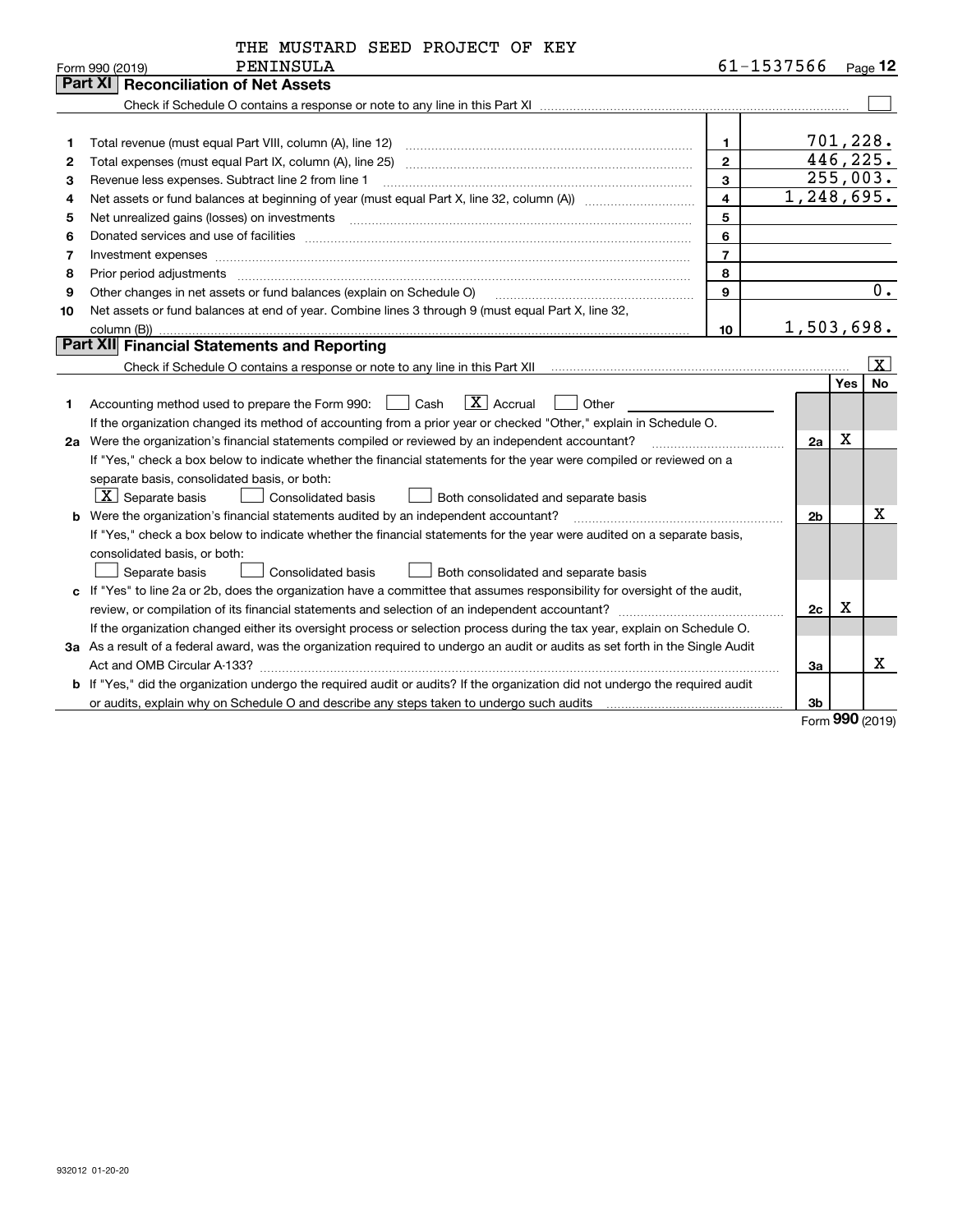|    | THE MUSTARD SEED PROJECT OF KEY                                                                                                                                                                                                |                         |                |            |                       |
|----|--------------------------------------------------------------------------------------------------------------------------------------------------------------------------------------------------------------------------------|-------------------------|----------------|------------|-----------------------|
|    | PENINSULA<br>Form 990 (2019)                                                                                                                                                                                                   |                         | 61-1537566     |            | Page 12               |
|    | <b>Reconciliation of Net Assets</b><br>Part XI                                                                                                                                                                                 |                         |                |            |                       |
|    |                                                                                                                                                                                                                                |                         |                |            |                       |
|    |                                                                                                                                                                                                                                |                         |                |            |                       |
| 1  |                                                                                                                                                                                                                                | 1.                      |                | 701,228.   |                       |
| 2  |                                                                                                                                                                                                                                | $\mathbf{2}$            |                | 446,225.   |                       |
| 3  | Revenue less expenses. Subtract line 2 from line 1                                                                                                                                                                             | 3                       |                |            | 255,003.              |
| 4  |                                                                                                                                                                                                                                | $\overline{\mathbf{4}}$ | 1,248,695.     |            |                       |
| 5  | Net unrealized gains (losses) on investments [11] matter continuum matter is a set of the set of the set of the                                                                                                                | 5                       |                |            |                       |
| 6  |                                                                                                                                                                                                                                | 6                       |                |            |                       |
| 7  |                                                                                                                                                                                                                                | $\overline{7}$          |                |            |                       |
| 8  | Prior period adjustments material contents and content of the content of the content of the content of the content of the content of the content of the content of the content of the content of the content of the content of | 8                       |                |            |                       |
| 9  | Other changes in net assets or fund balances (explain on Schedule O)                                                                                                                                                           | 9                       |                |            | 0.                    |
| 10 | Net assets or fund balances at end of year. Combine lines 3 through 9 (must equal Part X, line 32,                                                                                                                             |                         |                |            |                       |
|    | column (B))                                                                                                                                                                                                                    | 10                      | 1,503,698.     |            |                       |
|    | Part XII Financial Statements and Reporting                                                                                                                                                                                    |                         |                |            |                       |
|    |                                                                                                                                                                                                                                |                         |                |            | $\overline{\text{X}}$ |
|    |                                                                                                                                                                                                                                |                         |                | <b>Yes</b> | <b>No</b>             |
| 1  | $\boxed{\mathbf{X}}$ Accrual<br>Accounting method used to prepare the Form 990: <u>I</u> Cash<br>Other                                                                                                                         |                         |                |            |                       |
|    | If the organization changed its method of accounting from a prior year or checked "Other," explain in Schedule O.                                                                                                              |                         |                |            |                       |
|    | 2a Were the organization's financial statements compiled or reviewed by an independent accountant?                                                                                                                             |                         | 2a             | X          |                       |
|    | If "Yes," check a box below to indicate whether the financial statements for the year were compiled or reviewed on a                                                                                                           |                         |                |            |                       |
|    | separate basis, consolidated basis, or both:                                                                                                                                                                                   |                         |                |            |                       |
|    | $ \mathbf{X} $ Separate basis<br><b>Consolidated basis</b><br>Both consolidated and separate basis                                                                                                                             |                         |                |            |                       |
|    | <b>b</b> Were the organization's financial statements audited by an independent accountant?                                                                                                                                    |                         | 2 <sub>b</sub> |            | x                     |
|    | If "Yes," check a box below to indicate whether the financial statements for the year were audited on a separate basis,                                                                                                        |                         |                |            |                       |
|    | consolidated basis, or both:                                                                                                                                                                                                   |                         |                |            |                       |
|    | Separate basis<br><b>Consolidated basis</b><br>Both consolidated and separate basis                                                                                                                                            |                         |                |            |                       |
|    | c If "Yes" to line 2a or 2b, does the organization have a committee that assumes responsibility for oversight of the audit,                                                                                                    |                         |                |            |                       |
|    |                                                                                                                                                                                                                                |                         | 2c             | х          |                       |
|    | If the organization changed either its oversight process or selection process during the tax year, explain on Schedule O.                                                                                                      |                         |                |            |                       |
|    | 3a As a result of a federal award, was the organization required to undergo an audit or audits as set forth in the Single Audit                                                                                                |                         |                |            |                       |
|    |                                                                                                                                                                                                                                |                         | За             |            | x                     |
|    | b If "Yes," did the organization undergo the required audit or audits? If the organization did not undergo the required audit                                                                                                  |                         |                |            |                       |
|    |                                                                                                                                                                                                                                |                         | 3b             |            |                       |

Form (2019) **990**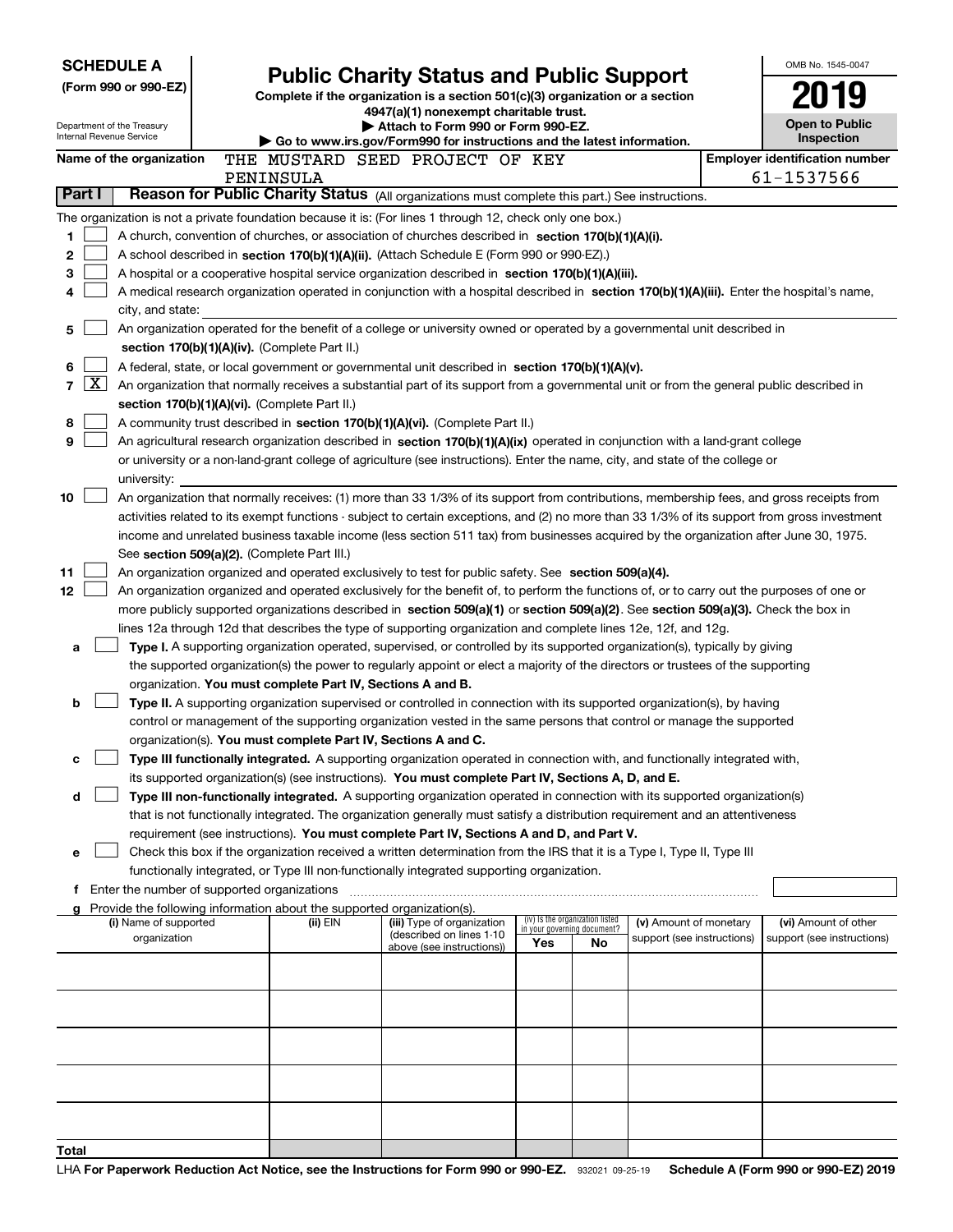|                          | <b>SCHEDULE A</b>                             |  |                                                                                                                                  |                                                                                                                                                                                                                                                      |                                    |    |                            | OMB No. 1545-0047                     |
|--------------------------|-----------------------------------------------|--|----------------------------------------------------------------------------------------------------------------------------------|------------------------------------------------------------------------------------------------------------------------------------------------------------------------------------------------------------------------------------------------------|------------------------------------|----|----------------------------|---------------------------------------|
| (Form 990 or 990-EZ)     |                                               |  | <b>Public Charity Status and Public Support</b><br>Complete if the organization is a section 501(c)(3) organization or a section |                                                                                                                                                                                                                                                      |                                    |    |                            |                                       |
|                          |                                               |  |                                                                                                                                  | 4947(a)(1) nonexempt charitable trust.                                                                                                                                                                                                               |                                    |    |                            |                                       |
| Internal Revenue Service | Department of the Treasury                    |  |                                                                                                                                  | Attach to Form 990 or Form 990-EZ.<br>Go to www.irs.gov/Form990 for instructions and the latest information.                                                                                                                                         |                                    |    |                            | Open to Public<br>Inspection          |
|                          | Name of the organization                      |  |                                                                                                                                  | THE MUSTARD SEED PROJECT OF KEY                                                                                                                                                                                                                      |                                    |    |                            | <b>Employer identification number</b> |
|                          |                                               |  | PENINSULA                                                                                                                        |                                                                                                                                                                                                                                                      |                                    |    |                            | 61-1537566                            |
| Part I                   |                                               |  |                                                                                                                                  | Reason for Public Charity Status (All organizations must complete this part.) See instructions.                                                                                                                                                      |                                    |    |                            |                                       |
|                          |                                               |  |                                                                                                                                  | The organization is not a private foundation because it is: (For lines 1 through 12, check only one box.)                                                                                                                                            |                                    |    |                            |                                       |
| 1                        |                                               |  |                                                                                                                                  | A church, convention of churches, or association of churches described in section 170(b)(1)(A)(i).                                                                                                                                                   |                                    |    |                            |                                       |
| 2                        |                                               |  |                                                                                                                                  | A school described in section 170(b)(1)(A)(ii). (Attach Schedule E (Form 990 or 990-EZ).)                                                                                                                                                            |                                    |    |                            |                                       |
| 3                        |                                               |  |                                                                                                                                  | A hospital or a cooperative hospital service organization described in section 170(b)(1)(A)(iii).<br>A medical research organization operated in conjunction with a hospital described in section 170(b)(1)(A)(iii). Enter the hospital's name,      |                                    |    |                            |                                       |
| 4                        | city, and state:                              |  |                                                                                                                                  |                                                                                                                                                                                                                                                      |                                    |    |                            |                                       |
| 5                        |                                               |  |                                                                                                                                  | An organization operated for the benefit of a college or university owned or operated by a governmental unit described in                                                                                                                            |                                    |    |                            |                                       |
|                          |                                               |  | section 170(b)(1)(A)(iv). (Complete Part II.)                                                                                    |                                                                                                                                                                                                                                                      |                                    |    |                            |                                       |
| 6                        |                                               |  |                                                                                                                                  | A federal, state, or local government or governmental unit described in section 170(b)(1)(A)(v).                                                                                                                                                     |                                    |    |                            |                                       |
| $\mathbf{X}$<br>7        |                                               |  |                                                                                                                                  | An organization that normally receives a substantial part of its support from a governmental unit or from the general public described in                                                                                                            |                                    |    |                            |                                       |
|                          |                                               |  | section 170(b)(1)(A)(vi). (Complete Part II.)                                                                                    |                                                                                                                                                                                                                                                      |                                    |    |                            |                                       |
| 8                        |                                               |  |                                                                                                                                  | A community trust described in section 170(b)(1)(A)(vi). (Complete Part II.)                                                                                                                                                                         |                                    |    |                            |                                       |
| 9                        |                                               |  |                                                                                                                                  | An agricultural research organization described in section 170(b)(1)(A)(ix) operated in conjunction with a land-grant college                                                                                                                        |                                    |    |                            |                                       |
|                          | university:                                   |  |                                                                                                                                  | or university or a non-land-grant college of agriculture (see instructions). Enter the name, city, and state of the college or                                                                                                                       |                                    |    |                            |                                       |
| 10                       |                                               |  |                                                                                                                                  | An organization that normally receives: (1) more than 33 1/3% of its support from contributions, membership fees, and gross receipts from                                                                                                            |                                    |    |                            |                                       |
|                          |                                               |  |                                                                                                                                  | activities related to its exempt functions - subject to certain exceptions, and (2) no more than 33 1/3% of its support from gross investment                                                                                                        |                                    |    |                            |                                       |
|                          |                                               |  |                                                                                                                                  | income and unrelated business taxable income (less section 511 tax) from businesses acquired by the organization after June 30, 1975.                                                                                                                |                                    |    |                            |                                       |
|                          |                                               |  | See section 509(a)(2). (Complete Part III.)                                                                                      |                                                                                                                                                                                                                                                      |                                    |    |                            |                                       |
| 11                       |                                               |  |                                                                                                                                  | An organization organized and operated exclusively to test for public safety. See section 509(a)(4).                                                                                                                                                 |                                    |    |                            |                                       |
| 12                       |                                               |  |                                                                                                                                  | An organization organized and operated exclusively for the benefit of, to perform the functions of, or to carry out the purposes of one or                                                                                                           |                                    |    |                            |                                       |
|                          |                                               |  |                                                                                                                                  | more publicly supported organizations described in section 509(a)(1) or section 509(a)(2). See section 509(a)(3). Check the box in<br>lines 12a through 12d that describes the type of supporting organization and complete lines 12e, 12f, and 12g. |                                    |    |                            |                                       |
| a                        |                                               |  |                                                                                                                                  | Type I. A supporting organization operated, supervised, or controlled by its supported organization(s), typically by giving                                                                                                                          |                                    |    |                            |                                       |
|                          |                                               |  |                                                                                                                                  | the supported organization(s) the power to regularly appoint or elect a majority of the directors or trustees of the supporting                                                                                                                      |                                    |    |                            |                                       |
|                          |                                               |  | organization. You must complete Part IV, Sections A and B.                                                                       |                                                                                                                                                                                                                                                      |                                    |    |                            |                                       |
| b                        |                                               |  |                                                                                                                                  | Type II. A supporting organization supervised or controlled in connection with its supported organization(s), by having                                                                                                                              |                                    |    |                            |                                       |
|                          |                                               |  |                                                                                                                                  | control or management of the supporting organization vested in the same persons that control or manage the supported                                                                                                                                 |                                    |    |                            |                                       |
|                          |                                               |  |                                                                                                                                  | organization(s). You must complete Part IV, Sections A and C.                                                                                                                                                                                        |                                    |    |                            |                                       |
| с                        |                                               |  |                                                                                                                                  | Type III functionally integrated. A supporting organization operated in connection with, and functionally integrated with,<br>its supported organization(s) (see instructions). You must complete Part IV, Sections A, D, and E.                     |                                    |    |                            |                                       |
| d                        |                                               |  |                                                                                                                                  | Type III non-functionally integrated. A supporting organization operated in connection with its supported organization(s)                                                                                                                            |                                    |    |                            |                                       |
|                          |                                               |  |                                                                                                                                  | that is not functionally integrated. The organization generally must satisfy a distribution requirement and an attentiveness                                                                                                                         |                                    |    |                            |                                       |
|                          |                                               |  |                                                                                                                                  | requirement (see instructions). You must complete Part IV, Sections A and D, and Part V.                                                                                                                                                             |                                    |    |                            |                                       |
| е                        |                                               |  |                                                                                                                                  | Check this box if the organization received a written determination from the IRS that it is a Type I, Type II, Type III                                                                                                                              |                                    |    |                            |                                       |
|                          |                                               |  |                                                                                                                                  | functionally integrated, or Type III non-functionally integrated supporting organization.                                                                                                                                                            |                                    |    |                            |                                       |
|                          | f Enter the number of supported organizations |  |                                                                                                                                  |                                                                                                                                                                                                                                                      |                                    |    |                            |                                       |
|                          | (i) Name of supported                         |  | Provide the following information about the supported organization(s).<br>(ii) EIN                                               | (iii) Type of organization                                                                                                                                                                                                                           | (iv) Is the organization listed    |    | (v) Amount of monetary     | (vi) Amount of other                  |
|                          | organization                                  |  |                                                                                                                                  | (described on lines 1-10<br>above (see instructions))                                                                                                                                                                                                | in your governing document?<br>Yes | No | support (see instructions) | support (see instructions)            |
|                          |                                               |  |                                                                                                                                  |                                                                                                                                                                                                                                                      |                                    |    |                            |                                       |
|                          |                                               |  |                                                                                                                                  |                                                                                                                                                                                                                                                      |                                    |    |                            |                                       |
|                          |                                               |  |                                                                                                                                  |                                                                                                                                                                                                                                                      |                                    |    |                            |                                       |
|                          |                                               |  |                                                                                                                                  |                                                                                                                                                                                                                                                      |                                    |    |                            |                                       |
|                          |                                               |  |                                                                                                                                  |                                                                                                                                                                                                                                                      |                                    |    |                            |                                       |
|                          |                                               |  |                                                                                                                                  |                                                                                                                                                                                                                                                      |                                    |    |                            |                                       |
|                          |                                               |  |                                                                                                                                  |                                                                                                                                                                                                                                                      |                                    |    |                            |                                       |
|                          |                                               |  |                                                                                                                                  |                                                                                                                                                                                                                                                      |                                    |    |                            |                                       |
|                          |                                               |  |                                                                                                                                  |                                                                                                                                                                                                                                                      |                                    |    |                            |                                       |
| Total                    |                                               |  |                                                                                                                                  |                                                                                                                                                                                                                                                      |                                    |    |                            |                                       |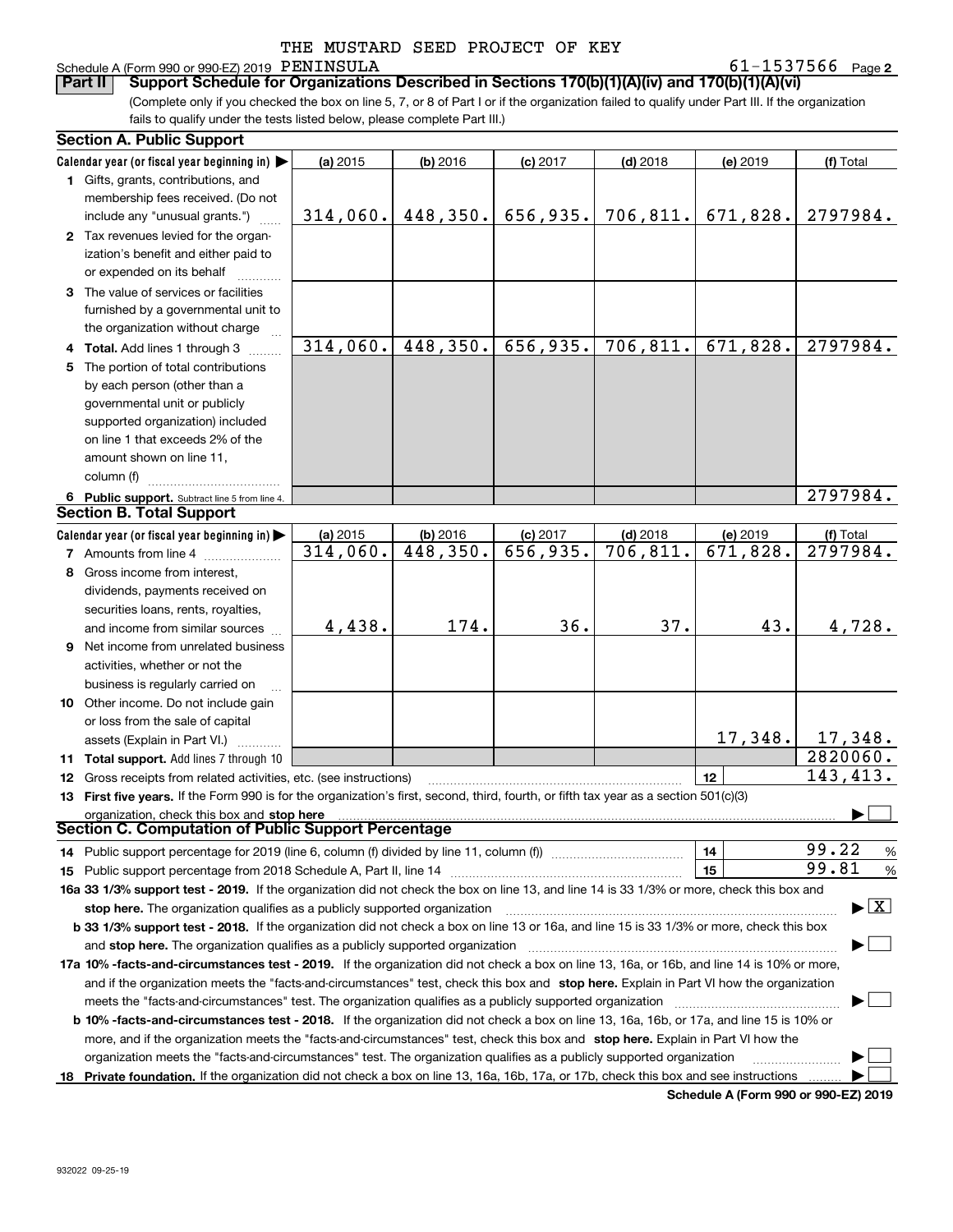## Schedule A (Form 990 or 990-EZ) 2019 PENINSULA

**2** PENINSULA 61-1537566

(Complete only if you checked the box on line 5, 7, or 8 of Part I or if the organization failed to qualify under Part III. If the organization fails to qualify under the tests listed below, please complete Part III.) **Part II** | Support Schedule for Organizations Described in Sections 170(b)(1)(A)(iv) and 170(b)(1)(A)(vi)

|     | <b>Section A. Public Support</b>                                                                                                               |          |          |            |                                       |          |                                          |  |  |
|-----|------------------------------------------------------------------------------------------------------------------------------------------------|----------|----------|------------|---------------------------------------|----------|------------------------------------------|--|--|
|     | Calendar year (or fiscal year beginning in) $\blacktriangleright$                                                                              | (a) 2015 | (b) 2016 | $(c)$ 2017 | $(d)$ 2018                            | (e) 2019 | (f) Total                                |  |  |
|     | 1 Gifts, grants, contributions, and                                                                                                            |          |          |            |                                       |          |                                          |  |  |
|     | membership fees received. (Do not                                                                                                              |          |          |            |                                       |          |                                          |  |  |
|     | include any "unusual grants.")                                                                                                                 |          |          |            | $314,060.$ 448,350. 656,935. 706,811. | 671,828. | 2797984.                                 |  |  |
|     | 2 Tax revenues levied for the organ-                                                                                                           |          |          |            |                                       |          |                                          |  |  |
|     | ization's benefit and either paid to                                                                                                           |          |          |            |                                       |          |                                          |  |  |
|     | or expended on its behalf                                                                                                                      |          |          |            |                                       |          |                                          |  |  |
|     | 3 The value of services or facilities                                                                                                          |          |          |            |                                       |          |                                          |  |  |
|     | furnished by a governmental unit to                                                                                                            |          |          |            |                                       |          |                                          |  |  |
|     | the organization without charge                                                                                                                |          |          |            |                                       |          |                                          |  |  |
|     | Total. Add lines 1 through 3                                                                                                                   | 314,060. | 448,350. | 656,935.   | 706, 811.                             | 671,828. | 2797984.                                 |  |  |
| 5.  | The portion of total contributions                                                                                                             |          |          |            |                                       |          |                                          |  |  |
|     | by each person (other than a                                                                                                                   |          |          |            |                                       |          |                                          |  |  |
|     | governmental unit or publicly                                                                                                                  |          |          |            |                                       |          |                                          |  |  |
|     | supported organization) included                                                                                                               |          |          |            |                                       |          |                                          |  |  |
|     | on line 1 that exceeds 2% of the                                                                                                               |          |          |            |                                       |          |                                          |  |  |
|     | amount shown on line 11,                                                                                                                       |          |          |            |                                       |          |                                          |  |  |
|     | column (f)                                                                                                                                     |          |          |            |                                       |          |                                          |  |  |
|     | 6 Public support. Subtract line 5 from line 4.                                                                                                 |          |          |            |                                       |          | 2797984.                                 |  |  |
|     | <b>Section B. Total Support</b>                                                                                                                |          |          |            |                                       |          |                                          |  |  |
|     | Calendar year (or fiscal year beginning in)                                                                                                    | (a) 2015 | (b) 2016 | $(c)$ 2017 | $(d)$ 2018                            | (e) 2019 | (f) Total                                |  |  |
|     | 7 Amounts from line 4                                                                                                                          | 314,060. | 448,350. | 656,935.   | 706, 811.                             | 671,828. | 2797984.                                 |  |  |
|     | 8 Gross income from interest,                                                                                                                  |          |          |            |                                       |          |                                          |  |  |
|     | dividends, payments received on                                                                                                                |          |          |            |                                       |          |                                          |  |  |
|     | securities loans, rents, royalties,                                                                                                            |          |          |            |                                       |          |                                          |  |  |
|     | and income from similar sources                                                                                                                | 4,438.   | 174.     | 36.        | 37.                                   | 43.      | 4,728.                                   |  |  |
| 9   | Net income from unrelated business                                                                                                             |          |          |            |                                       |          |                                          |  |  |
|     | activities, whether or not the                                                                                                                 |          |          |            |                                       |          |                                          |  |  |
|     | business is regularly carried on                                                                                                               |          |          |            |                                       |          |                                          |  |  |
|     | 10 Other income. Do not include gain                                                                                                           |          |          |            |                                       |          |                                          |  |  |
|     | or loss from the sale of capital                                                                                                               |          |          |            |                                       |          |                                          |  |  |
|     | assets (Explain in Part VI.)                                                                                                                   |          |          |            |                                       | 17,348.  | 17,348.                                  |  |  |
|     | 11 Total support. Add lines 7 through 10                                                                                                       |          |          |            |                                       |          | $\overline{2820060}$ .                   |  |  |
|     | 12 Gross receipts from related activities, etc. (see instructions)                                                                             |          |          |            |                                       | 12       | 143,413.                                 |  |  |
|     | 13 First five years. If the Form 990 is for the organization's first, second, third, fourth, or fifth tax year as a section 501(c)(3)          |          |          |            |                                       |          |                                          |  |  |
|     | organization, check this box and stop here manufactured and and state and state and state and state and stop here                              |          |          |            |                                       |          |                                          |  |  |
|     | Section C. Computation of Public Support Percentage                                                                                            |          |          |            |                                       |          |                                          |  |  |
|     |                                                                                                                                                |          |          |            |                                       | 14       | 99.22<br>%                               |  |  |
| 15  |                                                                                                                                                |          |          |            |                                       | 15       | 99.81<br>%                               |  |  |
|     | 16a 33 1/3% support test - 2019. If the organization did not check the box on line 13, and line 14 is 33 1/3% or more, check this box and      |          |          |            |                                       |          |                                          |  |  |
|     |                                                                                                                                                |          |          |            |                                       |          | $\blacktriangleright$ $\boxed{\text{X}}$ |  |  |
|     | b 33 1/3% support test - 2018. If the organization did not check a box on line 13 or 16a, and line 15 is 33 1/3% or more, check this box       |          |          |            |                                       |          |                                          |  |  |
|     | and stop here. The organization qualifies as a publicly supported organization                                                                 |          |          |            |                                       |          |                                          |  |  |
|     | 17a 10% -facts-and-circumstances test - 2019. If the organization did not check a box on line 13, 16a, or 16b, and line 14 is 10% or more,     |          |          |            |                                       |          |                                          |  |  |
|     | and if the organization meets the "facts-and-circumstances" test, check this box and stop here. Explain in Part VI how the organization        |          |          |            |                                       |          |                                          |  |  |
|     | meets the "facts-and-circumstances" test. The organization qualifies as a publicly supported organization                                      |          |          |            |                                       |          |                                          |  |  |
|     | <b>b 10% -facts-and-circumstances test - 2018.</b> If the organization did not check a box on line 13, 16a, 16b, or 17a, and line 15 is 10% or |          |          |            |                                       |          |                                          |  |  |
|     | more, and if the organization meets the "facts-and-circumstances" test, check this box and stop here. Explain in Part VI how the               |          |          |            |                                       |          |                                          |  |  |
|     | organization meets the "facts-and-circumstances" test. The organization qualifies as a publicly supported organization                         |          |          |            |                                       |          |                                          |  |  |
| 18. | Private foundation. If the organization did not check a box on line 13, 16a, 16b, 17a, or 17b, check this box and see instructions             |          |          |            |                                       |          |                                          |  |  |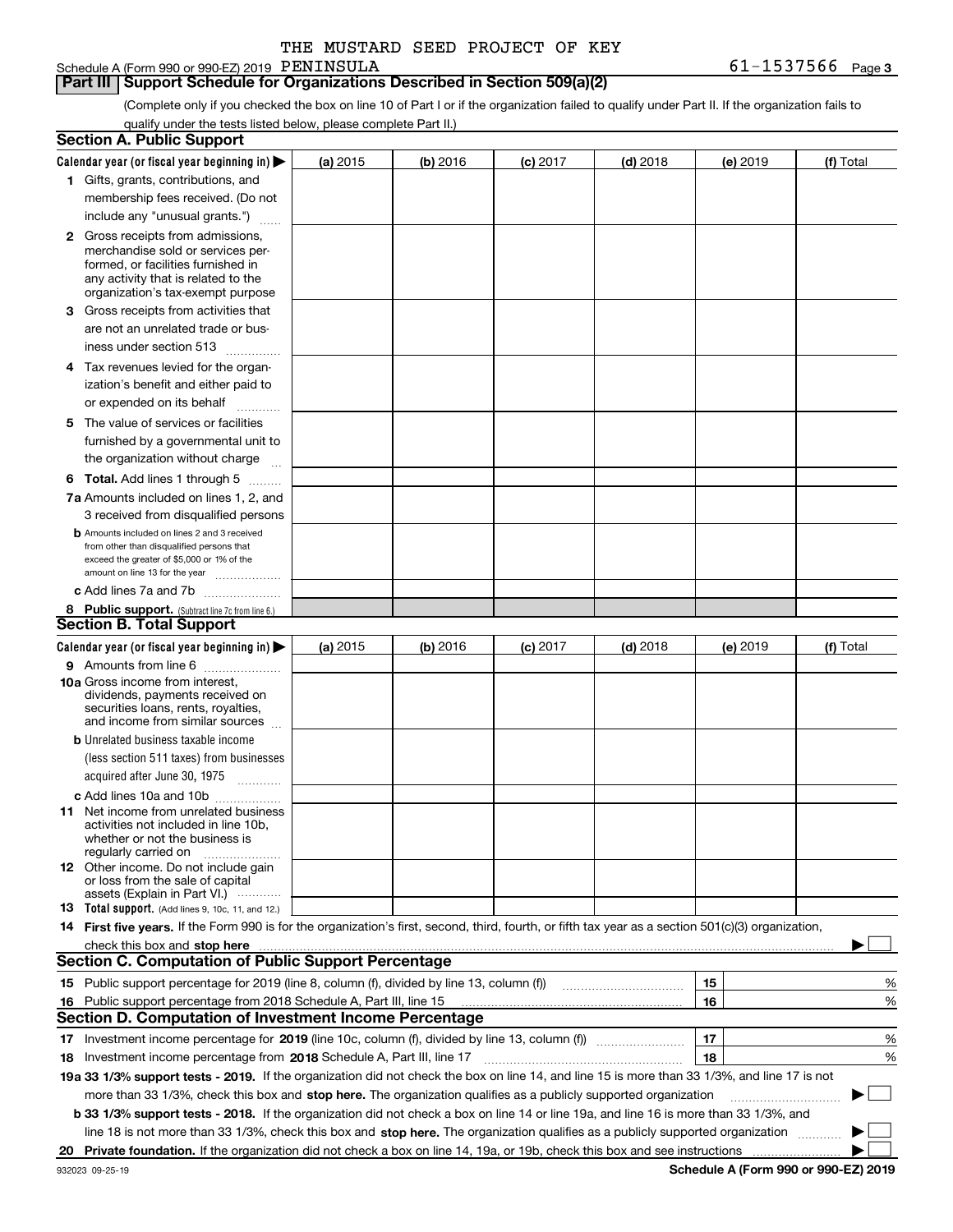| THE MUSTARD SEED PROJECT OF KEY |
|---------------------------------|
|                                 |

Schedule A (Form 990 or 990-EZ) 2019 PENINSULA

(Complete only if you checked the box on line 10 of Part I or if the organization failed to qualify under Part II. If the organization fails to qualify under the tests listed below, please complete Part II.)

|    | <b>Section A. Public Support</b>                                                                                                                                                                                              |          |          |            |            |          |             |
|----|-------------------------------------------------------------------------------------------------------------------------------------------------------------------------------------------------------------------------------|----------|----------|------------|------------|----------|-------------|
|    | Calendar year (or fiscal year beginning in) $\blacktriangleright$                                                                                                                                                             | (a) 2015 | (b) 2016 | $(c)$ 2017 | $(d)$ 2018 | (e) 2019 | (f) Total   |
|    | 1 Gifts, grants, contributions, and                                                                                                                                                                                           |          |          |            |            |          |             |
|    | membership fees received. (Do not                                                                                                                                                                                             |          |          |            |            |          |             |
|    | include any "unusual grants.")                                                                                                                                                                                                |          |          |            |            |          |             |
|    | <b>2</b> Gross receipts from admissions,                                                                                                                                                                                      |          |          |            |            |          |             |
|    | merchandise sold or services per-                                                                                                                                                                                             |          |          |            |            |          |             |
|    | formed, or facilities furnished in                                                                                                                                                                                            |          |          |            |            |          |             |
|    | any activity that is related to the<br>organization's tax-exempt purpose                                                                                                                                                      |          |          |            |            |          |             |
|    | 3 Gross receipts from activities that                                                                                                                                                                                         |          |          |            |            |          |             |
|    | are not an unrelated trade or bus-                                                                                                                                                                                            |          |          |            |            |          |             |
|    | iness under section 513                                                                                                                                                                                                       |          |          |            |            |          |             |
|    | 4 Tax revenues levied for the organ-                                                                                                                                                                                          |          |          |            |            |          |             |
|    | ization's benefit and either paid to                                                                                                                                                                                          |          |          |            |            |          |             |
|    | or expended on its behalf                                                                                                                                                                                                     |          |          |            |            |          |             |
|    | .<br>5 The value of services or facilities                                                                                                                                                                                    |          |          |            |            |          |             |
|    | furnished by a governmental unit to                                                                                                                                                                                           |          |          |            |            |          |             |
|    | the organization without charge                                                                                                                                                                                               |          |          |            |            |          |             |
|    |                                                                                                                                                                                                                               |          |          |            |            |          |             |
|    | <b>6 Total.</b> Add lines 1 through 5                                                                                                                                                                                         |          |          |            |            |          |             |
|    | 7a Amounts included on lines 1, 2, and                                                                                                                                                                                        |          |          |            |            |          |             |
|    | 3 received from disqualified persons<br><b>b</b> Amounts included on lines 2 and 3 received                                                                                                                                   |          |          |            |            |          |             |
|    | from other than disqualified persons that                                                                                                                                                                                     |          |          |            |            |          |             |
|    | exceed the greater of \$5,000 or 1% of the                                                                                                                                                                                    |          |          |            |            |          |             |
|    | amount on line 13 for the year                                                                                                                                                                                                |          |          |            |            |          |             |
|    | c Add lines 7a and 7b                                                                                                                                                                                                         |          |          |            |            |          |             |
|    | 8 Public support. (Subtract line 7c from line 6.)<br><b>Section B. Total Support</b>                                                                                                                                          |          |          |            |            |          |             |
|    |                                                                                                                                                                                                                               |          |          |            |            |          |             |
|    | Calendar year (or fiscal year beginning in)                                                                                                                                                                                   | (a) 2015 | (b) 2016 | $(c)$ 2017 | $(d)$ 2018 | (e) 2019 | (f) Total   |
|    | 9 Amounts from line 6                                                                                                                                                                                                         |          |          |            |            |          |             |
|    | <b>10a</b> Gross income from interest,<br>dividends, payments received on                                                                                                                                                     |          |          |            |            |          |             |
|    | securities loans, rents, royalties,                                                                                                                                                                                           |          |          |            |            |          |             |
|    | and income from similar sources                                                                                                                                                                                               |          |          |            |            |          |             |
|    | <b>b</b> Unrelated business taxable income                                                                                                                                                                                    |          |          |            |            |          |             |
|    | (less section 511 taxes) from businesses                                                                                                                                                                                      |          |          |            |            |          |             |
|    | acquired after June 30, 1975 [10001]                                                                                                                                                                                          |          |          |            |            |          |             |
|    | c Add lines 10a and 10b                                                                                                                                                                                                       |          |          |            |            |          |             |
|    | 11 Net income from unrelated business                                                                                                                                                                                         |          |          |            |            |          |             |
|    | activities not included in line 10b,<br>whether or not the business is                                                                                                                                                        |          |          |            |            |          |             |
|    | regularly carried on                                                                                                                                                                                                          |          |          |            |            |          |             |
|    | <b>12</b> Other income. Do not include gain                                                                                                                                                                                   |          |          |            |            |          |             |
|    | or loss from the sale of capital<br>assets (Explain in Part VI.)                                                                                                                                                              |          |          |            |            |          |             |
|    | <b>13</b> Total support. (Add lines 9, 10c, 11, and 12.)                                                                                                                                                                      |          |          |            |            |          |             |
|    | 14 First five years. If the Form 990 is for the organization's first, second, third, fourth, or fifth tax year as a section 501(c)(3) organization,                                                                           |          |          |            |            |          |             |
|    | check this box and stop here with the continuum control to the change of the state of the state of the change of the change of the change of the change of the change of the change of the change of the change of the change |          |          |            |            |          |             |
|    | <b>Section C. Computation of Public Support Percentage</b>                                                                                                                                                                    |          |          |            |            |          |             |
|    | 15 Public support percentage for 2019 (line 8, column (f), divided by line 13, column (f))                                                                                                                                    |          |          |            |            | 15       | %           |
|    | 16 Public support percentage from 2018 Schedule A, Part III, line 15                                                                                                                                                          |          |          |            |            | 16       | %           |
|    | Section D. Computation of Investment Income Percentage                                                                                                                                                                        |          |          |            |            |          |             |
|    | 17 Investment income percentage for 2019 (line 10c, column (f), divided by line 13, column (f))                                                                                                                               |          |          |            |            | 17       | %           |
|    | <b>18</b> Investment income percentage from <b>2018</b> Schedule A, Part III, line 17                                                                                                                                         |          |          |            |            | 18       | %           |
|    | 19a 33 1/3% support tests - 2019. If the organization did not check the box on line 14, and line 15 is more than 33 1/3%, and line 17 is not                                                                                  |          |          |            |            |          |             |
|    | more than 33 1/3%, check this box and stop here. The organization qualifies as a publicly supported organization                                                                                                              |          |          |            |            |          | $\sim$<br>▶ |
|    | b 33 1/3% support tests - 2018. If the organization did not check a box on line 14 or line 19a, and line 16 is more than 33 1/3%, and                                                                                         |          |          |            |            |          |             |
|    | line 18 is not more than 33 1/3%, check this box and stop here. The organization qualifies as a publicly supported organization                                                                                               |          |          |            |            |          |             |
| 20 |                                                                                                                                                                                                                               |          |          |            |            |          |             |
|    |                                                                                                                                                                                                                               |          |          |            |            |          |             |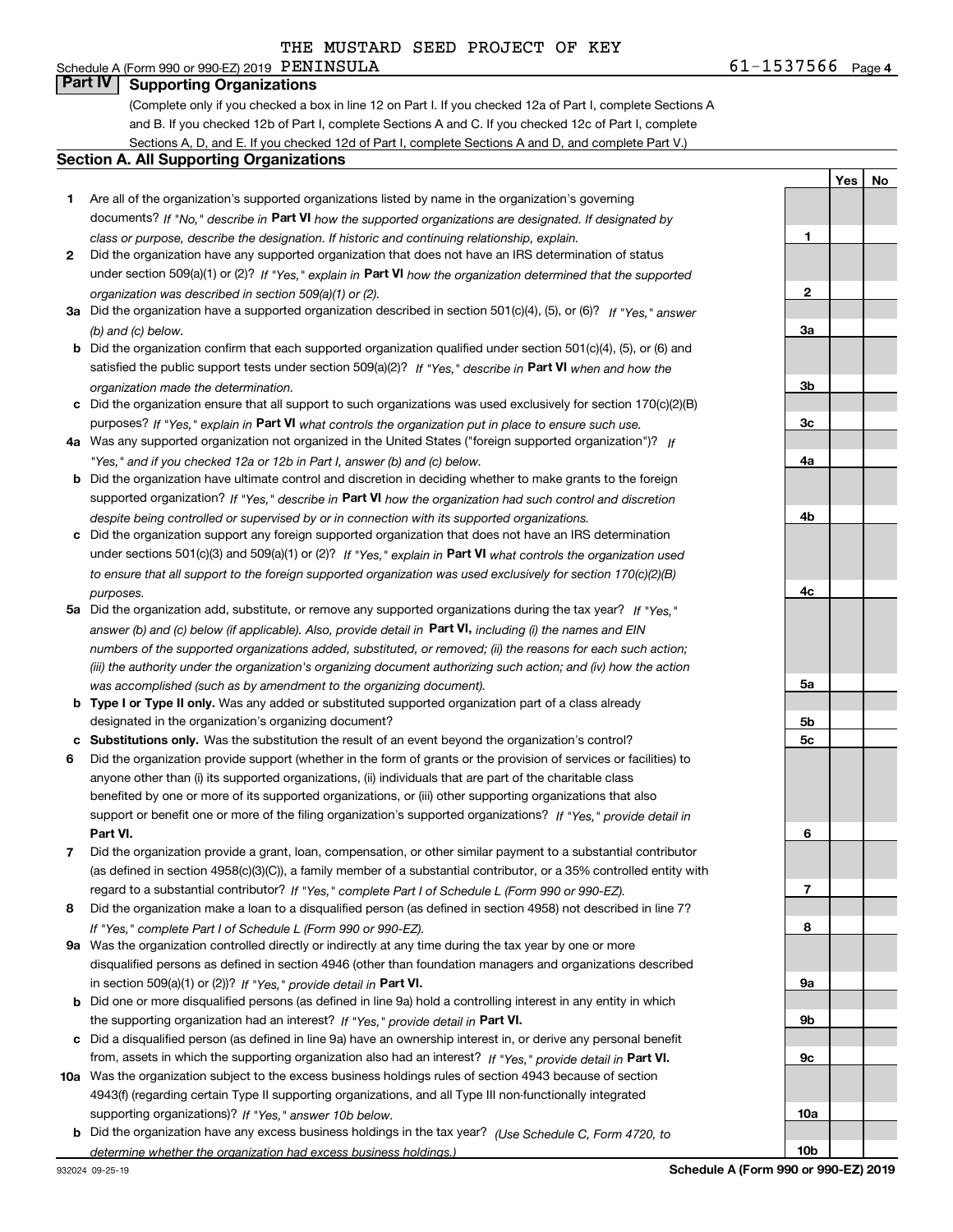## Schedule A (Form 990 or 990-EZ) 2019  $\overline{PBNINSULA}$ **Part IV Supporting Organizations**

(Complete only if you checked a box in line 12 on Part I. If you checked 12a of Part I, complete Sections A and B. If you checked 12b of Part I, complete Sections A and C. If you checked 12c of Part I, complete Sections A, D, and E. If you checked 12d of Part I, complete Sections A and D, and complete Part V.)

### **Section A. All Supporting Organizations**

- **1** Are all of the organization's supported organizations listed by name in the organization's governing documents? If "No," describe in **Part VI** how the supported organizations are designated. If designated by *class or purpose, describe the designation. If historic and continuing relationship, explain.*
- **2** Did the organization have any supported organization that does not have an IRS determination of status under section 509(a)(1) or (2)? If "Yes," explain in Part VI how the organization determined that the supported *organization was described in section 509(a)(1) or (2).*
- **3a** Did the organization have a supported organization described in section 501(c)(4), (5), or (6)? If "Yes," answer *(b) and (c) below.*
- **b** Did the organization confirm that each supported organization qualified under section 501(c)(4), (5), or (6) and satisfied the public support tests under section 509(a)(2)? If "Yes," describe in **Part VI** when and how the *organization made the determination.*
- **c**Did the organization ensure that all support to such organizations was used exclusively for section 170(c)(2)(B) purposes? If "Yes," explain in **Part VI** what controls the organization put in place to ensure such use.
- **4a***If* Was any supported organization not organized in the United States ("foreign supported organization")? *"Yes," and if you checked 12a or 12b in Part I, answer (b) and (c) below.*
- **b** Did the organization have ultimate control and discretion in deciding whether to make grants to the foreign supported organization? If "Yes," describe in **Part VI** how the organization had such control and discretion *despite being controlled or supervised by or in connection with its supported organizations.*
- **c** Did the organization support any foreign supported organization that does not have an IRS determination under sections 501(c)(3) and 509(a)(1) or (2)? If "Yes," explain in **Part VI** what controls the organization used *to ensure that all support to the foreign supported organization was used exclusively for section 170(c)(2)(B) purposes.*
- **5a***If "Yes,"* Did the organization add, substitute, or remove any supported organizations during the tax year? answer (b) and (c) below (if applicable). Also, provide detail in **Part VI,** including (i) the names and EIN *numbers of the supported organizations added, substituted, or removed; (ii) the reasons for each such action; (iii) the authority under the organization's organizing document authorizing such action; and (iv) how the action was accomplished (such as by amendment to the organizing document).*
- **b** Type I or Type II only. Was any added or substituted supported organization part of a class already designated in the organization's organizing document?
- **cSubstitutions only.**  Was the substitution the result of an event beyond the organization's control?
- **6** Did the organization provide support (whether in the form of grants or the provision of services or facilities) to **Part VI.** *If "Yes," provide detail in* support or benefit one or more of the filing organization's supported organizations? anyone other than (i) its supported organizations, (ii) individuals that are part of the charitable class benefited by one or more of its supported organizations, or (iii) other supporting organizations that also
- **7**Did the organization provide a grant, loan, compensation, or other similar payment to a substantial contributor *If "Yes," complete Part I of Schedule L (Form 990 or 990-EZ).* regard to a substantial contributor? (as defined in section 4958(c)(3)(C)), a family member of a substantial contributor, or a 35% controlled entity with
- **8** Did the organization make a loan to a disqualified person (as defined in section 4958) not described in line 7? *If "Yes," complete Part I of Schedule L (Form 990 or 990-EZ).*
- **9a** Was the organization controlled directly or indirectly at any time during the tax year by one or more in section 509(a)(1) or (2))? If "Yes," *provide detail in* <code>Part VI.</code> disqualified persons as defined in section 4946 (other than foundation managers and organizations described
- **b** Did one or more disqualified persons (as defined in line 9a) hold a controlling interest in any entity in which the supporting organization had an interest? If "Yes," provide detail in P**art VI**.
- **c**Did a disqualified person (as defined in line 9a) have an ownership interest in, or derive any personal benefit from, assets in which the supporting organization also had an interest? If "Yes," provide detail in P**art VI.**
- **10a** Was the organization subject to the excess business holdings rules of section 4943 because of section supporting organizations)? If "Yes," answer 10b below. 4943(f) (regarding certain Type II supporting organizations, and all Type III non-functionally integrated
- **b** Did the organization have any excess business holdings in the tax year? (Use Schedule C, Form 4720, to *determine whether the organization had excess business holdings.)*

**4b4c5a5b5c6789a 9b9c10a10b**

**1**

**2**

**3a**

**3b**

**3c**

**4a**

**Yes**

**No**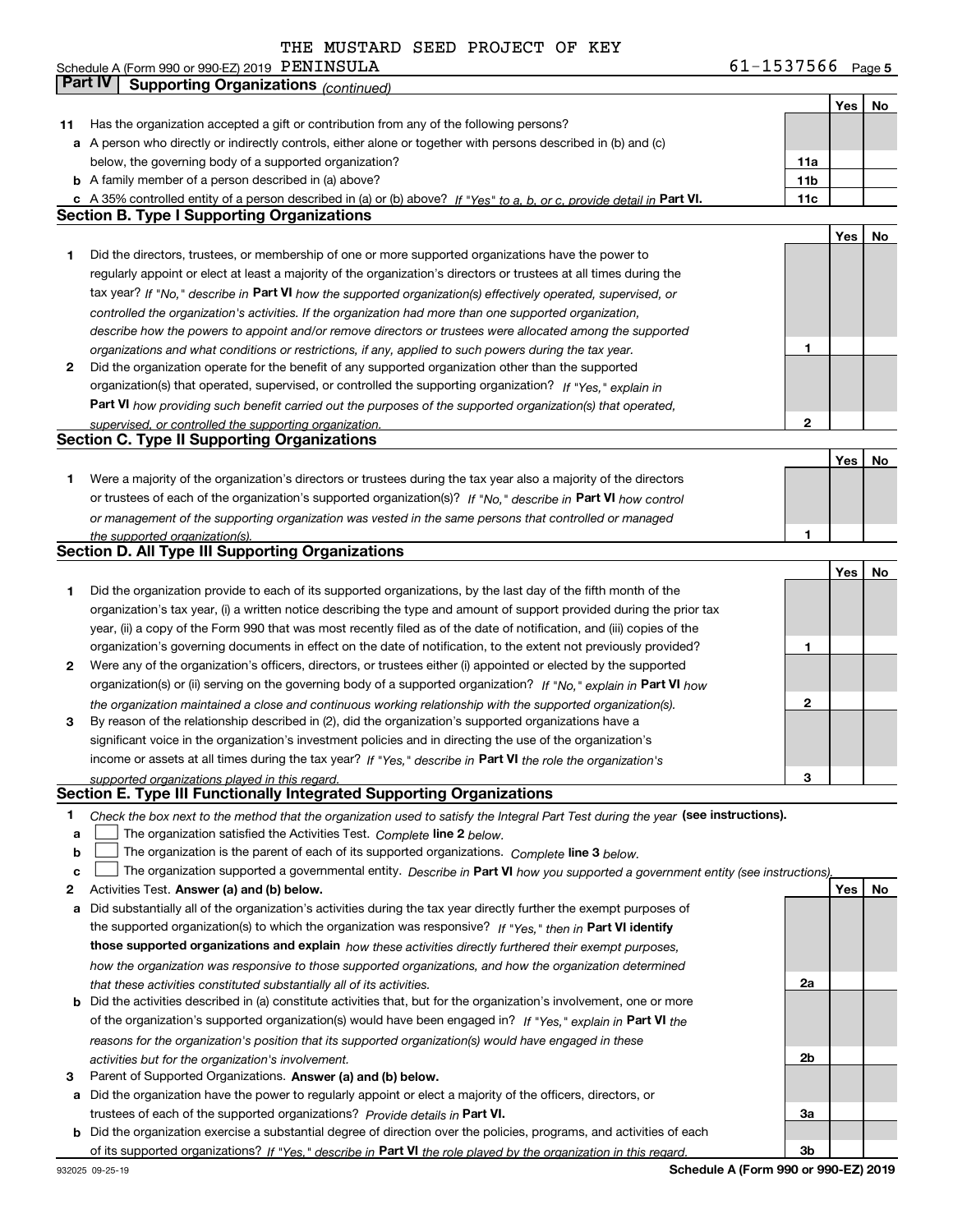**5** Schedule A (Form 990 or 990-EZ) 2019 Page PENINSULA 61-1537566

|              | Part IV<br>Supporting Organizations (continued)                                                                                                                         |                 |     |    |
|--------------|-------------------------------------------------------------------------------------------------------------------------------------------------------------------------|-----------------|-----|----|
|              |                                                                                                                                                                         |                 | Yes | No |
| 11           | Has the organization accepted a gift or contribution from any of the following persons?                                                                                 |                 |     |    |
|              | a A person who directly or indirectly controls, either alone or together with persons described in (b) and (c)                                                          |                 |     |    |
|              | below, the governing body of a supported organization?                                                                                                                  | 11a             |     |    |
|              | <b>b</b> A family member of a person described in (a) above?                                                                                                            | 11 <sub>b</sub> |     |    |
|              | c A 35% controlled entity of a person described in (a) or (b) above? If "Yes" to a, b, or c, provide detail in Part VI.                                                 | 11c             |     |    |
|              | <b>Section B. Type I Supporting Organizations</b>                                                                                                                       |                 |     |    |
|              |                                                                                                                                                                         |                 | Yes | No |
| 1            | Did the directors, trustees, or membership of one or more supported organizations have the power to                                                                     |                 |     |    |
|              | regularly appoint or elect at least a majority of the organization's directors or trustees at all times during the                                                      |                 |     |    |
|              | tax year? If "No," describe in Part VI how the supported organization(s) effectively operated, supervised, or                                                           |                 |     |    |
|              | controlled the organization's activities. If the organization had more than one supported organization,                                                                 |                 |     |    |
|              | describe how the powers to appoint and/or remove directors or trustees were allocated among the supported                                                               |                 |     |    |
|              | organizations and what conditions or restrictions, if any, applied to such powers during the tax year.                                                                  | 1               |     |    |
| $\mathbf{2}$ | Did the organization operate for the benefit of any supported organization other than the supported                                                                     |                 |     |    |
|              | organization(s) that operated, supervised, or controlled the supporting organization? If "Yes," explain in                                                              |                 |     |    |
|              | Part VI how providing such benefit carried out the purposes of the supported organization(s) that operated,                                                             |                 |     |    |
|              | supervised, or controlled the supporting organization.<br><b>Section C. Type II Supporting Organizations</b>                                                            | 2               |     |    |
|              |                                                                                                                                                                         |                 | Yes | No |
| 1            | Were a majority of the organization's directors or trustees during the tax year also a majority of the directors                                                        |                 |     |    |
|              | or trustees of each of the organization's supported organization(s)? If "No," describe in Part VI how control                                                           |                 |     |    |
|              | or management of the supporting organization was vested in the same persons that controlled or managed                                                                  |                 |     |    |
|              | the supported organization(s).                                                                                                                                          | 1               |     |    |
|              | <b>Section D. All Type III Supporting Organizations</b>                                                                                                                 |                 |     |    |
|              |                                                                                                                                                                         |                 | Yes | No |
| 1            | Did the organization provide to each of its supported organizations, by the last day of the fifth month of the                                                          |                 |     |    |
|              | organization's tax year, (i) a written notice describing the type and amount of support provided during the prior tax                                                   |                 |     |    |
|              | year, (ii) a copy of the Form 990 that was most recently filed as of the date of notification, and (iii) copies of the                                                  |                 |     |    |
|              | organization's governing documents in effect on the date of notification, to the extent not previously provided?                                                        | 1               |     |    |
| 2            | Were any of the organization's officers, directors, or trustees either (i) appointed or elected by the supported                                                        |                 |     |    |
|              | organization(s) or (ii) serving on the governing body of a supported organization? If "No," explain in Part VI how                                                      |                 |     |    |
|              | the organization maintained a close and continuous working relationship with the supported organization(s).                                                             | 2               |     |    |
| 3            | By reason of the relationship described in (2), did the organization's supported organizations have a                                                                   |                 |     |    |
|              | significant voice in the organization's investment policies and in directing the use of the organization's                                                              |                 |     |    |
|              | income or assets at all times during the tax year? If "Yes," describe in Part VI the role the organization's                                                            |                 |     |    |
|              | supported organizations played in this regard.                                                                                                                          | 3               |     |    |
|              | Section E. Type III Functionally Integrated Supporting Organizations                                                                                                    |                 |     |    |
| 1            | Check the box next to the method that the organization used to satisfy the Integral Part Test during the year (see instructions).                                       |                 |     |    |
| a<br>b       | The organization satisfied the Activities Test. Complete line 2 below.<br>The organization is the parent of each of its supported organizations. Complete line 3 below. |                 |     |    |
| c            | The organization supported a governmental entity. Describe in Part VI how you supported a government entity (see instructions),                                         |                 |     |    |
| 2            | Activities Test. Answer (a) and (b) below.                                                                                                                              |                 | Yes | No |
| а            | Did substantially all of the organization's activities during the tax year directly further the exempt purposes of                                                      |                 |     |    |
|              | the supported organization(s) to which the organization was responsive? If "Yes," then in Part VI identify                                                              |                 |     |    |
|              | those supported organizations and explain how these activities directly furthered their exempt purposes,                                                                |                 |     |    |
|              | how the organization was responsive to those supported organizations, and how the organization determined                                                               |                 |     |    |
|              | that these activities constituted substantially all of its activities.                                                                                                  | 2a              |     |    |
|              | <b>b</b> Did the activities described in (a) constitute activities that, but for the organization's involvement, one or more                                            |                 |     |    |
|              | of the organization's supported organization(s) would have been engaged in? If "Yes," explain in Part VI the                                                            |                 |     |    |
|              | reasons for the organization's position that its supported organization(s) would have engaged in these                                                                  |                 |     |    |
|              | activities but for the organization's involvement.                                                                                                                      | 2b              |     |    |
| з            | Parent of Supported Organizations. Answer (a) and (b) below.                                                                                                            |                 |     |    |
| a            | Did the organization have the power to regularly appoint or elect a majority of the officers, directors, or                                                             |                 |     |    |
|              | trustees of each of the supported organizations? Provide details in Part VI.                                                                                            | За              |     |    |
|              | <b>b</b> Did the organization exercise a substantial degree of direction over the policies, programs, and activities of each                                            |                 |     |    |
|              | of its supported organizations? If "Yes," describe in Part VI the role played by the organization in this regard.                                                       | 3b              |     |    |

**Schedule A (Form 990 or 990-EZ) 2019**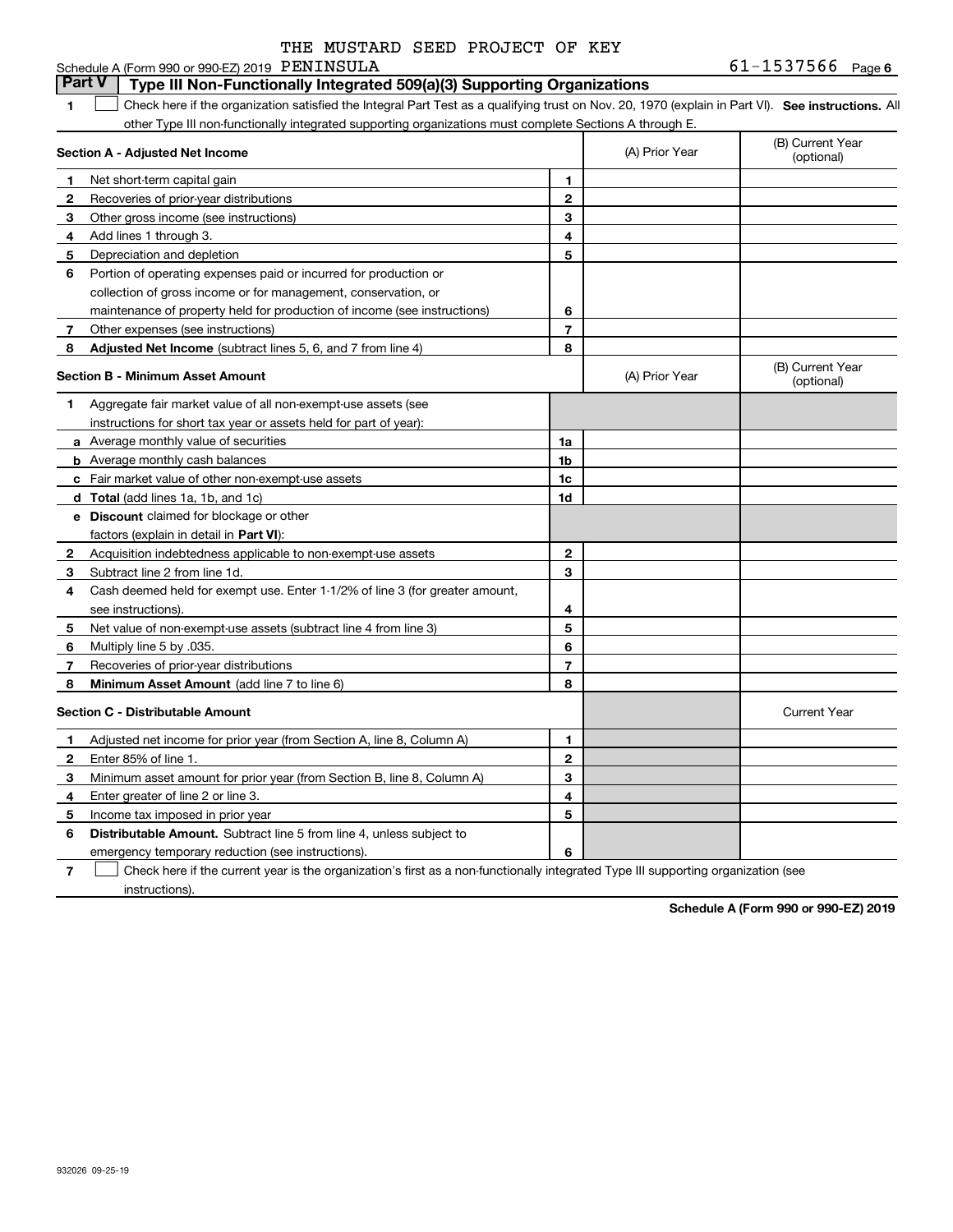|  | THE MUSTARD SEED PROJECT OF KEY |  |
|--|---------------------------------|--|
|  |                                 |  |

### **6**PENINSULA 61-1537566 **1SEP 10. See instructions.** All antegral Part Test as a qualifying trust on Nov. 20, 1970 (explain in Part VI). See instructions. All **Section A - Adjusted Net Income 123** Other gross income (see instructions) **4**Add lines 1 through 3. **56** Portion of operating expenses paid or incurred for production or **78** Adjusted Net Income (subtract lines 5, 6, and 7 from line 4) **8 8 1234567Section B - Minimum Asset Amount 1**Aggregate fair market value of all non-exempt-use assets (see **2**Acquisition indebtedness applicable to non-exempt-use assets **3** Subtract line 2 from line 1d. **4**Cash deemed held for exempt use. Enter 1-1/2% of line 3 (for greater amount, **5** Net value of non-exempt-use assets (subtract line 4 from line 3) **678a** Average monthly value of securities **b** Average monthly cash balances **c**Fair market value of other non-exempt-use assets **dTotal**  (add lines 1a, 1b, and 1c) **eDiscount** claimed for blockage or other **1a1b1c1d2345678**factors (explain in detail in **Part VI**): **Minimum Asset Amount**  (add line 7 to line 6) **Section C - Distributable Amount 123456123456Distributable Amount.** Subtract line 5 from line 4, unless subject to Schedule A (Form 990 or 990-EZ) 2019 PENINSULA other Type III non-functionally integrated supporting organizations must complete Sections A through E. (B) Current Year (optional)(A) Prior Year Net short-term capital gain Recoveries of prior-year distributions Depreciation and depletion collection of gross income or for management, conservation, or maintenance of property held for production of income (see instructions) Other expenses (see instructions) (B) Current Year (optional)(A) Prior Year instructions for short tax year or assets held for part of year): see instructions). Multiply line 5 by .035. Recoveries of prior-year distributions Current Year Adjusted net income for prior year (from Section A, line 8, Column A) Enter 85% of line 1. Minimum asset amount for prior year (from Section B, line 8, Column A) Enter greater of line 2 or line 3. Income tax imposed in prior year emergency temporary reduction (see instructions). **Part V** Type III Non-Functionally Integrated 509(a)(3) Supporting Organizations  $\mathcal{L}^{\text{max}}$

**7**Check here if the current year is the organization's first as a non-functionally integrated Type III supporting organization (see instructions). $\mathcal{L}^{\text{max}}$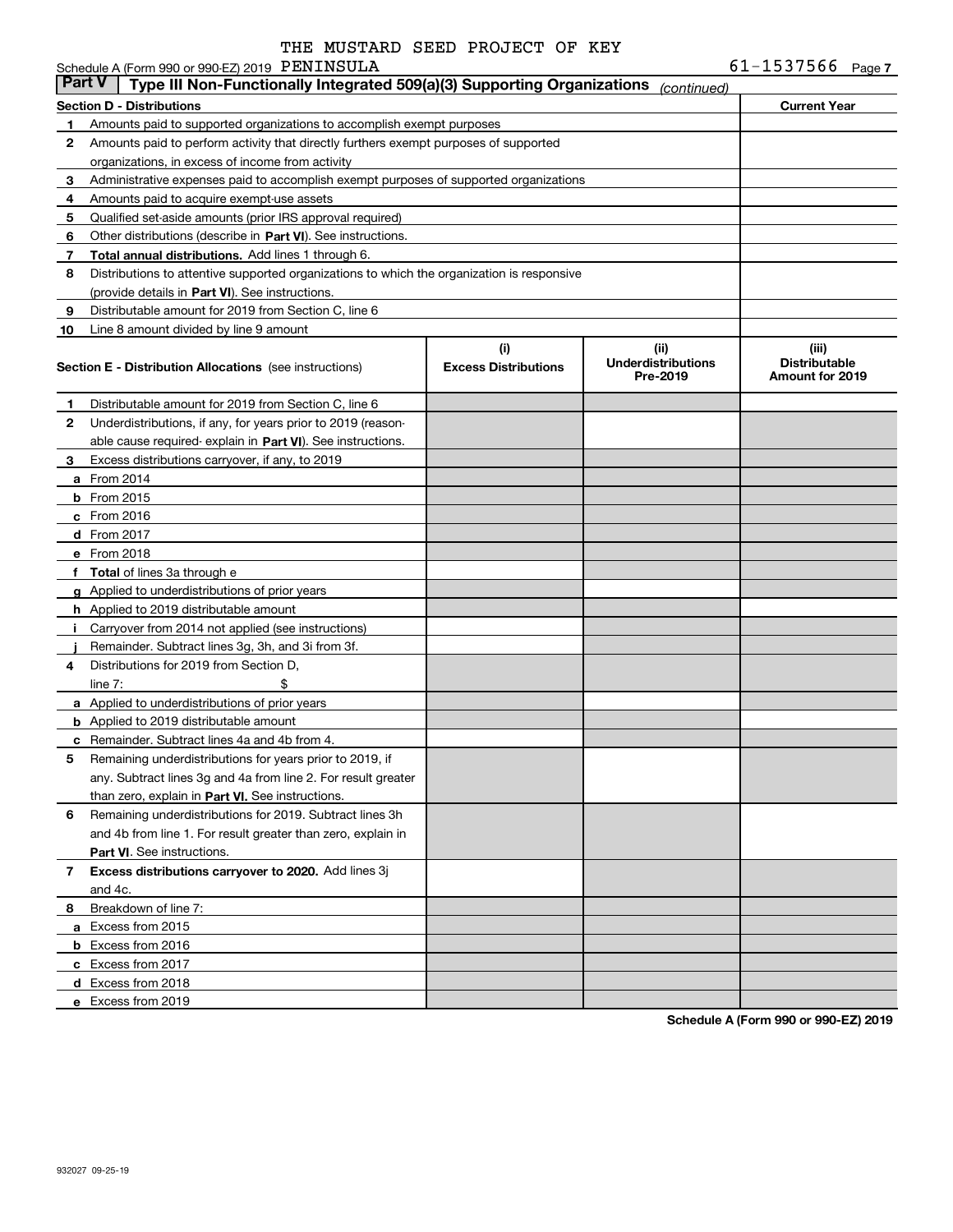Schedule A (Form 990 or 990-EZ) 2019 PENINSULA

| <b>Part V</b> | Type III Non-Functionally Integrated 509(a)(3) Supporting Organizations                    |                             | (continued)                           |                                         |  |  |  |
|---------------|--------------------------------------------------------------------------------------------|-----------------------------|---------------------------------------|-----------------------------------------|--|--|--|
|               | Section D - Distributions                                                                  |                             |                                       | <b>Current Year</b>                     |  |  |  |
| 1             | Amounts paid to supported organizations to accomplish exempt purposes                      |                             |                                       |                                         |  |  |  |
| 2             | Amounts paid to perform activity that directly furthers exempt purposes of supported       |                             |                                       |                                         |  |  |  |
|               | organizations, in excess of income from activity                                           |                             |                                       |                                         |  |  |  |
| 3             | Administrative expenses paid to accomplish exempt purposes of supported organizations      |                             |                                       |                                         |  |  |  |
| 4             | Amounts paid to acquire exempt-use assets                                                  |                             |                                       |                                         |  |  |  |
| 5             | Qualified set-aside amounts (prior IRS approval required)                                  |                             |                                       |                                         |  |  |  |
| 6             | Other distributions (describe in Part VI). See instructions.                               |                             |                                       |                                         |  |  |  |
| 7             | Total annual distributions. Add lines 1 through 6.                                         |                             |                                       |                                         |  |  |  |
| 8             | Distributions to attentive supported organizations to which the organization is responsive |                             |                                       |                                         |  |  |  |
|               | (provide details in Part VI). See instructions.                                            |                             |                                       |                                         |  |  |  |
| 9             | Distributable amount for 2019 from Section C, line 6                                       |                             |                                       |                                         |  |  |  |
| 10            | Line 8 amount divided by line 9 amount                                                     |                             |                                       |                                         |  |  |  |
|               |                                                                                            | (i)                         | (iii)                                 | (iii)                                   |  |  |  |
|               | <b>Section E - Distribution Allocations</b> (see instructions)                             | <b>Excess Distributions</b> | <b>Underdistributions</b><br>Pre-2019 | <b>Distributable</b><br>Amount for 2019 |  |  |  |
| 1             | Distributable amount for 2019 from Section C, line 6                                       |                             |                                       |                                         |  |  |  |
| 2             | Underdistributions, if any, for years prior to 2019 (reason-                               |                             |                                       |                                         |  |  |  |
|               | able cause required- explain in Part VI). See instructions.                                |                             |                                       |                                         |  |  |  |
| 3             | Excess distributions carryover, if any, to 2019                                            |                             |                                       |                                         |  |  |  |
|               | <b>a</b> From 2014                                                                         |                             |                                       |                                         |  |  |  |
|               | <b>b</b> From 2015                                                                         |                             |                                       |                                         |  |  |  |
|               | $c$ From 2016                                                                              |                             |                                       |                                         |  |  |  |
|               | $d$ From 2017                                                                              |                             |                                       |                                         |  |  |  |
|               | e From 2018                                                                                |                             |                                       |                                         |  |  |  |
|               | f Total of lines 3a through e                                                              |                             |                                       |                                         |  |  |  |
|               | g Applied to underdistributions of prior years                                             |                             |                                       |                                         |  |  |  |
|               | <b>h</b> Applied to 2019 distributable amount                                              |                             |                                       |                                         |  |  |  |
| Ť.            | Carryover from 2014 not applied (see instructions)                                         |                             |                                       |                                         |  |  |  |
|               | Remainder. Subtract lines 3g, 3h, and 3i from 3f.                                          |                             |                                       |                                         |  |  |  |
| 4             | Distributions for 2019 from Section D,                                                     |                             |                                       |                                         |  |  |  |
|               | line $7:$<br>\$                                                                            |                             |                                       |                                         |  |  |  |
|               | <b>a</b> Applied to underdistributions of prior years                                      |                             |                                       |                                         |  |  |  |
|               | <b>b</b> Applied to 2019 distributable amount                                              |                             |                                       |                                         |  |  |  |
| c             | Remainder. Subtract lines 4a and 4b from 4.                                                |                             |                                       |                                         |  |  |  |
| 5             | Remaining underdistributions for years prior to 2019, if                                   |                             |                                       |                                         |  |  |  |
|               | any. Subtract lines 3g and 4a from line 2. For result greater                              |                             |                                       |                                         |  |  |  |
|               | than zero, explain in Part VI. See instructions.                                           |                             |                                       |                                         |  |  |  |
| 6             | Remaining underdistributions for 2019. Subtract lines 3h                                   |                             |                                       |                                         |  |  |  |
|               | and 4b from line 1. For result greater than zero, explain in                               |                             |                                       |                                         |  |  |  |
|               | Part VI. See instructions.                                                                 |                             |                                       |                                         |  |  |  |
| 7             | Excess distributions carryover to 2020. Add lines 3j                                       |                             |                                       |                                         |  |  |  |
|               | and 4c.                                                                                    |                             |                                       |                                         |  |  |  |
| 8             | Breakdown of line 7:                                                                       |                             |                                       |                                         |  |  |  |
|               | a Excess from 2015                                                                         |                             |                                       |                                         |  |  |  |
|               | <b>b</b> Excess from 2016                                                                  |                             |                                       |                                         |  |  |  |
|               | c Excess from 2017                                                                         |                             |                                       |                                         |  |  |  |
|               | d Excess from 2018                                                                         |                             |                                       |                                         |  |  |  |
|               | e Excess from 2019                                                                         |                             |                                       |                                         |  |  |  |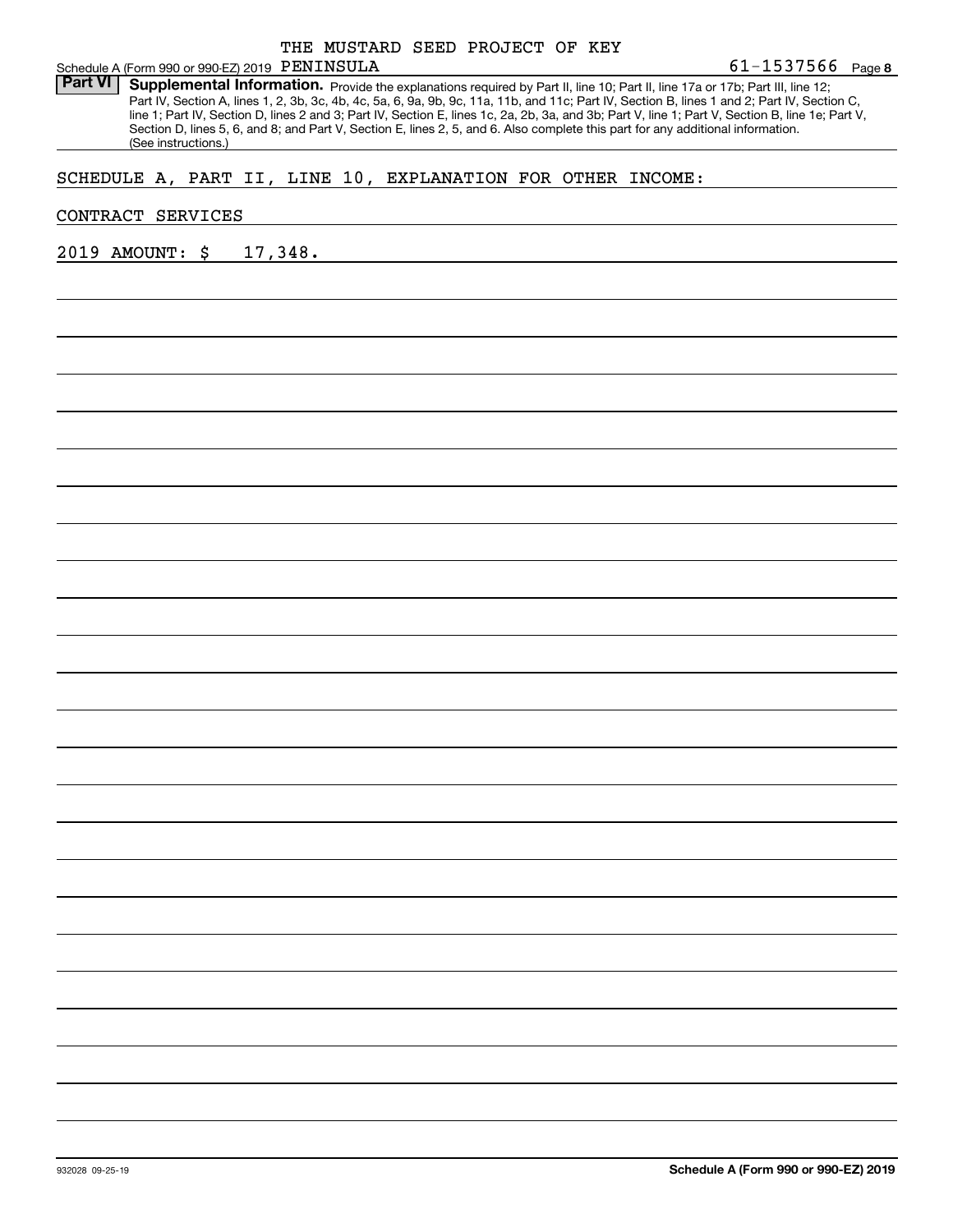Part VI | Supplemental Information. Provide the explanations required by Part II, line 10; Part II, line 17a or 17b; Part III, line 12; Part IV, Section A, lines 1, 2, 3b, 3c, 4b, 4c, 5a, 6, 9a, 9b, 9c, 11a, 11b, and 11c; Part IV, Section B, lines 1 and 2; Part IV, Section C, line 1; Part IV, Section D, lines 2 and 3; Part IV, Section E, lines 1c, 2a, 2b, 3a, and 3b; Part V, line 1; Part V, Section B, line 1e; Part V, Section D, lines 5, 6, and 8; and Part V, Section E, lines 2, 5, and 6. Also complete this part for any additional information. (See instructions.)

## SCHEDULE A, PART II, LINE 10, EXPLANATION FOR OTHER INCOME:

### CONTRACT SERVICES

2019 AMOUNT: \$ 17,348.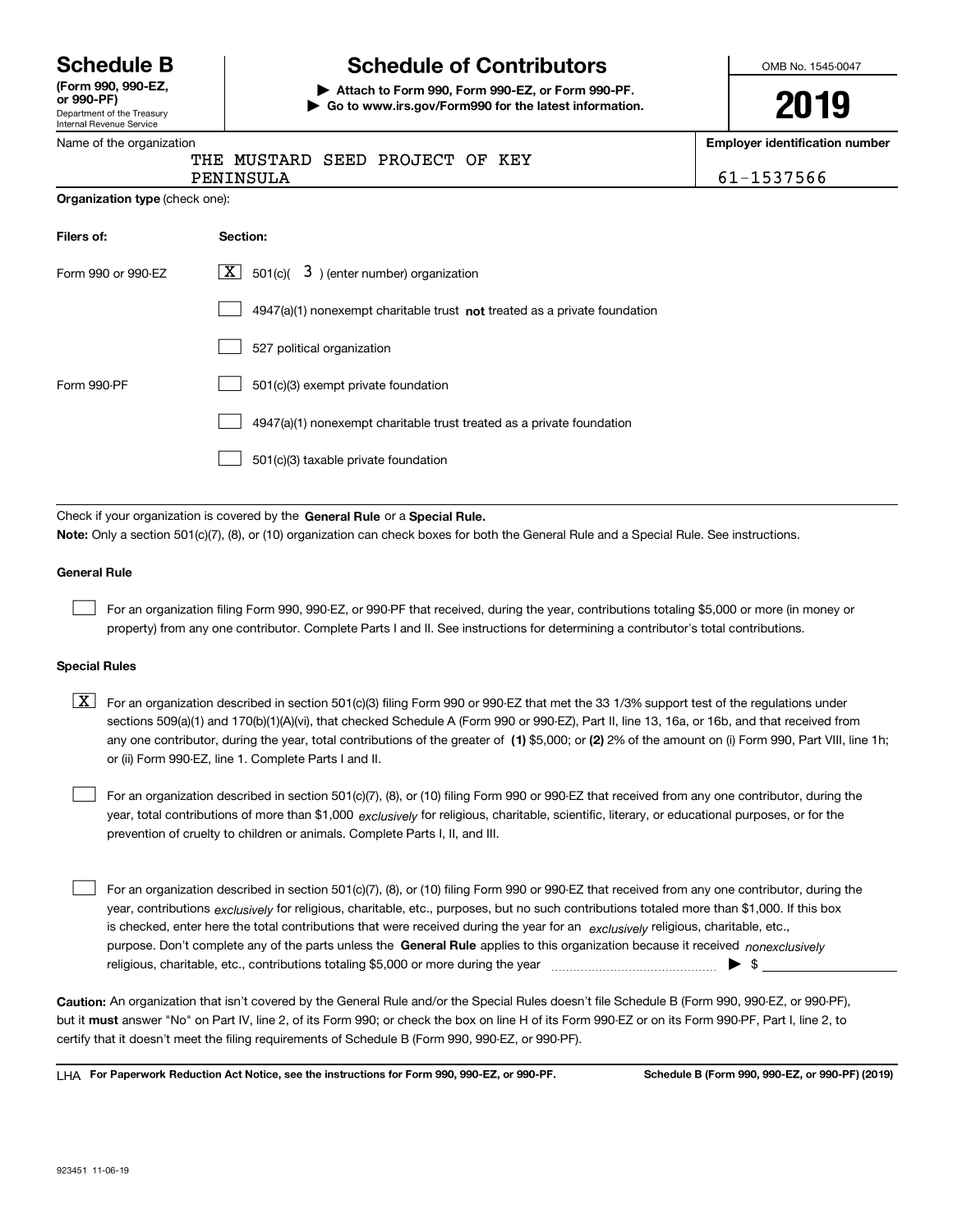Department of the Treasury Internal Revenue Service **(Form 990, 990-EZ, or 990-PF)**

# **Schedule B Schedule of Contributors**

**| Attach to Form 990, Form 990-EZ, or Form 990-PF. | Go to www.irs.gov/Form990 for the latest information.** OMB No. 1545-0047

**2019**

**number** 

|                                                                                    | <b>Employer identification</b> |
|------------------------------------------------------------------------------------|--------------------------------|
| THE MUSTARD SEED PROJECT OF KEY                                                    |                                |
| PENINSULA                                                                          | 61-1537566                     |
| <b>Organization type (check one):</b>                                              |                                |
| Section:                                                                           |                                |
| 3) (enter number) organization<br>X  <br>501(c)(                                   |                                |
| $4947(a)(1)$ nonexempt charitable trust <b>not</b> treated as a private foundation |                                |
| 527 political organization                                                         |                                |
| 501(c)(3) exempt private foundation                                                |                                |
| 4947(a)(1) nonexempt charitable trust treated as a private foundation              |                                |
| 501(c)(3) taxable private foundation                                               |                                |
|                                                                                    |                                |

Check if your organization is covered by the **General Rule** or a **Special Rule. Note:**  Only a section 501(c)(7), (8), or (10) organization can check boxes for both the General Rule and a Special Rule. See instructions.

### **General Rule**

For an organization filing Form 990, 990-EZ, or 990-PF that received, during the year, contributions totaling \$5,000 or more (in money or property) from any one contributor. Complete Parts I and II. See instructions for determining a contributor's total contributions.

### **Special Rules**

any one contributor, during the year, total contributions of the greater of  $\,$  (1) \$5,000; or **(2)** 2% of the amount on (i) Form 990, Part VIII, line 1h;  $\boxed{\textbf{X}}$  For an organization described in section 501(c)(3) filing Form 990 or 990-EZ that met the 33 1/3% support test of the regulations under sections 509(a)(1) and 170(b)(1)(A)(vi), that checked Schedule A (Form 990 or 990-EZ), Part II, line 13, 16a, or 16b, and that received from or (ii) Form 990-EZ, line 1. Complete Parts I and II.

year, total contributions of more than \$1,000 *exclusively* for religious, charitable, scientific, literary, or educational purposes, or for the For an organization described in section 501(c)(7), (8), or (10) filing Form 990 or 990-EZ that received from any one contributor, during the prevention of cruelty to children or animals. Complete Parts I, II, and III.  $\mathcal{L}^{\text{max}}$ 

purpose. Don't complete any of the parts unless the **General Rule** applies to this organization because it received *nonexclusively* year, contributions <sub>exclusively</sub> for religious, charitable, etc., purposes, but no such contributions totaled more than \$1,000. If this box is checked, enter here the total contributions that were received during the year for an  $\;$ exclusively religious, charitable, etc., For an organization described in section 501(c)(7), (8), or (10) filing Form 990 or 990-EZ that received from any one contributor, during the religious, charitable, etc., contributions totaling \$5,000 or more during the year  $\Box$ — $\Box$   $\Box$  $\mathcal{L}^{\text{max}}$ 

**Caution:**  An organization that isn't covered by the General Rule and/or the Special Rules doesn't file Schedule B (Form 990, 990-EZ, or 990-PF),  **must** but it answer "No" on Part IV, line 2, of its Form 990; or check the box on line H of its Form 990-EZ or on its Form 990-PF, Part I, line 2, to certify that it doesn't meet the filing requirements of Schedule B (Form 990, 990-EZ, or 990-PF).

**For Paperwork Reduction Act Notice, see the instructions for Form 990, 990-EZ, or 990-PF. Schedule B (Form 990, 990-EZ, or 990-PF) (2019)** LHA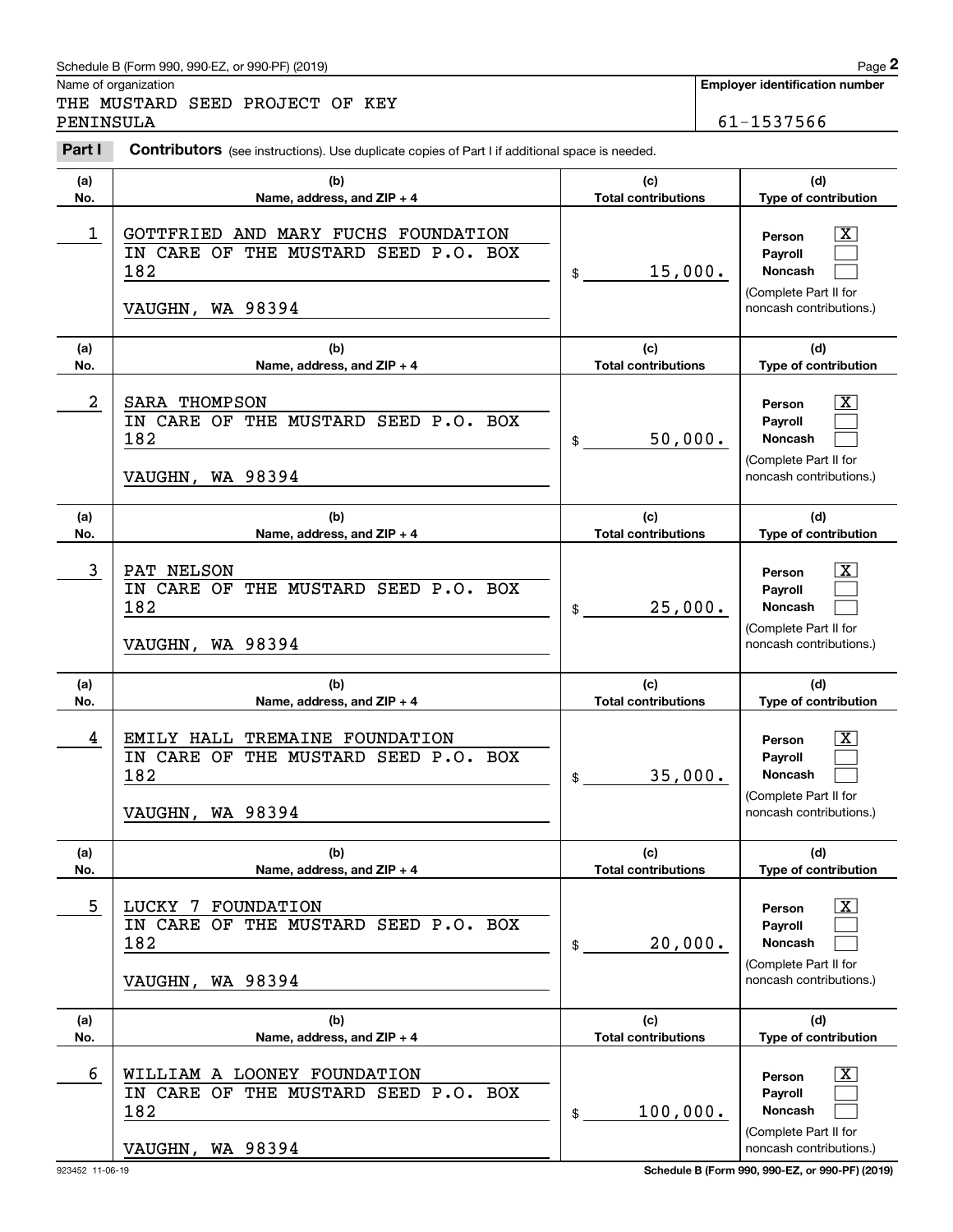# Schedule B (Form 990, 990-EZ, or 990-PF) (2019) Page 2

|            | Schedule B (Form 990, 990-EZ, or 990-PF) (2019)                                                             |                                   |  | Page 2                                                                                                 |
|------------|-------------------------------------------------------------------------------------------------------------|-----------------------------------|--|--------------------------------------------------------------------------------------------------------|
| PENINSULA  | Name of organization<br>THE MUSTARD SEED PROJECT OF KEY                                                     |                                   |  | <b>Employer identification number</b><br>61-1537566                                                    |
| Part I     | Contributors (see instructions). Use duplicate copies of Part I if additional space is needed.              |                                   |  |                                                                                                        |
| (a)<br>No. | (b)<br>Name, address, and ZIP + 4                                                                           | (c)<br><b>Total contributions</b> |  | (d)<br>Type of contribution                                                                            |
| 1          | GOTTFRIED AND MARY FUCHS FOUNDATION<br>IN CARE OF THE MUSTARD SEED P.O. BOX<br>182<br>VAUGHN, WA 98394      | 15,000.<br>$\mathfrak{S}$         |  | $\mathbf{X}$<br>Person<br>Payroll<br>Noncash<br>(Complete Part II for<br>noncash contributions.)       |
| (a)<br>No. | (b)<br>Name, address, and ZIP + 4                                                                           | (c)<br><b>Total contributions</b> |  | (d)<br>Type of contribution                                                                            |
| 2          | SARA THOMPSON<br>IN CARE OF THE MUSTARD SEED P.O. BOX<br>182<br>VAUGHN, WA 98394                            | 50,000.<br>\$                     |  | $\mathbf{X}$<br>Person<br>Payroll<br>Noncash<br>(Complete Part II for<br>noncash contributions.)       |
| (a)<br>No. | (b)<br>Name, address, and ZIP + 4                                                                           | (c)<br><b>Total contributions</b> |  | (d)<br>Type of contribution                                                                            |
| 3          | PAT NELSON<br>IN CARE OF THE MUSTARD SEED P.O. BOX<br>182<br>VAUGHN, WA 98394                               | 25,000.<br>\$                     |  | $\mathbf{X}$<br>Person<br>Payroll<br>Noncash<br>(Complete Part II for<br>noncash contributions.)       |
| (a)<br>No. | (b)<br>Name, address, and ZIP + 4                                                                           | (c)<br><b>Total contributions</b> |  | (d)<br>Type of contribution                                                                            |
| 4          | EMILY HALL TREMAINE FOUNDATION<br>IN CARE OF THE MUSTARD SEED P.O.<br><b>BOX</b><br>182<br>VAUGHN, WA 98394 | 35,000.<br>\$                     |  | $\mathbf{X}$<br>Person<br>Payroll<br>Noncash<br>(Complete Part II for<br>noncash contributions.)       |
| (a)<br>No. | (b)<br>Name, address, and $ZIP + 4$                                                                         | (c)<br><b>Total contributions</b> |  | (d)<br>Type of contribution                                                                            |
| 5          | LUCKY 7 FOUNDATION<br>IN CARE OF THE MUSTARD SEED P.O. BOX<br>182<br>VAUGHN, WA 98394                       | 20,000.<br>\$                     |  | $\boxed{\text{X}}$<br>Person<br>Payroll<br>Noncash<br>(Complete Part II for<br>noncash contributions.) |
| (a)<br>No. | (b)<br>Name, address, and $ZIP + 4$                                                                         | (c)<br><b>Total contributions</b> |  | (d)<br>Type of contribution                                                                            |
| 6          | WILLIAM A LOONEY FOUNDATION<br>IN CARE OF THE MUSTARD SEED P.O. BOX<br>182<br>VAUGHN, WA 98394              | 100,000.<br>\$                    |  | $\boxed{\text{X}}$<br>Person<br>Payroll<br>Noncash<br>(Complete Part II for<br>noncash contributions.) |

923452 11-06-19 **Schedule B (Form 990, 990-EZ, or 990-PF) (2019)**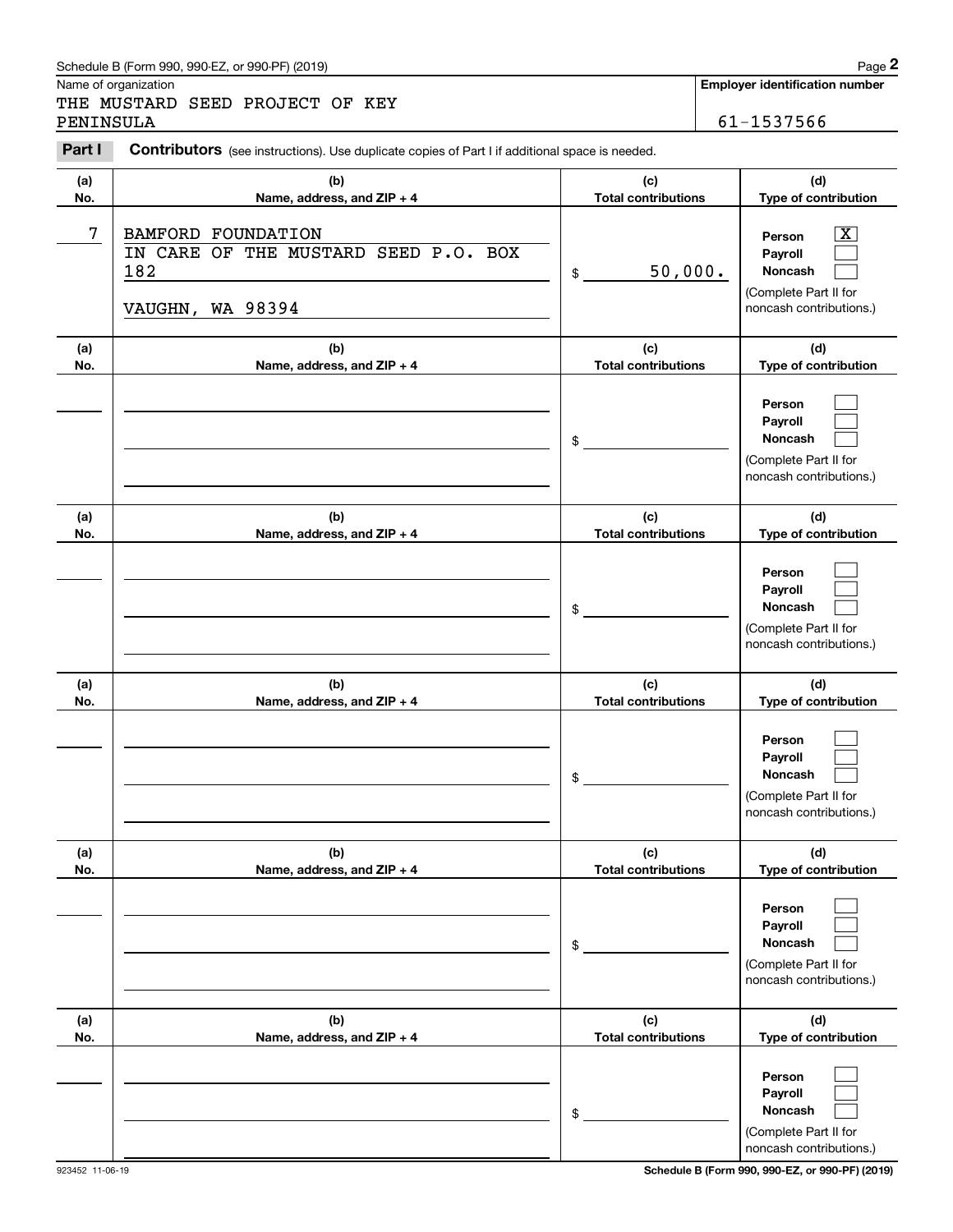## Schedule B (Form 990, 990-EZ, or 990-PF) (2019) Page 2

|            | Schedule B (Form 990, 990-EZ, or 990-PF) (2019)                                                |                                   | Page 2                                                                                           |
|------------|------------------------------------------------------------------------------------------------|-----------------------------------|--------------------------------------------------------------------------------------------------|
| PENINSULA  | Name of organization<br>THE MUSTARD SEED PROJECT OF KEY                                        |                                   | Employer identification number<br>61-1537566                                                     |
| Part I     | Contributors (see instructions). Use duplicate copies of Part I if additional space is needed. |                                   |                                                                                                  |
| (a)<br>No. | (b)<br>Name, address, and ZIP + 4                                                              | (c)<br><b>Total contributions</b> | (d)<br>Type of contribution                                                                      |
| 7          | <b>BAMFORD FOUNDATION</b><br>IN CARE OF THE MUSTARD SEED P.O. BOX<br>182<br>VAUGHN, WA 98394   | 50,000.<br>\$                     | $\mathbf{X}$<br>Person<br>Payroll<br>Noncash<br>(Complete Part II for<br>noncash contributions.) |
| (a)<br>No. | (b)<br>Name, address, and ZIP + 4                                                              | (c)<br><b>Total contributions</b> | (d)<br>Type of contribution                                                                      |
|            |                                                                                                | \$                                | Person<br>Payroll<br>Noncash<br>(Complete Part II for<br>noncash contributions.)                 |
| (a)<br>No. | (b)<br>Name, address, and ZIP + 4                                                              | (c)<br><b>Total contributions</b> | (d)<br>Type of contribution                                                                      |
|            |                                                                                                | \$                                | Person<br>Payroll<br>Noncash<br>(Complete Part II for<br>noncash contributions.)                 |
| (a)<br>No. | (b)<br>Name, address, and ZIP + 4                                                              | (c)<br><b>Total contributions</b> | (d)<br>Type of contribution                                                                      |
|            |                                                                                                | \$                                | Person<br>Payroll<br>Noncash<br>(Complete Part II for<br>noncash contributions.)                 |
| (a)<br>No. | (b)<br>Name, address, and ZIP + 4                                                              | (c)<br><b>Total contributions</b> | (d)<br>Type of contribution                                                                      |
|            |                                                                                                | \$                                | Person<br>Payroll<br>Noncash<br>(Complete Part II for<br>noncash contributions.)                 |
| (a)<br>No. | (b)<br>Name, address, and ZIP + 4                                                              | (c)<br><b>Total contributions</b> | (d)<br>Type of contribution                                                                      |
|            |                                                                                                | \$                                | Person<br>Payroll<br>Noncash<br>(Complete Part II for<br>noncash contributions.)                 |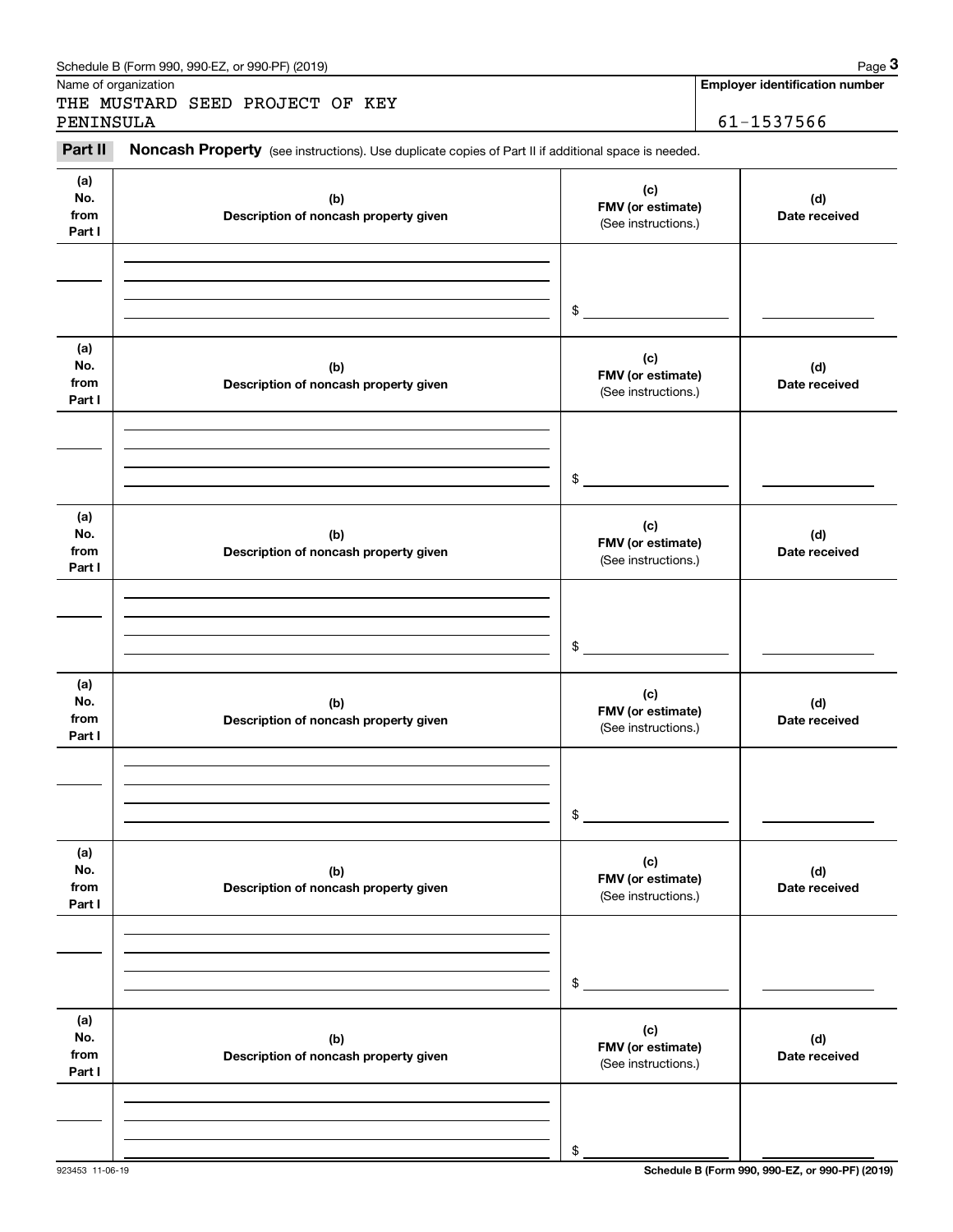| Name of organization         | Schedule B (Form 990, 990-EZ, or 990-PF) (2019)                                                     |                                                 | Page 3<br><b>Employer identification number</b> |
|------------------------------|-----------------------------------------------------------------------------------------------------|-------------------------------------------------|-------------------------------------------------|
| PENINSULA                    | THE MUSTARD SEED PROJECT OF KEY                                                                     |                                                 | 61-1537566                                      |
| Part II                      | Noncash Property (see instructions). Use duplicate copies of Part II if additional space is needed. |                                                 |                                                 |
| (a)<br>No.<br>from<br>Part I | (b)<br>Description of noncash property given                                                        | (c)<br>FMV (or estimate)<br>(See instructions.) | (d)<br>Date received                            |
|                              |                                                                                                     | \$                                              |                                                 |
| (a)<br>No.<br>from<br>Part I | (b)<br>Description of noncash property given                                                        | (c)<br>FMV (or estimate)<br>(See instructions.) | (d)<br>Date received                            |
|                              |                                                                                                     | \$                                              |                                                 |
| (a)<br>No.<br>from<br>Part I | (b)<br>Description of noncash property given                                                        | (c)<br>FMV (or estimate)<br>(See instructions.) | (d)<br>Date received                            |
|                              |                                                                                                     | \$                                              |                                                 |
| (a)<br>No.<br>from<br>Part I | (b)<br>Description of noncash property given                                                        | (c)<br>FMV (or estimate)<br>(See instructions.) | (d)<br>Date received                            |
|                              |                                                                                                     | \$                                              |                                                 |
| (a)<br>No.<br>from<br>Part I | (b)<br>Description of noncash property given                                                        | (c)<br>FMV (or estimate)<br>(See instructions.) | (d)<br>Date received                            |
|                              |                                                                                                     | \$                                              |                                                 |
| (a)<br>No.<br>from<br>Part I | (b)<br>Description of noncash property given                                                        | (c)<br>FMV (or estimate)<br>(See instructions.) | (d)<br>Date received                            |
|                              |                                                                                                     |                                                 |                                                 |

**Employer identification number**

923453 11-06-19 **Schedule B (Form 990, 990-EZ, or 990-PF) (2019)**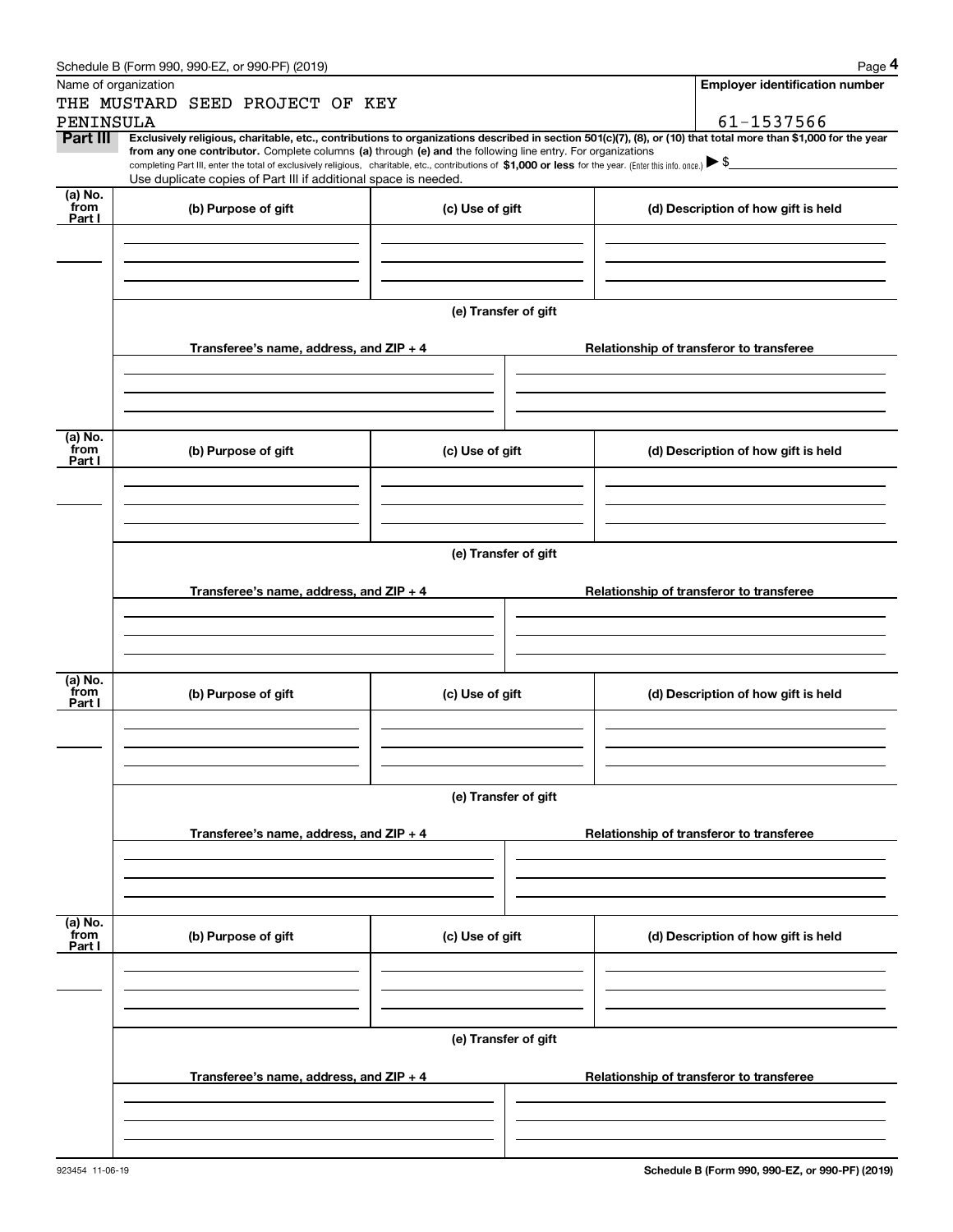|                 | Schedule B (Form 990, 990-EZ, or 990-PF) (2019)                                                                                                                                                                                                                                                                                                                                                                                                                   |                      |                                          |  | Page 4                                   |  |  |
|-----------------|-------------------------------------------------------------------------------------------------------------------------------------------------------------------------------------------------------------------------------------------------------------------------------------------------------------------------------------------------------------------------------------------------------------------------------------------------------------------|----------------------|------------------------------------------|--|------------------------------------------|--|--|
|                 | Name of organization                                                                                                                                                                                                                                                                                                                                                                                                                                              |                      |                                          |  | <b>Employer identification number</b>    |  |  |
|                 | THE MUSTARD SEED PROJECT OF KEY                                                                                                                                                                                                                                                                                                                                                                                                                                   |                      |                                          |  |                                          |  |  |
| PENINSULA       |                                                                                                                                                                                                                                                                                                                                                                                                                                                                   |                      |                                          |  | 61-1537566                               |  |  |
| Part III        | Exclusively religious, charitable, etc., contributions to organizations described in section 501(c)(7), (8), or (10) that total more than \$1,000 for the year<br>from any one contributor. Complete columns (a) through (e) and the following line entry. For organizations<br>completing Part III, enter the total of exclusively religious, charitable, etc., contributions of \$1,000 or less for the year. (Enter this info. once.) $\blacktriangleright$ \$ |                      |                                          |  |                                          |  |  |
|                 | Use duplicate copies of Part III if additional space is needed.                                                                                                                                                                                                                                                                                                                                                                                                   |                      |                                          |  |                                          |  |  |
| (a) No.         |                                                                                                                                                                                                                                                                                                                                                                                                                                                                   |                      |                                          |  |                                          |  |  |
| from<br>Part I  | (b) Purpose of gift                                                                                                                                                                                                                                                                                                                                                                                                                                               | (c) Use of gift      |                                          |  | (d) Description of how gift is held      |  |  |
|                 |                                                                                                                                                                                                                                                                                                                                                                                                                                                                   |                      |                                          |  |                                          |  |  |
|                 |                                                                                                                                                                                                                                                                                                                                                                                                                                                                   |                      |                                          |  |                                          |  |  |
|                 |                                                                                                                                                                                                                                                                                                                                                                                                                                                                   |                      |                                          |  |                                          |  |  |
|                 |                                                                                                                                                                                                                                                                                                                                                                                                                                                                   |                      |                                          |  |                                          |  |  |
|                 |                                                                                                                                                                                                                                                                                                                                                                                                                                                                   | (e) Transfer of gift |                                          |  |                                          |  |  |
|                 |                                                                                                                                                                                                                                                                                                                                                                                                                                                                   |                      |                                          |  |                                          |  |  |
|                 | Transferee's name, address, and ZIP + 4                                                                                                                                                                                                                                                                                                                                                                                                                           |                      |                                          |  | Relationship of transferor to transferee |  |  |
|                 |                                                                                                                                                                                                                                                                                                                                                                                                                                                                   |                      |                                          |  |                                          |  |  |
|                 |                                                                                                                                                                                                                                                                                                                                                                                                                                                                   |                      |                                          |  |                                          |  |  |
|                 |                                                                                                                                                                                                                                                                                                                                                                                                                                                                   |                      |                                          |  |                                          |  |  |
| (a) No.         |                                                                                                                                                                                                                                                                                                                                                                                                                                                                   |                      |                                          |  |                                          |  |  |
| from<br>Part I  | (b) Purpose of gift                                                                                                                                                                                                                                                                                                                                                                                                                                               | (c) Use of gift      |                                          |  | (d) Description of how gift is held      |  |  |
|                 |                                                                                                                                                                                                                                                                                                                                                                                                                                                                   |                      |                                          |  |                                          |  |  |
|                 |                                                                                                                                                                                                                                                                                                                                                                                                                                                                   |                      |                                          |  |                                          |  |  |
|                 |                                                                                                                                                                                                                                                                                                                                                                                                                                                                   |                      |                                          |  |                                          |  |  |
|                 |                                                                                                                                                                                                                                                                                                                                                                                                                                                                   |                      |                                          |  |                                          |  |  |
|                 | (e) Transfer of gift                                                                                                                                                                                                                                                                                                                                                                                                                                              |                      |                                          |  |                                          |  |  |
|                 |                                                                                                                                                                                                                                                                                                                                                                                                                                                                   |                      |                                          |  |                                          |  |  |
|                 | Transferee's name, address, and ZIP + 4                                                                                                                                                                                                                                                                                                                                                                                                                           |                      |                                          |  | Relationship of transferor to transferee |  |  |
|                 |                                                                                                                                                                                                                                                                                                                                                                                                                                                                   |                      |                                          |  |                                          |  |  |
|                 |                                                                                                                                                                                                                                                                                                                                                                                                                                                                   |                      |                                          |  |                                          |  |  |
|                 |                                                                                                                                                                                                                                                                                                                                                                                                                                                                   |                      |                                          |  |                                          |  |  |
| (a) No.         |                                                                                                                                                                                                                                                                                                                                                                                                                                                                   |                      |                                          |  |                                          |  |  |
| from<br>Part I  | (b) Purpose of gift                                                                                                                                                                                                                                                                                                                                                                                                                                               | (c) Use of gift      |                                          |  | (d) Description of how gift is held      |  |  |
|                 |                                                                                                                                                                                                                                                                                                                                                                                                                                                                   |                      |                                          |  |                                          |  |  |
|                 |                                                                                                                                                                                                                                                                                                                                                                                                                                                                   |                      |                                          |  |                                          |  |  |
|                 |                                                                                                                                                                                                                                                                                                                                                                                                                                                                   |                      |                                          |  |                                          |  |  |
|                 |                                                                                                                                                                                                                                                                                                                                                                                                                                                                   |                      |                                          |  |                                          |  |  |
|                 | (e) Transfer of gift                                                                                                                                                                                                                                                                                                                                                                                                                                              |                      |                                          |  |                                          |  |  |
|                 | Transferee's name, address, and $ZIP + 4$                                                                                                                                                                                                                                                                                                                                                                                                                         |                      |                                          |  | Relationship of transferor to transferee |  |  |
|                 |                                                                                                                                                                                                                                                                                                                                                                                                                                                                   |                      |                                          |  |                                          |  |  |
|                 |                                                                                                                                                                                                                                                                                                                                                                                                                                                                   |                      |                                          |  |                                          |  |  |
|                 |                                                                                                                                                                                                                                                                                                                                                                                                                                                                   |                      |                                          |  |                                          |  |  |
|                 |                                                                                                                                                                                                                                                                                                                                                                                                                                                                   |                      |                                          |  |                                          |  |  |
| (a) No.<br>from | (b) Purpose of gift                                                                                                                                                                                                                                                                                                                                                                                                                                               | (c) Use of gift      |                                          |  | (d) Description of how gift is held      |  |  |
| Part I          |                                                                                                                                                                                                                                                                                                                                                                                                                                                                   |                      |                                          |  |                                          |  |  |
|                 |                                                                                                                                                                                                                                                                                                                                                                                                                                                                   |                      |                                          |  |                                          |  |  |
|                 |                                                                                                                                                                                                                                                                                                                                                                                                                                                                   |                      |                                          |  |                                          |  |  |
|                 |                                                                                                                                                                                                                                                                                                                                                                                                                                                                   |                      |                                          |  |                                          |  |  |
|                 |                                                                                                                                                                                                                                                                                                                                                                                                                                                                   | (e) Transfer of gift |                                          |  |                                          |  |  |
|                 |                                                                                                                                                                                                                                                                                                                                                                                                                                                                   |                      |                                          |  |                                          |  |  |
|                 | Transferee's name, address, and $ZIP + 4$                                                                                                                                                                                                                                                                                                                                                                                                                         |                      | Relationship of transferor to transferee |  |                                          |  |  |
|                 |                                                                                                                                                                                                                                                                                                                                                                                                                                                                   |                      |                                          |  |                                          |  |  |
|                 |                                                                                                                                                                                                                                                                                                                                                                                                                                                                   |                      |                                          |  |                                          |  |  |
|                 |                                                                                                                                                                                                                                                                                                                                                                                                                                                                   |                      |                                          |  |                                          |  |  |
|                 |                                                                                                                                                                                                                                                                                                                                                                                                                                                                   |                      |                                          |  |                                          |  |  |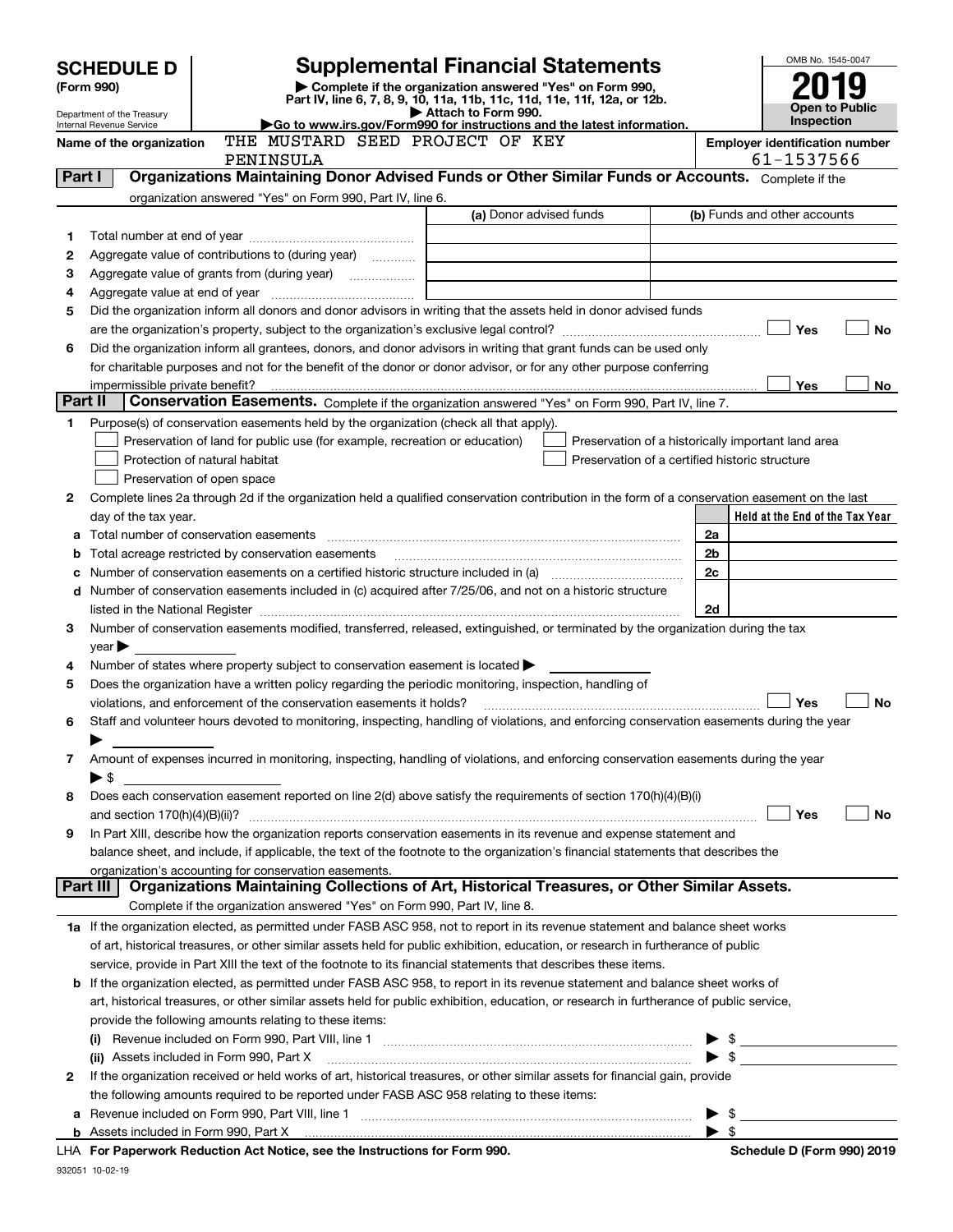|         | <b>Supplemental Financial Statements</b><br><b>SCHEDULE D</b>                                                                                                                                                                                 |                                                                                                        |                                                                                                                                                                                                                                |                                                     |                                                    |  |  |
|---------|-----------------------------------------------------------------------------------------------------------------------------------------------------------------------------------------------------------------------------------------------|--------------------------------------------------------------------------------------------------------|--------------------------------------------------------------------------------------------------------------------------------------------------------------------------------------------------------------------------------|-----------------------------------------------------|----------------------------------------------------|--|--|
|         | Complete if the organization answered "Yes" on Form 990,<br>(Form 990)                                                                                                                                                                        |                                                                                                        |                                                                                                                                                                                                                                |                                                     |                                                    |  |  |
|         | Part IV, line 6, 7, 8, 9, 10, 11a, 11b, 11c, 11d, 11e, 11f, 12a, or 12b.<br>Attach to Form 990.<br>Department of the Treasury                                                                                                                 |                                                                                                        |                                                                                                                                                                                                                                |                                                     |                                                    |  |  |
|         | Internal Revenue Service                                                                                                                                                                                                                      |                                                                                                        | Go to www.irs.gov/Form990 for instructions and the latest information.                                                                                                                                                         |                                                     | Open to Public<br>Inspection                       |  |  |
|         | Name of the organization                                                                                                                                                                                                                      | THE MUSTARD SEED PROJECT OF KEY<br>PENINSULA                                                           |                                                                                                                                                                                                                                | <b>Employer identification number</b><br>61-1537566 |                                                    |  |  |
| Part I  |                                                                                                                                                                                                                                               |                                                                                                        | Organizations Maintaining Donor Advised Funds or Other Similar Funds or Accounts. Complete if the                                                                                                                              |                                                     |                                                    |  |  |
|         |                                                                                                                                                                                                                                               | organization answered "Yes" on Form 990, Part IV, line 6.                                              |                                                                                                                                                                                                                                |                                                     |                                                    |  |  |
|         |                                                                                                                                                                                                                                               |                                                                                                        | (a) Donor advised funds                                                                                                                                                                                                        |                                                     | (b) Funds and other accounts                       |  |  |
| 1       |                                                                                                                                                                                                                                               |                                                                                                        |                                                                                                                                                                                                                                |                                                     |                                                    |  |  |
| 2       |                                                                                                                                                                                                                                               | Aggregate value of contributions to (during year)                                                      |                                                                                                                                                                                                                                |                                                     |                                                    |  |  |
| 3       |                                                                                                                                                                                                                                               |                                                                                                        |                                                                                                                                                                                                                                |                                                     |                                                    |  |  |
| 4       |                                                                                                                                                                                                                                               |                                                                                                        |                                                                                                                                                                                                                                |                                                     |                                                    |  |  |
| 5       |                                                                                                                                                                                                                                               |                                                                                                        | Did the organization inform all donors and donor advisors in writing that the assets held in donor advised funds                                                                                                               |                                                     |                                                    |  |  |
|         |                                                                                                                                                                                                                                               |                                                                                                        |                                                                                                                                                                                                                                |                                                     | Yes<br><b>No</b>                                   |  |  |
| 6       |                                                                                                                                                                                                                                               |                                                                                                        | Did the organization inform all grantees, donors, and donor advisors in writing that grant funds can be used only                                                                                                              |                                                     |                                                    |  |  |
|         |                                                                                                                                                                                                                                               |                                                                                                        | for charitable purposes and not for the benefit of the donor or donor advisor, or for any other purpose conferring                                                                                                             |                                                     | Yes<br>No                                          |  |  |
| Part II | impermissible private benefit?                                                                                                                                                                                                                |                                                                                                        | Conservation Easements. Complete if the organization answered "Yes" on Form 990, Part IV, line 7.                                                                                                                              |                                                     |                                                    |  |  |
| 1       |                                                                                                                                                                                                                                               | Purpose(s) of conservation easements held by the organization (check all that apply).                  |                                                                                                                                                                                                                                |                                                     |                                                    |  |  |
|         |                                                                                                                                                                                                                                               | Preservation of land for public use (for example, recreation or education)                             |                                                                                                                                                                                                                                |                                                     | Preservation of a historically important land area |  |  |
|         |                                                                                                                                                                                                                                               | Protection of natural habitat                                                                          | Preservation of a certified historic structure                                                                                                                                                                                 |                                                     |                                                    |  |  |
|         |                                                                                                                                                                                                                                               | Preservation of open space                                                                             |                                                                                                                                                                                                                                |                                                     |                                                    |  |  |
| 2       |                                                                                                                                                                                                                                               |                                                                                                        | Complete lines 2a through 2d if the organization held a qualified conservation contribution in the form of a conservation easement on the last                                                                                 |                                                     |                                                    |  |  |
|         | day of the tax year.                                                                                                                                                                                                                          |                                                                                                        |                                                                                                                                                                                                                                |                                                     | Held at the End of the Tax Year                    |  |  |
|         |                                                                                                                                                                                                                                               |                                                                                                        |                                                                                                                                                                                                                                | 2a                                                  |                                                    |  |  |
| b       |                                                                                                                                                                                                                                               | Total acreage restricted by conservation easements                                                     |                                                                                                                                                                                                                                | 2b                                                  |                                                    |  |  |
|         |                                                                                                                                                                                                                                               |                                                                                                        | Number of conservation easements on a certified historic structure included in (a) manufacture included in (a)                                                                                                                 | 2 <sub>c</sub>                                      |                                                    |  |  |
| d       |                                                                                                                                                                                                                                               |                                                                                                        | Number of conservation easements included in (c) acquired after 7/25/06, and not on a historic structure                                                                                                                       |                                                     |                                                    |  |  |
|         | 2d                                                                                                                                                                                                                                            |                                                                                                        |                                                                                                                                                                                                                                |                                                     |                                                    |  |  |
| 3       |                                                                                                                                                                                                                                               |                                                                                                        | Number of conservation easements modified, transferred, released, extinguished, or terminated by the organization during the tax                                                                                               |                                                     |                                                    |  |  |
|         | $year \blacktriangleright$                                                                                                                                                                                                                    |                                                                                                        |                                                                                                                                                                                                                                |                                                     |                                                    |  |  |
| 4       |                                                                                                                                                                                                                                               | Number of states where property subject to conservation easement is located $\blacktriangleright$      |                                                                                                                                                                                                                                |                                                     |                                                    |  |  |
| 5       |                                                                                                                                                                                                                                               | Does the organization have a written policy regarding the periodic monitoring, inspection, handling of |                                                                                                                                                                                                                                |                                                     | Yes<br><b>No</b>                                   |  |  |
| 6       |                                                                                                                                                                                                                                               | violations, and enforcement of the conservation easements it holds?                                    | Staff and volunteer hours devoted to monitoring, inspecting, handling of violations, and enforcing conservation easements during the year                                                                                      |                                                     |                                                    |  |  |
|         |                                                                                                                                                                                                                                               |                                                                                                        |                                                                                                                                                                                                                                |                                                     |                                                    |  |  |
| 7       |                                                                                                                                                                                                                                               |                                                                                                        | Amount of expenses incurred in monitoring, inspecting, handling of violations, and enforcing conservation easements during the year                                                                                            |                                                     |                                                    |  |  |
|         | $\blacktriangleright$ \$                                                                                                                                                                                                                      |                                                                                                        |                                                                                                                                                                                                                                |                                                     |                                                    |  |  |
| 8       |                                                                                                                                                                                                                                               |                                                                                                        | Does each conservation easement reported on line 2(d) above satisfy the requirements of section 170(h)(4)(B)(i)                                                                                                                |                                                     |                                                    |  |  |
|         | and section 170(h)(4)(B)(ii)?                                                                                                                                                                                                                 |                                                                                                        |                                                                                                                                                                                                                                |                                                     | Yes<br>No                                          |  |  |
| 9       |                                                                                                                                                                                                                                               |                                                                                                        | In Part XIII, describe how the organization reports conservation easements in its revenue and expense statement and                                                                                                            |                                                     |                                                    |  |  |
|         |                                                                                                                                                                                                                                               |                                                                                                        | balance sheet, and include, if applicable, the text of the footnote to the organization's financial statements that describes the                                                                                              |                                                     |                                                    |  |  |
|         |                                                                                                                                                                                                                                               | organization's accounting for conservation easements.                                                  |                                                                                                                                                                                                                                |                                                     |                                                    |  |  |
|         | Part III                                                                                                                                                                                                                                      |                                                                                                        | Organizations Maintaining Collections of Art, Historical Treasures, or Other Similar Assets.                                                                                                                                   |                                                     |                                                    |  |  |
|         |                                                                                                                                                                                                                                               | Complete if the organization answered "Yes" on Form 990, Part IV, line 8.                              |                                                                                                                                                                                                                                |                                                     |                                                    |  |  |
|         |                                                                                                                                                                                                                                               |                                                                                                        | 1a If the organization elected, as permitted under FASB ASC 958, not to report in its revenue statement and balance sheet works                                                                                                |                                                     |                                                    |  |  |
|         |                                                                                                                                                                                                                                               |                                                                                                        | of art, historical treasures, or other similar assets held for public exhibition, education, or research in furtherance of public                                                                                              |                                                     |                                                    |  |  |
|         | service, provide in Part XIII the text of the footnote to its financial statements that describes these items.<br>If the organization elected, as permitted under FASB ASC 958, to report in its revenue statement and balance sheet works of |                                                                                                        |                                                                                                                                                                                                                                |                                                     |                                                    |  |  |
| b       |                                                                                                                                                                                                                                               |                                                                                                        | art, historical treasures, or other similar assets held for public exhibition, education, or research in furtherance of public service,                                                                                        |                                                     |                                                    |  |  |
|         |                                                                                                                                                                                                                                               | provide the following amounts relating to these items:                                                 |                                                                                                                                                                                                                                |                                                     |                                                    |  |  |
|         |                                                                                                                                                                                                                                               |                                                                                                        | Revenue included on Form 990, Part VIII, line 1 manual content content content in the content of the Revenue o                                                                                                                 |                                                     | $\triangleright$ \$                                |  |  |
|         |                                                                                                                                                                                                                                               | (ii) Assets included in Form 990, Part X                                                               |                                                                                                                                                                                                                                |                                                     |                                                    |  |  |
| 2       |                                                                                                                                                                                                                                               |                                                                                                        | If the organization received or held works of art, historical treasures, or other similar assets for financial gain, provide                                                                                                   |                                                     |                                                    |  |  |
|         |                                                                                                                                                                                                                                               | the following amounts required to be reported under FASB ASC 958 relating to these items:              |                                                                                                                                                                                                                                |                                                     |                                                    |  |  |
| а       |                                                                                                                                                                                                                                               |                                                                                                        |                                                                                                                                                                                                                                |                                                     | - \$                                               |  |  |
| b       |                                                                                                                                                                                                                                               |                                                                                                        | Assets included in Form 990, Part X [11, 120] Assets included in Form 990, Part X [20] Assets included in Form 990, Part X [20] Assets included in Form 990, Part X [20] Assets included in Form 990, Part X [20] Assets inclu |                                                     | - \$                                               |  |  |
|         |                                                                                                                                                                                                                                               | <b>I HA. For Paperwork Reduction Act Notice, see the Instructions for Form 990</b>                     |                                                                                                                                                                                                                                |                                                     | Schodule D (Form 000) 2010                         |  |  |

**For Paperwork Reduction Act Notice, see the Instructions for Form 990. Schedule D (Form 990) 2019** LHA

932051 10-02-19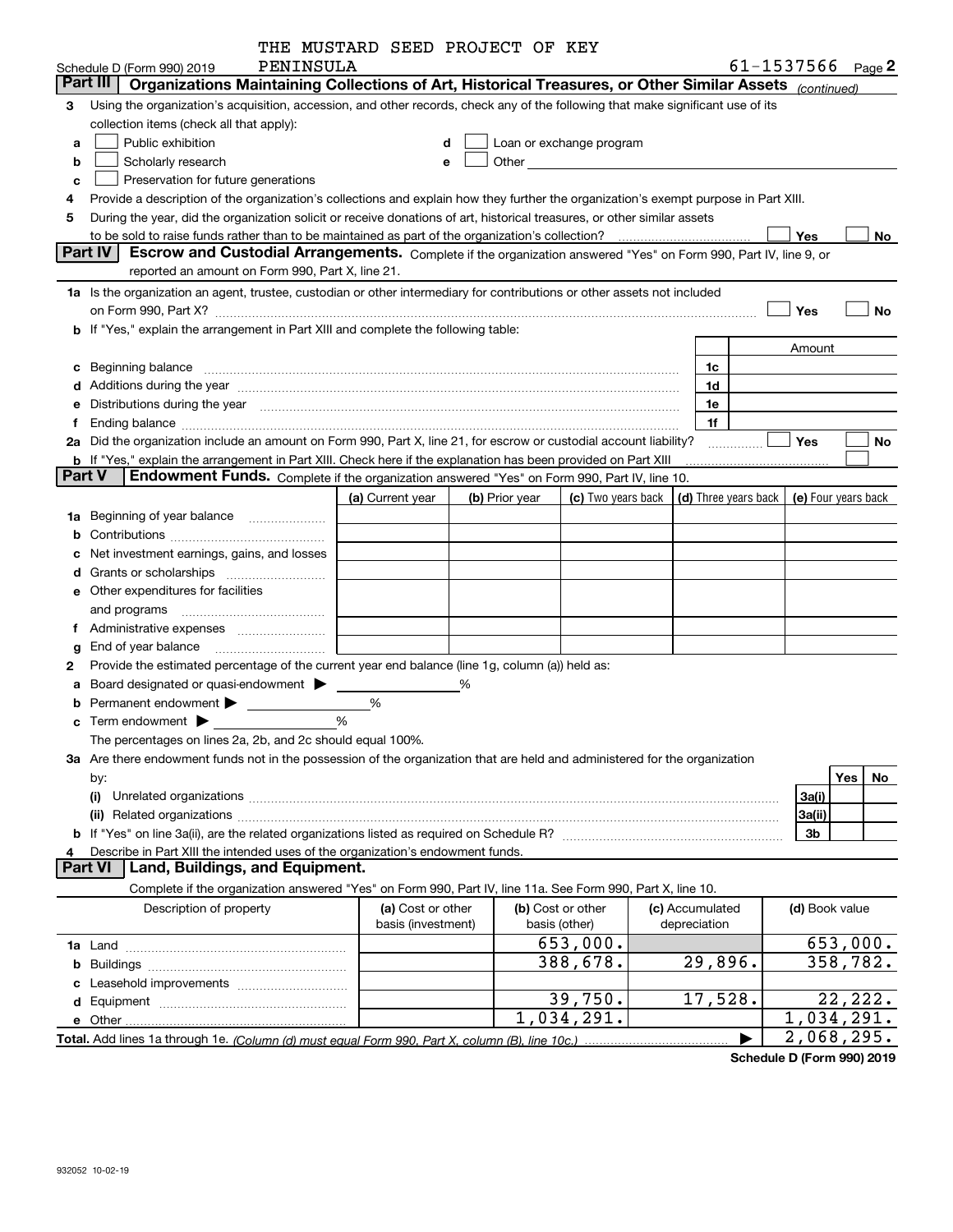|               |                                                                                                                                                                                                                                | THE MUSTARD SEED PROJECT OF KEY |   |                |                                                                                                                                                                                                                               |                                                          |                            |           |
|---------------|--------------------------------------------------------------------------------------------------------------------------------------------------------------------------------------------------------------------------------|---------------------------------|---|----------------|-------------------------------------------------------------------------------------------------------------------------------------------------------------------------------------------------------------------------------|----------------------------------------------------------|----------------------------|-----------|
|               | PENINSULA<br>Schedule D (Form 990) 2019                                                                                                                                                                                        |                                 |   |                |                                                                                                                                                                                                                               |                                                          | 61-1537566 $_{Page}$ 2     |           |
|               | Part III   Organizations Maintaining Collections of Art, Historical Treasures, or Other Similar Assets (continued)                                                                                                             |                                 |   |                |                                                                                                                                                                                                                               |                                                          |                            |           |
| 3             | Using the organization's acquisition, accession, and other records, check any of the following that make significant use of its                                                                                                |                                 |   |                |                                                                                                                                                                                                                               |                                                          |                            |           |
|               | collection items (check all that apply):                                                                                                                                                                                       |                                 |   |                |                                                                                                                                                                                                                               |                                                          |                            |           |
| a             | Public exhibition                                                                                                                                                                                                              |                                 | d |                | Loan or exchange program                                                                                                                                                                                                      |                                                          |                            |           |
| b             | Scholarly research                                                                                                                                                                                                             |                                 | е |                | Other and the contract of the contract of the contract of the contract of the contract of the contract of the contract of the contract of the contract of the contract of the contract of the contract of the contract of the |                                                          |                            |           |
| c             | Preservation for future generations                                                                                                                                                                                            |                                 |   |                |                                                                                                                                                                                                                               |                                                          |                            |           |
|               | Provide a description of the organization's collections and explain how they further the organization's exempt purpose in Part XIII.                                                                                           |                                 |   |                |                                                                                                                                                                                                                               |                                                          |                            |           |
| 5             | During the year, did the organization solicit or receive donations of art, historical treasures, or other similar assets                                                                                                       |                                 |   |                |                                                                                                                                                                                                                               |                                                          |                            |           |
|               |                                                                                                                                                                                                                                |                                 |   |                |                                                                                                                                                                                                                               |                                                          | Yes                        | No        |
|               | <b>Part IV</b><br>Escrow and Custodial Arrangements. Complete if the organization answered "Yes" on Form 990, Part IV, line 9, or                                                                                              |                                 |   |                |                                                                                                                                                                                                                               |                                                          |                            |           |
|               | reported an amount on Form 990, Part X, line 21.                                                                                                                                                                               |                                 |   |                |                                                                                                                                                                                                                               |                                                          |                            |           |
|               | 1a Is the organization an agent, trustee, custodian or other intermediary for contributions or other assets not included                                                                                                       |                                 |   |                |                                                                                                                                                                                                                               |                                                          |                            |           |
|               |                                                                                                                                                                                                                                |                                 |   |                |                                                                                                                                                                                                                               |                                                          | Yes                        | No        |
|               | on Form 990, Part X? [11] matter contracts and contracts and contracts are contracted as a form 990, Part X?<br><b>b</b> If "Yes," explain the arrangement in Part XIII and complete the following table:                      |                                 |   |                |                                                                                                                                                                                                                               |                                                          |                            |           |
|               |                                                                                                                                                                                                                                |                                 |   |                |                                                                                                                                                                                                                               |                                                          |                            |           |
|               |                                                                                                                                                                                                                                |                                 |   |                |                                                                                                                                                                                                                               |                                                          | Amount                     |           |
|               | c Beginning balance measurements and the state of the state of the state of the state of the state of the state of the state of the state of the state of the state of the state of the state of the state of the state of the |                                 |   |                |                                                                                                                                                                                                                               | 1c                                                       |                            |           |
|               | d Additions during the year measurements are all an according to the year measurement of the year measurement of the state of the state of the state of the state of the state of the state of the state of the state of the s |                                 |   |                |                                                                                                                                                                                                                               | 1d                                                       |                            |           |
|               | e Distributions during the year manufactured and contain an account of the year manufactured and the year manufactured and the year manufactured and the year manufactured and the year manufactured and the year manufactured |                                 |   |                |                                                                                                                                                                                                                               | 1e                                                       |                            |           |
| Ť.            |                                                                                                                                                                                                                                |                                 |   |                |                                                                                                                                                                                                                               | 1f                                                       |                            |           |
|               | 2a Did the organization include an amount on Form 990, Part X, line 21, for escrow or custodial account liability?                                                                                                             |                                 |   |                |                                                                                                                                                                                                                               | .                                                        | Yes                        | No        |
|               | <b>b</b> If "Yes," explain the arrangement in Part XIII. Check here if the explanation has been provided on Part XIII                                                                                                          |                                 |   |                |                                                                                                                                                                                                                               |                                                          |                            |           |
| <b>Part V</b> | Endowment Funds. Complete if the organization answered "Yes" on Form 990, Part IV, line 10.                                                                                                                                    |                                 |   |                |                                                                                                                                                                                                                               |                                                          |                            |           |
|               |                                                                                                                                                                                                                                | (a) Current year                |   | (b) Prior year | (c) Two years back                                                                                                                                                                                                            | $\vert$ (d) Three years back $\vert$ (e) Four years back |                            |           |
|               | 1a Beginning of year balance                                                                                                                                                                                                   |                                 |   |                |                                                                                                                                                                                                                               |                                                          |                            |           |
| b             |                                                                                                                                                                                                                                |                                 |   |                |                                                                                                                                                                                                                               |                                                          |                            |           |
|               | Net investment earnings, gains, and losses                                                                                                                                                                                     |                                 |   |                |                                                                                                                                                                                                                               |                                                          |                            |           |
|               |                                                                                                                                                                                                                                |                                 |   |                |                                                                                                                                                                                                                               |                                                          |                            |           |
|               | e Other expenditures for facilities                                                                                                                                                                                            |                                 |   |                |                                                                                                                                                                                                                               |                                                          |                            |           |
|               | and programs                                                                                                                                                                                                                   |                                 |   |                |                                                                                                                                                                                                                               |                                                          |                            |           |
|               | f Administrative expenses <i>manually community</i>                                                                                                                                                                            |                                 |   |                |                                                                                                                                                                                                                               |                                                          |                            |           |
| g             | End of year balance <i>manually contained</i>                                                                                                                                                                                  |                                 |   |                |                                                                                                                                                                                                                               |                                                          |                            |           |
| 2             | Provide the estimated percentage of the current year end balance (line 1g, column (a)) held as:                                                                                                                                |                                 |   |                |                                                                                                                                                                                                                               |                                                          |                            |           |
|               | a Board designated or quasi-endowment >                                                                                                                                                                                        |                                 | % |                |                                                                                                                                                                                                                               |                                                          |                            |           |
|               |                                                                                                                                                                                                                                | %                               |   |                |                                                                                                                                                                                                                               |                                                          |                            |           |
|               | $\mathbf c$ Term endowment $\blacktriangleright$                                                                                                                                                                               | %                               |   |                |                                                                                                                                                                                                                               |                                                          |                            |           |
|               | The percentages on lines 2a, 2b, and 2c should equal 100%.                                                                                                                                                                     |                                 |   |                |                                                                                                                                                                                                                               |                                                          |                            |           |
|               | 3a Are there endowment funds not in the possession of the organization that are held and administered for the organization                                                                                                     |                                 |   |                |                                                                                                                                                                                                                               |                                                          |                            |           |
|               | by:                                                                                                                                                                                                                            |                                 |   |                |                                                                                                                                                                                                                               |                                                          |                            | Yes<br>No |
|               | (i)                                                                                                                                                                                                                            |                                 |   |                |                                                                                                                                                                                                                               |                                                          | 3a(i)                      |           |
|               |                                                                                                                                                                                                                                |                                 |   |                |                                                                                                                                                                                                                               |                                                          |                            |           |
|               |                                                                                                                                                                                                                                |                                 |   |                |                                                                                                                                                                                                                               |                                                          | 3a(ii)                     |           |
|               |                                                                                                                                                                                                                                |                                 |   |                |                                                                                                                                                                                                                               |                                                          | 3b                         |           |
|               | Describe in Part XIII the intended uses of the organization's endowment funds.<br>Land, Buildings, and Equipment.<br><b>Part VI</b>                                                                                            |                                 |   |                |                                                                                                                                                                                                                               |                                                          |                            |           |
|               |                                                                                                                                                                                                                                |                                 |   |                |                                                                                                                                                                                                                               |                                                          |                            |           |
|               | Complete if the organization answered "Yes" on Form 990, Part IV, line 11a. See Form 990, Part X, line 10.                                                                                                                     |                                 |   |                |                                                                                                                                                                                                                               |                                                          |                            |           |
|               | Description of property                                                                                                                                                                                                        | (a) Cost or other               |   |                | (b) Cost or other                                                                                                                                                                                                             | (c) Accumulated                                          | (d) Book value             |           |
|               |                                                                                                                                                                                                                                | basis (investment)              |   |                | basis (other)                                                                                                                                                                                                                 | depreciation                                             |                            |           |
|               |                                                                                                                                                                                                                                |                                 |   |                | 653,000.                                                                                                                                                                                                                      |                                                          |                            | 653,000.  |
|               |                                                                                                                                                                                                                                |                                 |   |                | 388,678.                                                                                                                                                                                                                      | 29,896.                                                  |                            | 358,782.  |
|               |                                                                                                                                                                                                                                |                                 |   |                |                                                                                                                                                                                                                               |                                                          |                            |           |
|               |                                                                                                                                                                                                                                |                                 |   |                | 39,750.                                                                                                                                                                                                                       | 17,528.                                                  |                            | 22, 222.  |
|               |                                                                                                                                                                                                                                |                                 |   |                | 1,034,291.                                                                                                                                                                                                                    |                                                          | 1,034,291.                 |           |
|               | Total. Add lines 1a through 1e. (Column (d) must equal Form 990. Part X. column (B). line 10c.)                                                                                                                                |                                 |   |                |                                                                                                                                                                                                                               |                                                          | $\overline{2}$ , 068, 295. |           |

**Schedule D (Form 990) 2019**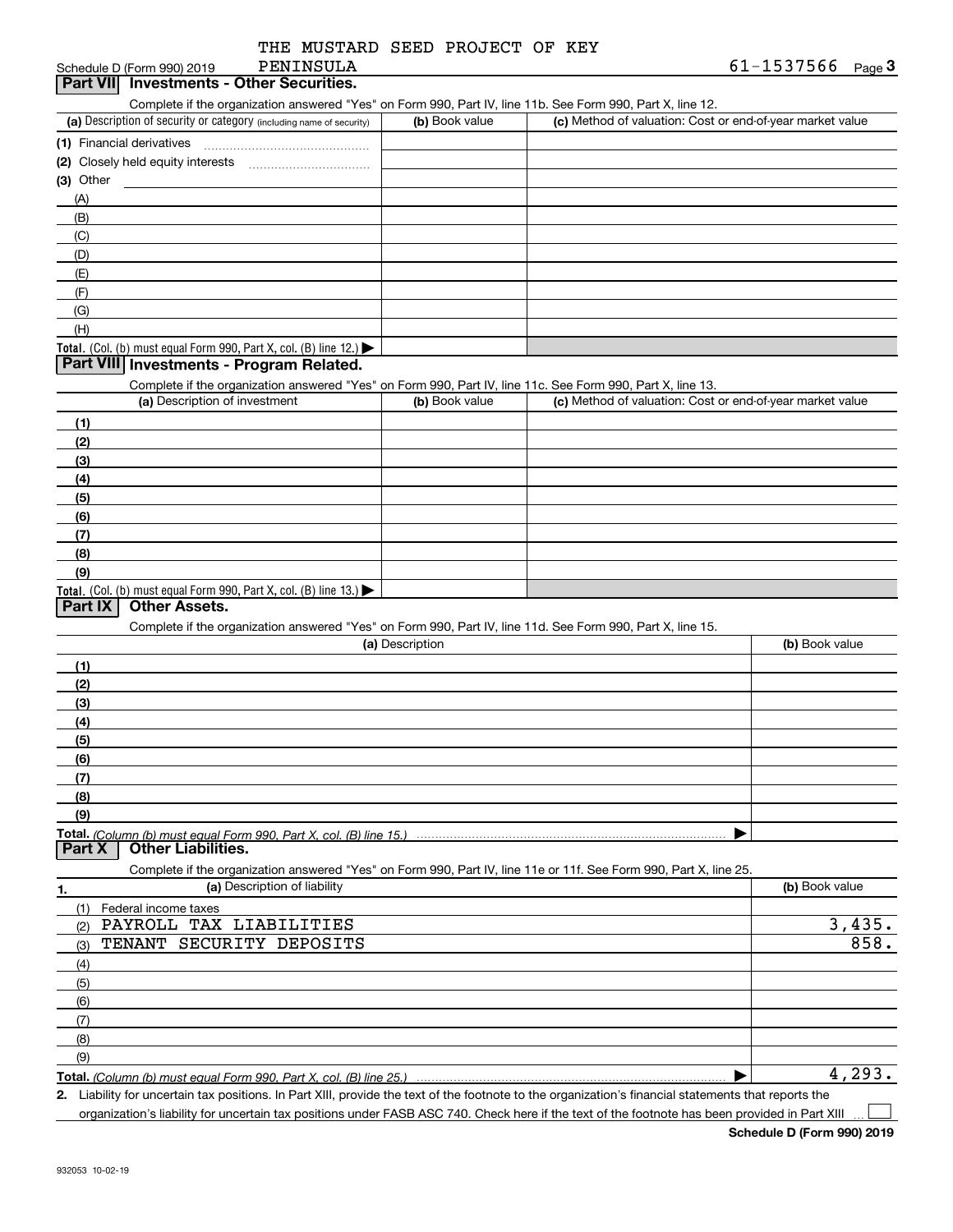| THE MUSTARD SEED PROJECT OF KEY |  |  |
|---------------------------------|--|--|
| PENINSULA                       |  |  |

### Schedule D (Form 990) 2019 **Part VII Investments - Other Securities.**

| Complete if the organization answered "Yes" on Form 990, Part IV, line 11b, See Form 990, Part X, line 12, |  |  |  |  |
|------------------------------------------------------------------------------------------------------------|--|--|--|--|
|                                                                                                            |  |  |  |  |

| (a) Description of security or category (including name of security)                          | (b) Book value | (c) Method of valuation: Cost or end-of-year market value |
|-----------------------------------------------------------------------------------------------|----------------|-----------------------------------------------------------|
| (1) Financial derivatives                                                                     |                |                                                           |
| (2) Closely held equity interests                                                             |                |                                                           |
| $(3)$ Other                                                                                   |                |                                                           |
| (A)                                                                                           |                |                                                           |
| (B)                                                                                           |                |                                                           |
| (C)                                                                                           |                |                                                           |
| (D)                                                                                           |                |                                                           |
| (E)                                                                                           |                |                                                           |
| (F)                                                                                           |                |                                                           |
| (G)                                                                                           |                |                                                           |
| (H)                                                                                           |                |                                                           |
| <b>Total.</b> (Col. (b) must equal Form 990, Part X, col. (B) line 12.) $\blacktriangleright$ |                |                                                           |

## **Part VIII Investments - Program Related.**

Complete if the organization answered "Yes" on Form 990, Part IV, line 11c. See Form 990, Part X, line 13.

| (a) Description of investment                                    | (b) Book value | (c) Method of valuation: Cost or end-of-year market value |
|------------------------------------------------------------------|----------------|-----------------------------------------------------------|
| (1)                                                              |                |                                                           |
| (2)                                                              |                |                                                           |
| (3)                                                              |                |                                                           |
| (4)                                                              |                |                                                           |
| $\left(5\right)$                                                 |                |                                                           |
| (6)                                                              |                |                                                           |
| (7)                                                              |                |                                                           |
| (8)                                                              |                |                                                           |
| (9)                                                              |                |                                                           |
| Total. (Col. (b) must equal Form 990, Part X, col. (B) line 13.) |                |                                                           |

## **Part IX Other Assets.**

Complete if the organization answered "Yes" on Form 990, Part IV, line 11d. See Form 990, Part X, line 15.

| (a) Description                                                                                                   | (b) Book value |
|-------------------------------------------------------------------------------------------------------------------|----------------|
| (1)                                                                                                               |                |
| (2)                                                                                                               |                |
| (3)                                                                                                               |                |
| (4)                                                                                                               |                |
| (5)                                                                                                               |                |
| (6)                                                                                                               |                |
| (7)                                                                                                               |                |
| (8)                                                                                                               |                |
| (9)                                                                                                               |                |
|                                                                                                                   |                |
| <b>Other Liabilities.</b><br>Part X                                                                               |                |
| Complete if the organization answered "Yes" on Form 990, Part IV, line 11e or 11f. See Form 990, Part X, line 25. |                |
| (a) Description of liability<br>1.                                                                                | (b) Book value |
| (1)<br>Federal income taxes                                                                                       |                |
| PAYROLL TAX LIABILITIES<br>(2)                                                                                    | 3,435.         |
| SECURITY DEPOSITS<br>TENANT<br>(3)                                                                                | 858.           |
| (4)                                                                                                               |                |
| (5)                                                                                                               |                |
| (6)                                                                                                               |                |

**Total.**  *(Column (b) must equal Form 990, Part X, col. (B) line 25.)*

**2.** $\blacktriangleright$ 

Liability for uncertain tax positions. In Part XIII, provide the text of the footnote to the organization's financial statements that reports the organization's liability for uncertain tax positions under FASB ASC 740. Check here if the text of the footnote has been provided in Part XIII  $\mathcal{L}^{\text{max}}$ 

4,293.

(7)(8)(9)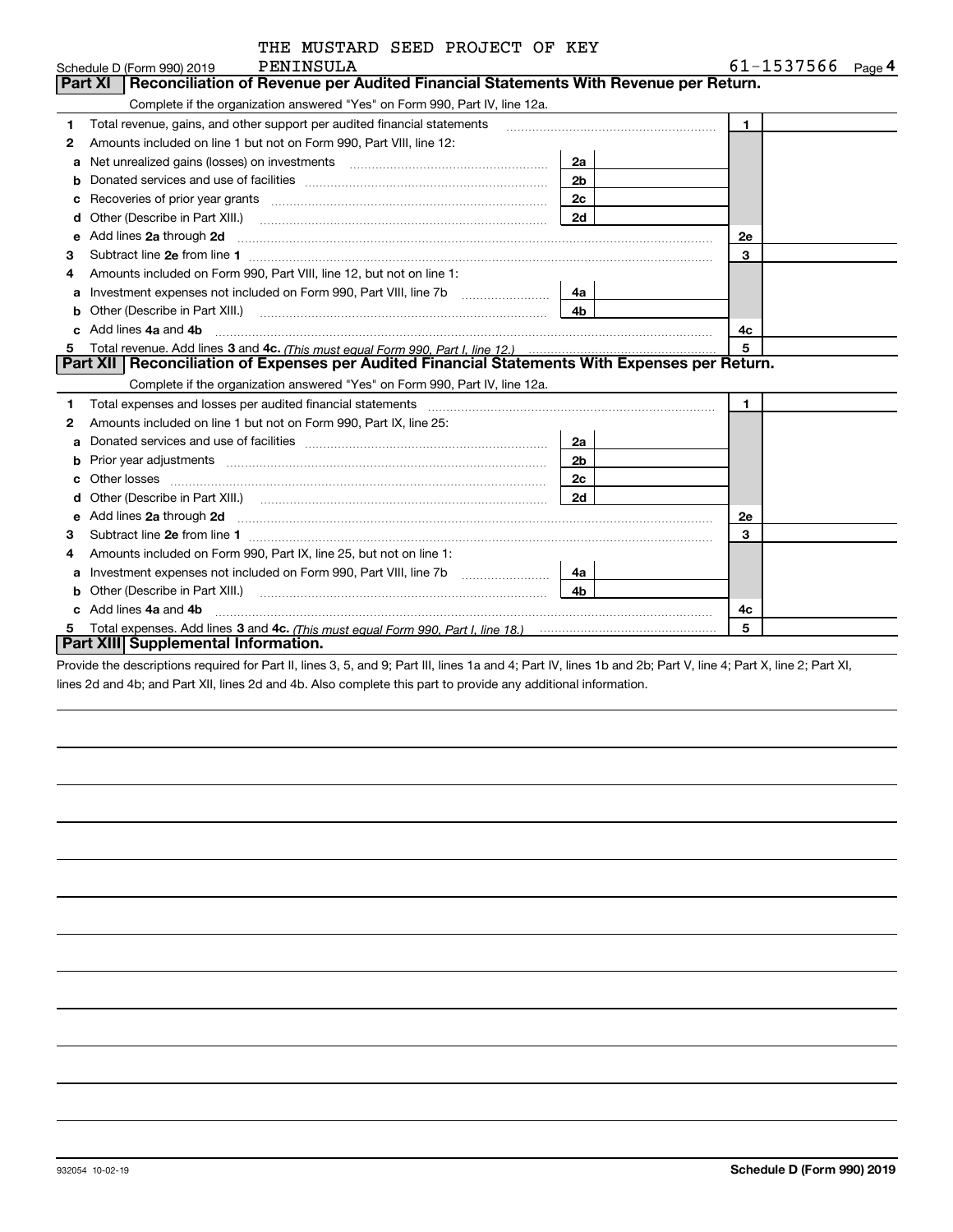| THE MUSTARD SEED PROJECT OF KEY |  |  |  |  |
|---------------------------------|--|--|--|--|
|---------------------------------|--|--|--|--|

|   | PENINSULA<br>Schedule D (Form 990) 2019                                                                                                                                                                                                                                          |                | 61-1537566<br>$Page$ <sup>4</sup> |  |
|---|----------------------------------------------------------------------------------------------------------------------------------------------------------------------------------------------------------------------------------------------------------------------------------|----------------|-----------------------------------|--|
|   | Reconciliation of Revenue per Audited Financial Statements With Revenue per Return.<br>Part XI                                                                                                                                                                                   |                |                                   |  |
|   | Complete if the organization answered "Yes" on Form 990, Part IV, line 12a.                                                                                                                                                                                                      |                |                                   |  |
| 1 | Total revenue, gains, and other support per audited financial statements                                                                                                                                                                                                         |                | $\mathbf{1}$                      |  |
| 2 | Amounts included on line 1 but not on Form 990, Part VIII, line 12:                                                                                                                                                                                                              |                |                                   |  |
| a |                                                                                                                                                                                                                                                                                  | 2a             |                                   |  |
|   |                                                                                                                                                                                                                                                                                  | 2 <sub>b</sub> |                                   |  |
| с |                                                                                                                                                                                                                                                                                  | 2c             |                                   |  |
| d | Other (Describe in Part XIII.) <b>Construction Contract Construction</b> Construction Construction Construction Constr                                                                                                                                                           | 2d             |                                   |  |
| е | Add lines 2a through 2d <b>[10]</b> [20] <b>All (20)</b> [20] [20] <b>All (20)</b> [30] <b>All (20)</b> [30] <b>All (20)</b> [30] <b>All (20)</b> [30] <b>All (20)</b> [30] <b>All (20)</b> [30] <b>All (20)</b> [30] <b>All (20)</b> [30] <b>All (20) All (20) All (20) All</b> |                | <b>2e</b>                         |  |
| 3 |                                                                                                                                                                                                                                                                                  |                | 3                                 |  |
| 4 | Amounts included on Form 990, Part VIII, line 12, but not on line 1:                                                                                                                                                                                                             |                |                                   |  |
|   |                                                                                                                                                                                                                                                                                  | 4a             |                                   |  |
| b |                                                                                                                                                                                                                                                                                  | 4 <sub>b</sub> |                                   |  |
| c | Add lines 4a and 4b                                                                                                                                                                                                                                                              |                | 4c                                |  |
| 5 |                                                                                                                                                                                                                                                                                  |                | 5                                 |  |
|   | Part XII   Reconciliation of Expenses per Audited Financial Statements With Expenses per Return.                                                                                                                                                                                 |                |                                   |  |
|   | Complete if the organization answered "Yes" on Form 990, Part IV, line 12a.                                                                                                                                                                                                      |                |                                   |  |
| 1 | Total expenses and losses per audited financial statements [11] [12] manuscription contracts and losses per audited financial statements [11] manuscription contracts and losses per audited financial statements [11] manuscr                                                   |                | $\mathbf{1}$                      |  |
| 2 | Amounts included on line 1 but not on Form 990, Part IX, line 25:                                                                                                                                                                                                                |                |                                   |  |
| а |                                                                                                                                                                                                                                                                                  | 2a             |                                   |  |
| b |                                                                                                                                                                                                                                                                                  | 2 <sub>b</sub> |                                   |  |
| c |                                                                                                                                                                                                                                                                                  | 2c             |                                   |  |
|   |                                                                                                                                                                                                                                                                                  | 2d             |                                   |  |
| е | Add lines 2a through 2d <b>must be a constructed as the constant of the constant of the constant of the construction</b>                                                                                                                                                         |                | 2e                                |  |
| З |                                                                                                                                                                                                                                                                                  |                | 3                                 |  |
| 4 | Amounts included on Form 990, Part IX, line 25, but not on line 1:                                                                                                                                                                                                               |                |                                   |  |
| а |                                                                                                                                                                                                                                                                                  | 4a             |                                   |  |
| b |                                                                                                                                                                                                                                                                                  | 4b             |                                   |  |
|   | Add lines 4a and 4b                                                                                                                                                                                                                                                              |                | 4c                                |  |
| 5 |                                                                                                                                                                                                                                                                                  |                | 5                                 |  |
|   | Part XIII Supplemental Information.                                                                                                                                                                                                                                              |                |                                   |  |

Provide the descriptions required for Part II, lines 3, 5, and 9; Part III, lines 1a and 4; Part IV, lines 1b and 2b; Part V, line 4; Part X, line 2; Part XI, lines 2d and 4b; and Part XII, lines 2d and 4b. Also complete this part to provide any additional information.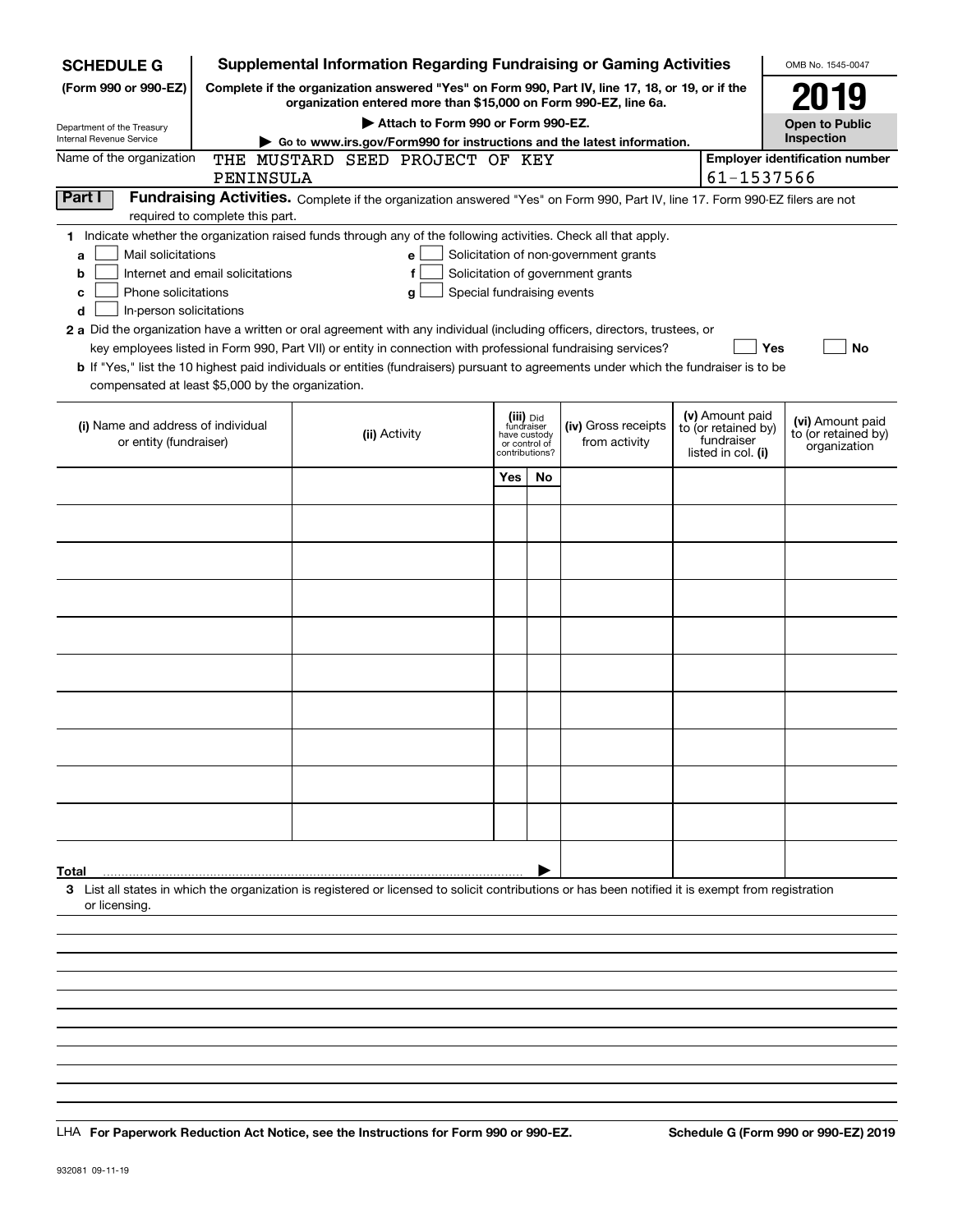| <b>SCHEDULE G</b>                                           |                                  | <b>Supplemental Information Regarding Fundraising or Gaming Activities</b>                                                                                          |                                 |              |                                       |                    |                                   | OMB No. 1545-0047                       |
|-------------------------------------------------------------|----------------------------------|---------------------------------------------------------------------------------------------------------------------------------------------------------------------|---------------------------------|--------------|---------------------------------------|--------------------|-----------------------------------|-----------------------------------------|
| (Form 990 or 990-EZ)                                        |                                  | Complete if the organization answered "Yes" on Form 990, Part IV, line 17, 18, or 19, or if the<br>organization entered more than \$15,000 on Form 990-EZ, line 6a. |                                 |              |                                       |                    |                                   | 2019                                    |
| Department of the Treasury                                  |                                  | Attach to Form 990 or Form 990-EZ.                                                                                                                                  |                                 |              |                                       |                    |                                   | <b>Open to Public</b>                   |
| <b>Internal Revenue Service</b>                             |                                  | Go to www.irs.gov/Form990 for instructions and the latest information.                                                                                              |                                 |              |                                       |                    |                                   | Inspection                              |
| Name of the organization                                    |                                  | THE MUSTARD SEED PROJECT OF KEY                                                                                                                                     |                                 |              |                                       |                    |                                   | <b>Employer identification number</b>   |
|                                                             | PENINSULA                        |                                                                                                                                                                     |                                 |              |                                       |                    | 61-1537566                        |                                         |
| Part I                                                      |                                  | Fundraising Activities. Complete if the organization answered "Yes" on Form 990, Part IV, line 17. Form 990-EZ filers are not                                       |                                 |              |                                       |                    |                                   |                                         |
|                                                             | required to complete this part.  | 1 Indicate whether the organization raised funds through any of the following activities. Check all that apply.                                                     |                                 |              |                                       |                    |                                   |                                         |
| Mail solicitations<br>a                                     |                                  | е                                                                                                                                                                   |                                 |              | Solicitation of non-government grants |                    |                                   |                                         |
| b                                                           | Internet and email solicitations | f                                                                                                                                                                   |                                 |              | Solicitation of government grants     |                    |                                   |                                         |
| Special fundraising events<br>Phone solicitations<br>c<br>g |                                  |                                                                                                                                                                     |                                 |              |                                       |                    |                                   |                                         |
| In-person solicitations<br>d                                |                                  |                                                                                                                                                                     |                                 |              |                                       |                    |                                   |                                         |
|                                                             |                                  | 2 a Did the organization have a written or oral agreement with any individual (including officers, directors, trustees, or                                          |                                 |              |                                       |                    |                                   |                                         |
|                                                             |                                  | key employees listed in Form 990, Part VII) or entity in connection with professional fundraising services?                                                         |                                 |              |                                       |                    | Yes                               | <b>No</b>                               |
|                                                             |                                  | b If "Yes," list the 10 highest paid individuals or entities (fundraisers) pursuant to agreements under which the fundraiser is to be                               |                                 |              |                                       |                    |                                   |                                         |
| compensated at least \$5,000 by the organization.           |                                  |                                                                                                                                                                     |                                 |              |                                       |                    |                                   |                                         |
|                                                             |                                  |                                                                                                                                                                     |                                 |              |                                       |                    | (v) Amount paid                   |                                         |
| (i) Name and address of individual                          |                                  | (ii) Activity                                                                                                                                                       | (iii) Did<br>fundraiser         | have custody | (iv) Gross receipts                   |                    | to (or retained by)<br>fundraiser | (vi) Amount paid<br>to (or retained by) |
| or entity (fundraiser)                                      |                                  |                                                                                                                                                                     | or control of<br>contributions? |              | from activity                         | listed in col. (i) |                                   | organization                            |
|                                                             |                                  |                                                                                                                                                                     | Yes                             | No           |                                       |                    |                                   |                                         |
|                                                             |                                  |                                                                                                                                                                     |                                 |              |                                       |                    |                                   |                                         |
|                                                             |                                  |                                                                                                                                                                     |                                 |              |                                       |                    |                                   |                                         |
|                                                             |                                  |                                                                                                                                                                     |                                 |              |                                       |                    |                                   |                                         |
|                                                             |                                  |                                                                                                                                                                     |                                 |              |                                       |                    |                                   |                                         |
|                                                             |                                  |                                                                                                                                                                     |                                 |              |                                       |                    |                                   |                                         |
|                                                             |                                  |                                                                                                                                                                     |                                 |              |                                       |                    |                                   |                                         |
|                                                             |                                  |                                                                                                                                                                     |                                 |              |                                       |                    |                                   |                                         |
|                                                             |                                  |                                                                                                                                                                     |                                 |              |                                       |                    |                                   |                                         |
|                                                             |                                  |                                                                                                                                                                     |                                 |              |                                       |                    |                                   |                                         |
|                                                             |                                  |                                                                                                                                                                     |                                 |              |                                       |                    |                                   |                                         |
|                                                             |                                  |                                                                                                                                                                     |                                 |              |                                       |                    |                                   |                                         |
|                                                             |                                  |                                                                                                                                                                     |                                 |              |                                       |                    |                                   |                                         |
|                                                             |                                  |                                                                                                                                                                     |                                 |              |                                       |                    |                                   |                                         |
|                                                             |                                  |                                                                                                                                                                     |                                 |              |                                       |                    |                                   |                                         |
|                                                             |                                  |                                                                                                                                                                     |                                 |              |                                       |                    |                                   |                                         |
|                                                             |                                  |                                                                                                                                                                     |                                 |              |                                       |                    |                                   |                                         |
|                                                             |                                  |                                                                                                                                                                     |                                 |              |                                       |                    |                                   |                                         |
|                                                             |                                  |                                                                                                                                                                     |                                 |              |                                       |                    |                                   |                                         |
|                                                             |                                  |                                                                                                                                                                     |                                 |              |                                       |                    |                                   |                                         |
| Total                                                       |                                  |                                                                                                                                                                     |                                 |              |                                       |                    |                                   |                                         |
| or licensing.                                               |                                  | 3 List all states in which the organization is registered or licensed to solicit contributions or has been notified it is exempt from registration                  |                                 |              |                                       |                    |                                   |                                         |
|                                                             |                                  |                                                                                                                                                                     |                                 |              |                                       |                    |                                   |                                         |
|                                                             |                                  |                                                                                                                                                                     |                                 |              |                                       |                    |                                   |                                         |
|                                                             |                                  |                                                                                                                                                                     |                                 |              |                                       |                    |                                   |                                         |
|                                                             |                                  |                                                                                                                                                                     |                                 |              |                                       |                    |                                   |                                         |
|                                                             |                                  |                                                                                                                                                                     |                                 |              |                                       |                    |                                   |                                         |

LHA For Paperwork Reduction Act Notice, see the Instructions for Form 990 or 990-EZ. Schedule G (Form 990 or 990-EZ) 2019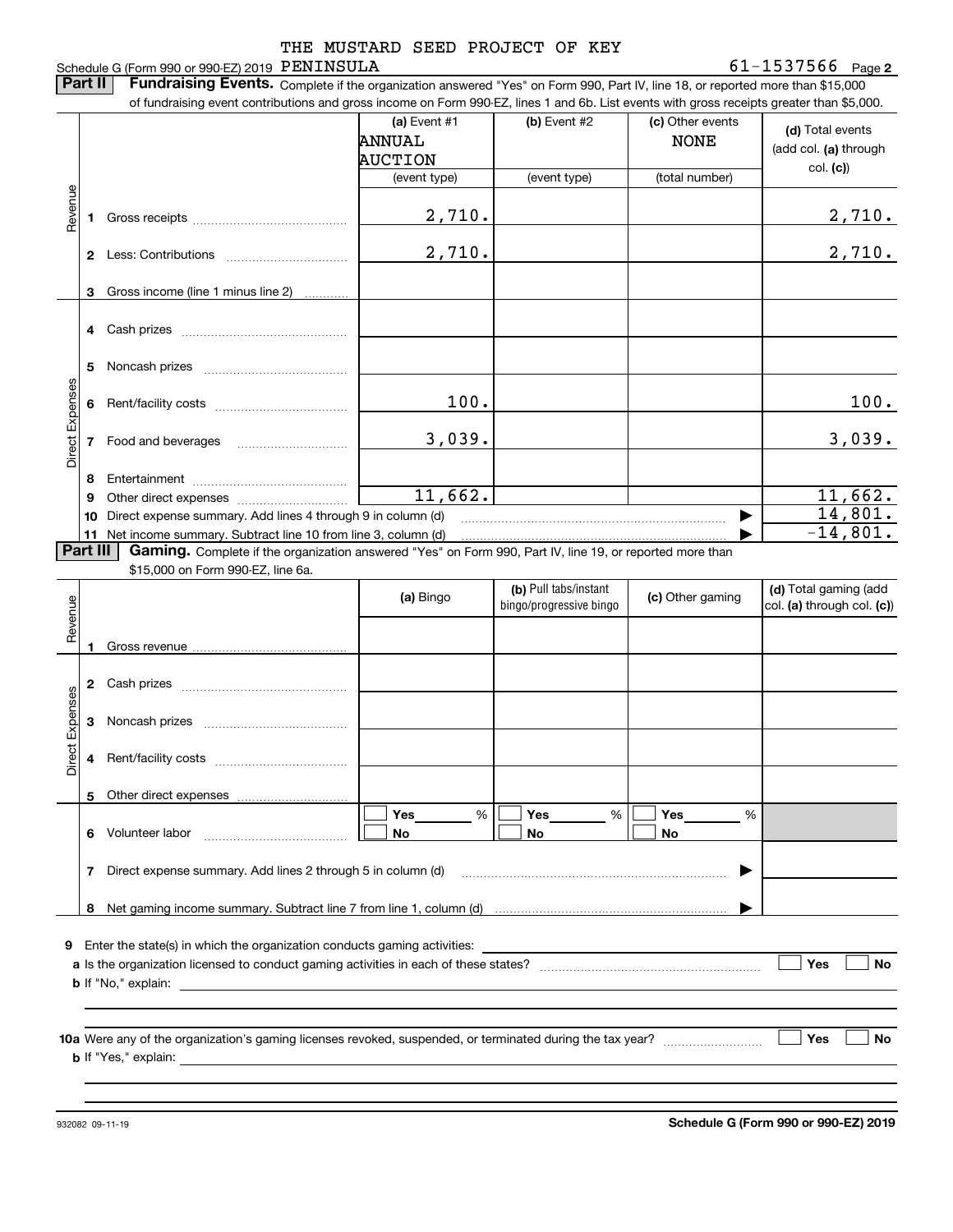### **2** PENINSULA 61-1537566 Schedule G (Form 990 or 990-EZ) 2019 PENINSULA THE MUSTARD SEED PROJECT OF KEY

**Part II** | Fundraising Events. Complete if the organization answered "Yes" on Form 990, Part IV, line 18, or reported more than \$15,000

|                 |          | of fundraising event contributions and gross income on Form 990-EZ, lines 1 and 6b. List events with gross receipts greater than \$5,000. |                |                         |                  |                            |
|-----------------|----------|-------------------------------------------------------------------------------------------------------------------------------------------|----------------|-------------------------|------------------|----------------------------|
|                 |          |                                                                                                                                           | (a) Event #1   | (b) Event #2            | (c) Other events | (d) Total events           |
|                 |          |                                                                                                                                           | ANNUAL         |                         | <b>NONE</b>      | (add col. (a) through      |
|                 |          |                                                                                                                                           | <b>AUCTION</b> |                         |                  | col. (c)                   |
|                 |          |                                                                                                                                           | (event type)   | (event type)            | (total number)   |                            |
| Revenue         |          |                                                                                                                                           |                |                         |                  |                            |
|                 | 1.       |                                                                                                                                           | 2,710.         |                         |                  | 2,710.                     |
|                 |          |                                                                                                                                           | 2,710.         |                         |                  | 2,710.                     |
|                 |          |                                                                                                                                           |                |                         |                  |                            |
|                 | 3        | Gross income (line 1 minus line 2)                                                                                                        |                |                         |                  |                            |
|                 |          |                                                                                                                                           |                |                         |                  |                            |
|                 |          |                                                                                                                                           |                |                         |                  |                            |
|                 |          |                                                                                                                                           |                |                         |                  |                            |
|                 | 5        |                                                                                                                                           |                |                         |                  |                            |
|                 |          |                                                                                                                                           |                |                         |                  |                            |
|                 |          |                                                                                                                                           | 100.           |                         |                  | 100.                       |
| Direct Expenses |          |                                                                                                                                           |                |                         |                  |                            |
|                 |          | 7 Food and beverages                                                                                                                      | 3,039.         |                         |                  | 3,039.                     |
|                 |          |                                                                                                                                           |                |                         |                  |                            |
|                 | 8<br>9   |                                                                                                                                           | 11,662.        |                         |                  | 11,662.                    |
|                 | 10       | Direct expense summary. Add lines 4 through 9 in column (d)                                                                               |                |                         |                  | 14,801.                    |
|                 |          | 11 Net income summary. Subtract line 10 from line 3, column (d)                                                                           |                |                         |                  | $-14,801.$                 |
|                 | Part III | Gaming. Complete if the organization answered "Yes" on Form 990, Part IV, line 19, or reported more than                                  |                |                         |                  |                            |
|                 |          | \$15,000 on Form 990-EZ, line 6a.                                                                                                         |                |                         |                  |                            |
|                 |          |                                                                                                                                           | (a) Bingo      | (b) Pull tabs/instant   | (c) Other gaming | (d) Total gaming (add      |
| Revenue         |          |                                                                                                                                           |                | bingo/progressive bingo |                  | col. (a) through col. (c)) |
|                 |          |                                                                                                                                           |                |                         |                  |                            |
|                 | 1        |                                                                                                                                           |                |                         |                  |                            |
|                 |          |                                                                                                                                           |                |                         |                  |                            |
|                 |          |                                                                                                                                           |                |                         |                  |                            |
| Expenses        | 3        |                                                                                                                                           |                |                         |                  |                            |
|                 |          |                                                                                                                                           |                |                         |                  |                            |
| <b>Direct</b>   |          |                                                                                                                                           |                |                         |                  |                            |
|                 |          |                                                                                                                                           |                |                         |                  |                            |
|                 |          | 5 Other direct expenses                                                                                                                   |                |                         |                  |                            |
|                 |          |                                                                                                                                           | %<br>Yes       | %<br>Yes                | Yes<br>%         |                            |
|                 |          | 6 Volunteer labor                                                                                                                         | No             | No                      | No               |                            |
|                 |          |                                                                                                                                           |                |                         |                  |                            |
|                 | 7        | Direct expense summary. Add lines 2 through 5 in column (d)                                                                               |                |                         |                  |                            |
|                 |          |                                                                                                                                           |                |                         |                  |                            |
|                 |          |                                                                                                                                           |                |                         |                  |                            |
|                 |          |                                                                                                                                           |                |                         |                  |                            |
|                 |          | <b>9</b> Enter the state(s) in which the organization conducts gaming activities:                                                         |                |                         |                  |                            |
|                 |          |                                                                                                                                           |                |                         |                  | Yes<br>No                  |
|                 |          |                                                                                                                                           |                |                         |                  |                            |
|                 |          |                                                                                                                                           |                |                         |                  |                            |
|                 |          |                                                                                                                                           |                |                         |                  | Yes<br>No                  |
|                 |          |                                                                                                                                           |                |                         |                  |                            |
|                 |          |                                                                                                                                           |                |                         |                  |                            |
|                 |          |                                                                                                                                           |                |                         |                  |                            |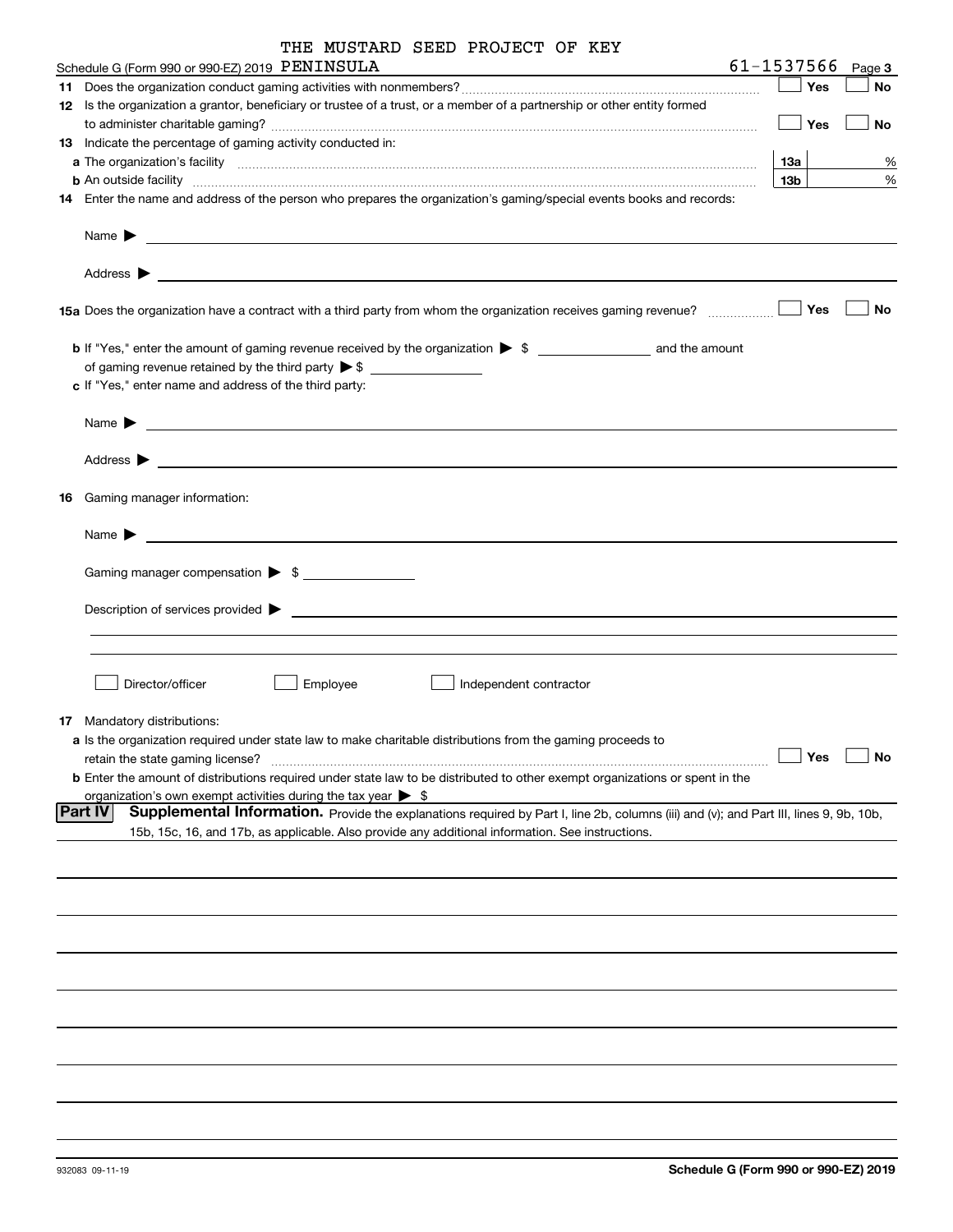|  | THE MUSTARD SEED PROJECT OF KEY |  |
|--|---------------------------------|--|
|  |                                 |  |

|                                                                                                                                                               |                 | Page 3    |
|---------------------------------------------------------------------------------------------------------------------------------------------------------------|-----------------|-----------|
|                                                                                                                                                               | Yes             | No        |
| 12 Is the organization a grantor, beneficiary or trustee of a trust, or a member of a partnership or other entity formed                                      |                 |           |
|                                                                                                                                                               | Yes             | No        |
| 13 Indicate the percentage of gaming activity conducted in:                                                                                                   |                 |           |
|                                                                                                                                                               | 13а             | %         |
| <b>b</b> An outside facility <i>www.communicality www.communicality.communicality www.communicality www.communicality.communicality www.communicality.com</i> | 13 <sub>b</sub> | $\%$      |
| 14 Enter the name and address of the person who prepares the organization's gaming/special events books and records:                                          |                 |           |
|                                                                                                                                                               |                 |           |
|                                                                                                                                                               |                 |           |
|                                                                                                                                                               | Yes             | No        |
| <b>b</b> If "Yes," enter the amount of gaming revenue received by the organization $\triangleright$ \$ ___________________ and the amount                     |                 |           |
| c If "Yes," enter name and address of the third party:                                                                                                        |                 |           |
| Name $\sum_{n=1}^{\infty}$                                                                                                                                    |                 |           |
|                                                                                                                                                               |                 |           |
| 16 Gaming manager information:                                                                                                                                |                 |           |
|                                                                                                                                                               |                 |           |
| Gaming manager compensation > \$                                                                                                                              |                 |           |
|                                                                                                                                                               |                 |           |
|                                                                                                                                                               |                 |           |
| Director/officer<br>Employee<br>Independent contractor                                                                                                        |                 |           |
|                                                                                                                                                               |                 |           |
| 17 Mandatory distributions:                                                                                                                                   |                 |           |
| a Is the organization required under state law to make charitable distributions from the gaming proceeds to                                                   | $\Box$ Yes      |           |
| retain the state gaming license?                                                                                                                              |                 | $\Box$ No |
| <b>b</b> Enter the amount of distributions required under state law to be distributed to other exempt organizations or spent in the                           |                 |           |
| organization's own exempt activities during the tax year $\triangleright$ \$                                                                                  |                 |           |
| <b>Part IV</b><br>Supplemental Information. Provide the explanations required by Part I, line 2b, columns (iii) and (v); and Part III, lines 9, 9b, 10b,      |                 |           |
| 15b, 15c, 16, and 17b, as applicable. Also provide any additional information. See instructions.                                                              |                 |           |
|                                                                                                                                                               |                 |           |
|                                                                                                                                                               |                 |           |
|                                                                                                                                                               |                 |           |
|                                                                                                                                                               |                 |           |
|                                                                                                                                                               |                 |           |
|                                                                                                                                                               |                 |           |
|                                                                                                                                                               |                 |           |
|                                                                                                                                                               |                 |           |
|                                                                                                                                                               |                 |           |
|                                                                                                                                                               |                 |           |
|                                                                                                                                                               |                 |           |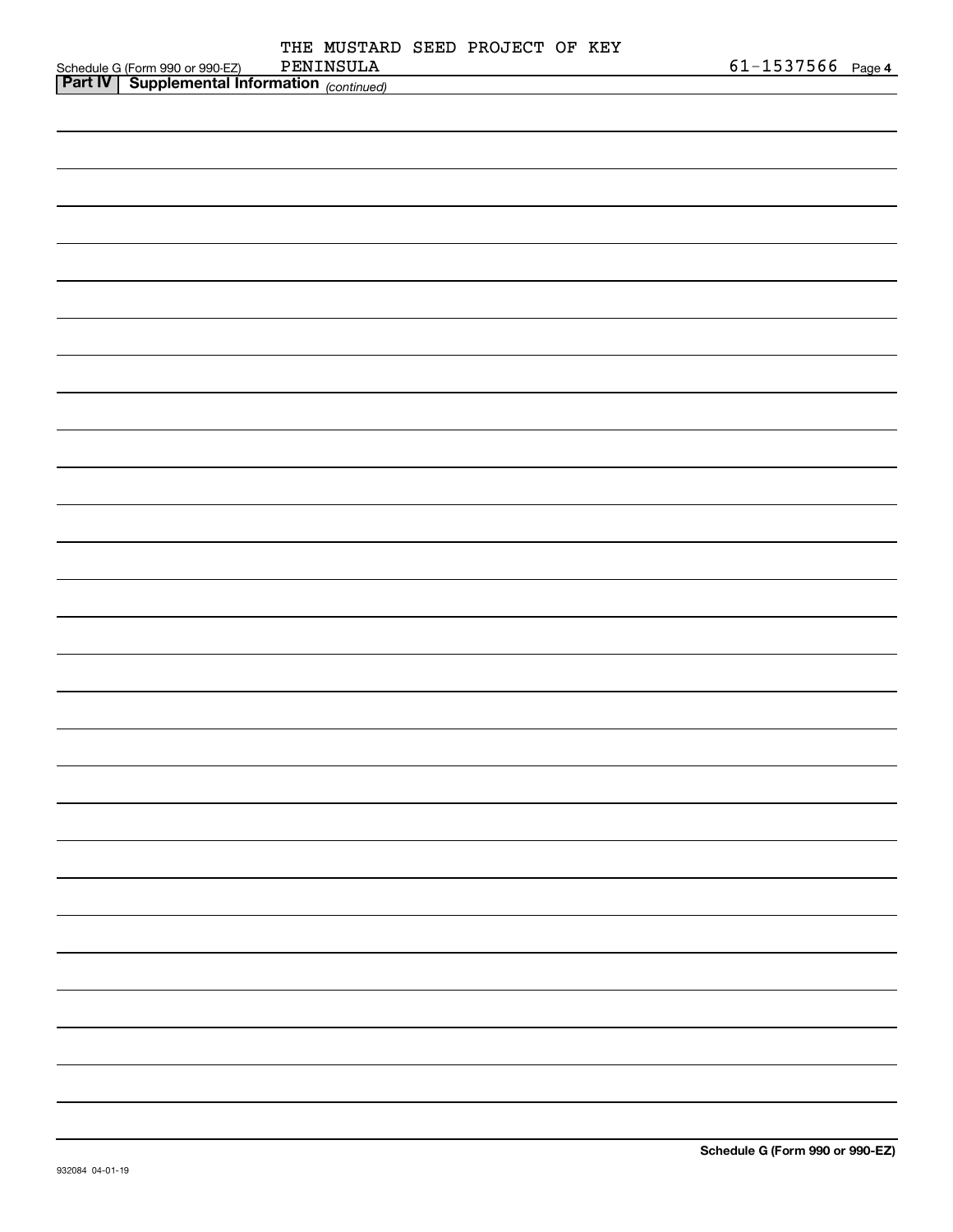|                                                                                                  |  | THE MUSTARD SEED PROJECT OF KEY |  |                       |  |
|--------------------------------------------------------------------------------------------------|--|---------------------------------|--|-----------------------|--|
| Schedule G (Form 990 or 990-EZ) PENINSULA<br><b>Part IV</b> Supplemental Information (continued) |  |                                 |  | $61 - 1537566$ Page 4 |  |
|                                                                                                  |  |                                 |  |                       |  |
|                                                                                                  |  |                                 |  |                       |  |
|                                                                                                  |  |                                 |  |                       |  |
|                                                                                                  |  |                                 |  |                       |  |
|                                                                                                  |  |                                 |  |                       |  |
|                                                                                                  |  |                                 |  |                       |  |
|                                                                                                  |  |                                 |  |                       |  |
|                                                                                                  |  |                                 |  |                       |  |
|                                                                                                  |  |                                 |  |                       |  |
|                                                                                                  |  |                                 |  |                       |  |
|                                                                                                  |  |                                 |  |                       |  |
|                                                                                                  |  |                                 |  |                       |  |
|                                                                                                  |  |                                 |  |                       |  |
|                                                                                                  |  |                                 |  |                       |  |
|                                                                                                  |  |                                 |  |                       |  |
|                                                                                                  |  |                                 |  |                       |  |
|                                                                                                  |  |                                 |  |                       |  |
|                                                                                                  |  |                                 |  |                       |  |
|                                                                                                  |  |                                 |  |                       |  |
|                                                                                                  |  |                                 |  |                       |  |
|                                                                                                  |  |                                 |  |                       |  |
|                                                                                                  |  |                                 |  |                       |  |
|                                                                                                  |  |                                 |  |                       |  |
|                                                                                                  |  |                                 |  |                       |  |
|                                                                                                  |  |                                 |  |                       |  |
|                                                                                                  |  |                                 |  |                       |  |
|                                                                                                  |  |                                 |  |                       |  |
|                                                                                                  |  |                                 |  |                       |  |
|                                                                                                  |  |                                 |  |                       |  |
|                                                                                                  |  |                                 |  |                       |  |
|                                                                                                  |  |                                 |  |                       |  |
|                                                                                                  |  |                                 |  |                       |  |
|                                                                                                  |  |                                 |  |                       |  |
|                                                                                                  |  |                                 |  |                       |  |
|                                                                                                  |  |                                 |  |                       |  |
|                                                                                                  |  |                                 |  |                       |  |
|                                                                                                  |  |                                 |  |                       |  |
|                                                                                                  |  |                                 |  |                       |  |
|                                                                                                  |  |                                 |  |                       |  |
|                                                                                                  |  |                                 |  |                       |  |
|                                                                                                  |  |                                 |  |                       |  |
|                                                                                                  |  |                                 |  |                       |  |
|                                                                                                  |  |                                 |  |                       |  |
|                                                                                                  |  |                                 |  |                       |  |
|                                                                                                  |  |                                 |  |                       |  |
|                                                                                                  |  |                                 |  |                       |  |
|                                                                                                  |  |                                 |  |                       |  |
|                                                                                                  |  |                                 |  |                       |  |
|                                                                                                  |  |                                 |  |                       |  |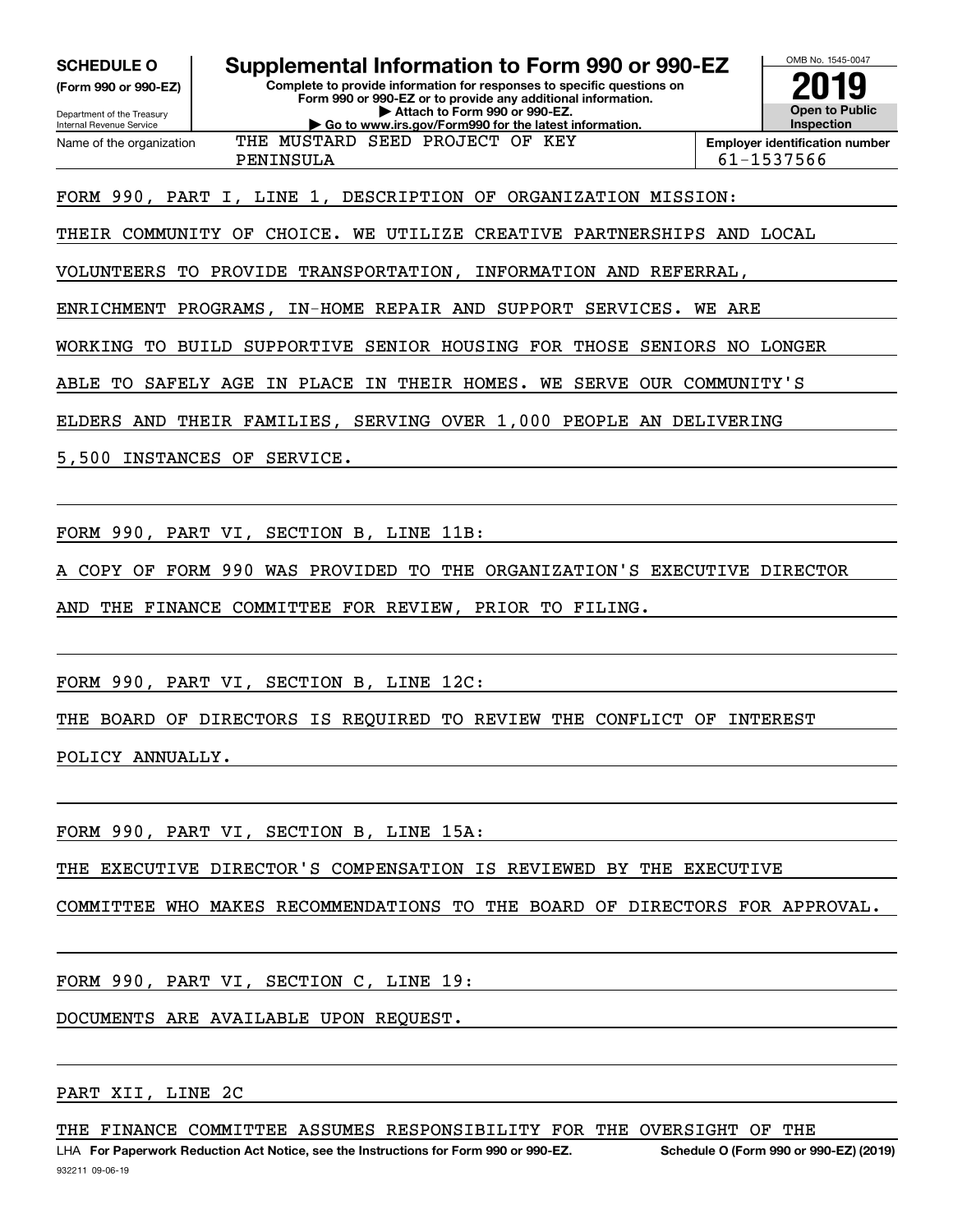**SCHEDULE O Supplemental Information to Form 990 or 990-EZ**

Internal Revenue Service

Department of the Treasury **(Form 990 or 990-EZ)** **Complete to provide information for responses to specific questions on Form 990 or 990-EZ or to provide any additional information. | Attach to Form 990 or 990-EZ. | Go to www.irs.gov/Form990 for the latest information.**



OMB No. 1545-0047

Name of the organization THE MUSTARD SEED PROJECT OF KEY

PENINSULA 61-1537566

FORM 990, PART I, LINE 1, DESCRIPTION OF ORGANIZATION MISSION:

THEIR COMMUNITY OF CHOICE. WE UTILIZE CREATIVE PARTNERSHIPS AND LOCAL

VOLUNTEERS TO PROVIDE TRANSPORTATION, INFORMATION AND REFERRAL,

ENRICHMENT PROGRAMS, IN-HOME REPAIR AND SUPPORT SERVICES. WE ARE

WORKING TO BUILD SUPPORTIVE SENIOR HOUSING FOR THOSE SENIORS NO LONGER

ABLE TO SAFELY AGE IN PLACE IN THEIR HOMES. WE SERVE OUR COMMUNITY'S

ELDERS AND THEIR FAMILIES, SERVING OVER 1,000 PEOPLE AN DELIVERING

5,500 INSTANCES OF SERVICE.

FORM 990, PART VI, SECTION B, LINE 11B:

A COPY OF FORM 990 WAS PROVIDED TO THE ORGANIZATION'S EXECUTIVE DIRECTOR

AND THE FINANCE COMMITTEE FOR REVIEW, PRIOR TO FILING.

FORM 990, PART VI, SECTION B, LINE 12C:

THE BOARD OF DIRECTORS IS REQUIRED TO REVIEW THE CONFLICT OF INTEREST

POLICY ANNUALLY.

FORM 990, PART VI, SECTION B, LINE 15A:

THE EXECUTIVE DIRECTOR'S COMPENSATION IS REVIEWED BY THE EXECUTIVE

COMMITTEE WHO MAKES RECOMMENDATIONS TO THE BOARD OF DIRECTORS FOR APPROVAL.

FORM 990, PART VI, SECTION C, LINE 19:

DOCUMENTS ARE AVAILABLE UPON REQUEST.

PART XII, LINE 2C

THE FINANCE COMMITTEE ASSUMES RESPONSIBILITY FOR THE OVERSIGHT OF THE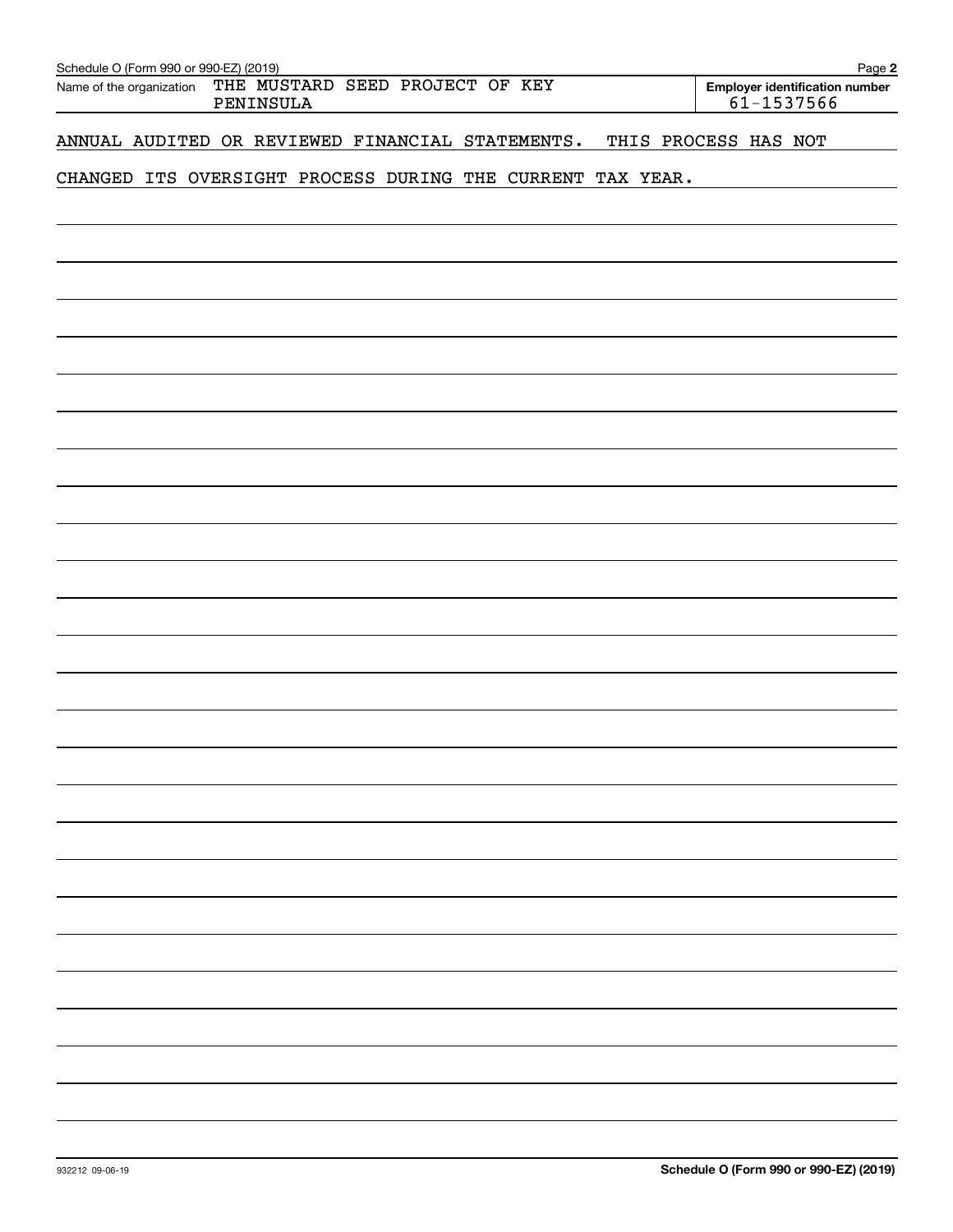| Schedule O (Form 990 or 990-EZ) (2019)<br>THE MUSTARD SEED PROJECT OF KEY |                      | Page 2                                       |
|---------------------------------------------------------------------------|----------------------|----------------------------------------------|
| Name of the organization<br>PENINSULA                                     |                      | Employer identification number<br>61-1537566 |
|                                                                           |                      |                                              |
| ANNUAL AUDITED OR REVIEWED FINANCIAL STATEMENTS.                          | THIS PROCESS HAS NOT |                                              |
|                                                                           |                      |                                              |
| CHANGED ITS OVERSIGHT PROCESS DURING THE CURRENT TAX YEAR.                |                      |                                              |
|                                                                           |                      |                                              |
|                                                                           |                      |                                              |
|                                                                           |                      |                                              |
|                                                                           |                      |                                              |
|                                                                           |                      |                                              |
|                                                                           |                      |                                              |
|                                                                           |                      |                                              |
|                                                                           |                      |                                              |
|                                                                           |                      |                                              |
|                                                                           |                      |                                              |
|                                                                           |                      |                                              |
|                                                                           |                      |                                              |
|                                                                           |                      |                                              |
|                                                                           |                      |                                              |
|                                                                           |                      |                                              |
|                                                                           |                      |                                              |
|                                                                           |                      |                                              |
|                                                                           |                      |                                              |
|                                                                           |                      |                                              |
|                                                                           |                      |                                              |
|                                                                           |                      |                                              |
|                                                                           |                      |                                              |
|                                                                           |                      |                                              |
|                                                                           |                      |                                              |
|                                                                           |                      |                                              |
|                                                                           |                      |                                              |
|                                                                           |                      |                                              |
|                                                                           |                      |                                              |
|                                                                           |                      |                                              |
|                                                                           |                      |                                              |
|                                                                           |                      |                                              |
|                                                                           |                      |                                              |
|                                                                           |                      |                                              |
|                                                                           |                      |                                              |
|                                                                           |                      |                                              |
|                                                                           |                      |                                              |
|                                                                           |                      |                                              |
|                                                                           |                      |                                              |
|                                                                           |                      |                                              |
|                                                                           |                      |                                              |
|                                                                           |                      |                                              |
|                                                                           |                      |                                              |